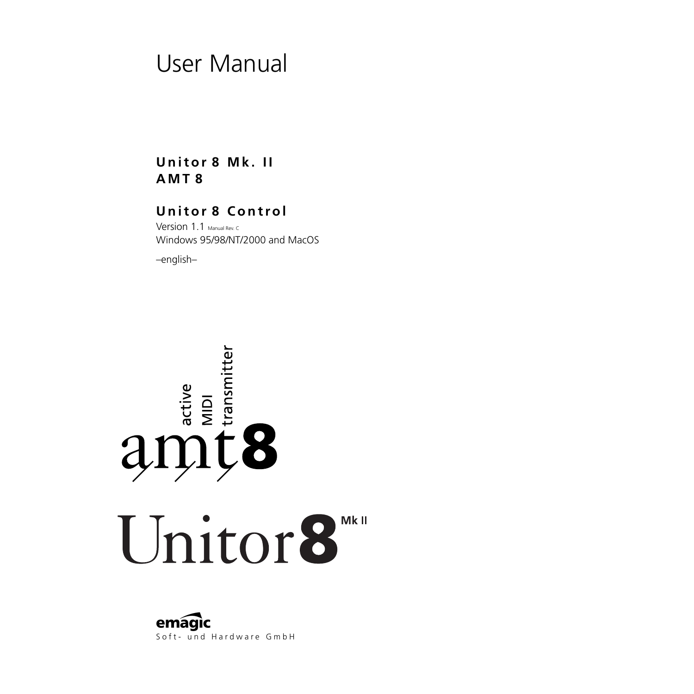# User Manual

## **Unitor 8 Mk. II AMT 8**

## **Unitor 8 Control**

Version 1.1 Manual Rev. C. Windows 95/98/NT/2000 and MacOS

–english–

# $\mathop{\rm{ann}}\limits_{\mathop{S\in\mathcal{S}}\limits^{\mathop{\rm{alg}}\limits_{\mathop{\rm{alg}}\limits_{\mathop{\rm{alg}}\limits_{\mathop{\rm{alg}}\limits_{\mathop{\rm{alg}}\limits_{\mathop{\rm{alg}}\limits_{\mathop{\rm{alg}}\limits_{\mathop{\rm{alg}}\limits_{\mathop{\rm{alg}}\limits_{\mathop{\rm{alg}}\limits_{\mathop{\rm{alg}}\limits_{\mathop{\rm{alg}}\limits_{\mathop{\rm{alg}}\limits_{\mathop{\rm{alg}}\limits_{\mathop{\rm{alg}}\limits_{\mathop{\rm{alg}}\limits_{\mathop{\rm{alg}}\limits_{\mathop{\rm{$ Unitor8

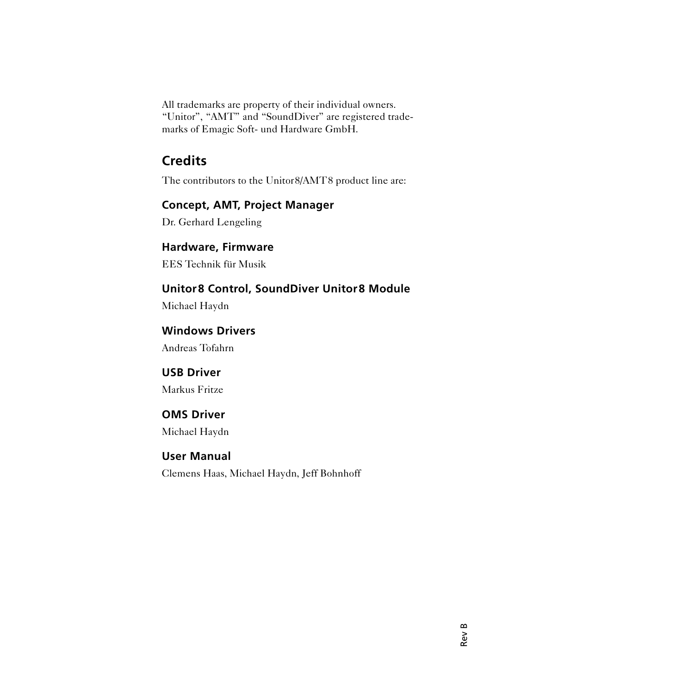All trademarks are property of their individual owners. "Unitor", "AMT" and "SoundDiver" are registered trademarks of Emagic Soft- und Hardware GmbH.

## **Credits**

The contributors to the Unitor8/AMT8 product line are:

## **Concept, AMT, Project Manager**

Dr. Gerhard Lengeling

## **Hardware, Firmware**

EES Technik für Musik

## **Unitor8 Control, SoundDiver Unitor8 Module**

Michael Haydn

## **Windows Drivers**

Andreas Tofahrn

## **USB Driver**

Markus Fritze

## **OMS Driver**

Michael Haydn

## **User Manual**

Clemens Haas, Michael Haydn, Jeff Bohnhoff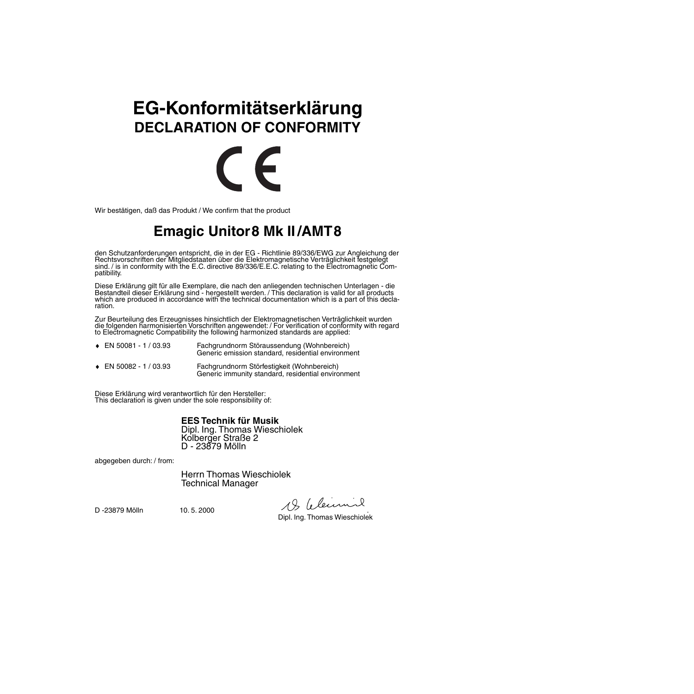## **EG-Konformitätserklärung DECLARATION OF CONFORMITY**

Wir bestätigen, daß das Produkt / We confirm that the product

## **Emagic Unitor8 Mk II /AMT8**

den Schutzanforderungen entspricht, die in der EG - Richtlinie 89/336/EWG zur Angleichung der Rechtsvorschriften der Mitgliedstaaten über die Elektromagnetische Verträglichkeit festgelegt sind. / is in conformity with the E.C. directive 89/336/E.E.C. relating to the Electromagnetic Compatibility.

Diese Erklärung gilt für alle Exemplare, die nach den anliegenden technischen Unterlagen - die Bestandteil dieser Erklärung sind - hergestellt werden. / This declaration is valid for all products<br>which are produced in accordance with the technical documentation which is a part of this declaration.

Zur Beurteilung des Erzeugnisses hinsichtlich der Elektromagnetischen Verträglichkeit wurden die folgenden harmonisierten Vorschriften angewendet: / For verification of conformity with regard to Electromagnetic Compatibility the following harmonized standards are applied:

| $\bullet$ EN 50081 - 1 / 03.93 | Fachgrundnorm Störaussendung (Wohnbereich)<br>Generic emission standard, residential environment |
|--------------------------------|--------------------------------------------------------------------------------------------------|
| $\bullet$ EN 50082 - 1 / 03.93 | Fachgrundnorm Störfestigkeit (Wohnbereich)<br>Generic immunity standard, residential environment |

Diese Erklärung wird verantwortlich für den Hersteller: This declaration is given under the sole responsibility of:

#### **EES Technik für Musik**

Dipl. Ing. Thomas Wieschiolek Kolberger Straße 2 D - 23879 Mölln

abgegeben durch: / from:

Herrn Thomas Wieschiolek Technical Manager

 $D$ -23879 Mölln 10.5.2000  $AB$  (element

Dipl. Ing. Thomas Wieschiolek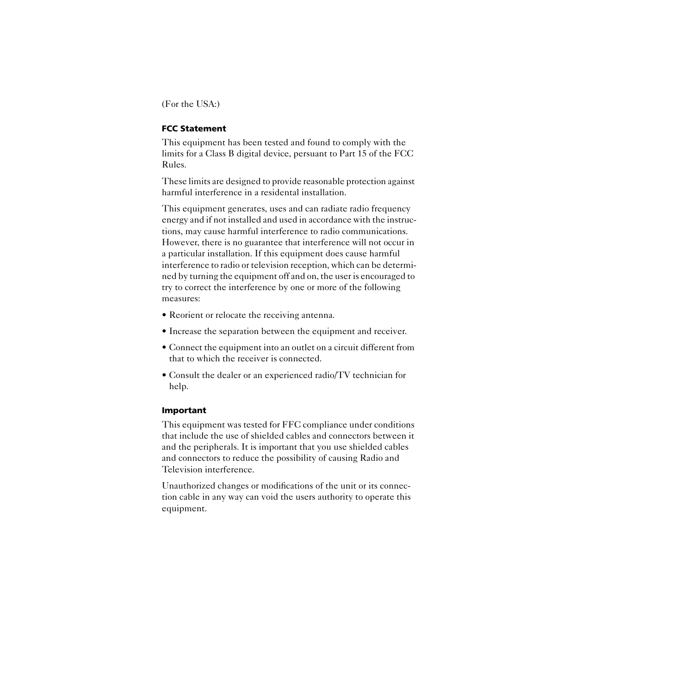(For the USA:)

#### **FCC Statement**

This equipment has been tested and found to comply with the limits for a Class B digital device, persuant to Part 15 of the FCC Rules.

These limits are designed to provide reasonable protection against harmful interference in a residental installation.

This equipment generates, uses and can radiate radio frequency energy and if not installed and used in accordance with the instructions, may cause harmful interference to radio communications. However, there is no guarantee that interference will not occur in a particular installation. If this equipment does cause harmful interference to radio or television reception, which can be determined by turning the equipment off and on, the user is encouraged to try to correct the interference by one or more of the following measures:

- Reorient or relocate the receiving antenna.
- Increase the separation between the equipment and receiver.
- Connect the equipment into an outlet on a circuit different from that to which the receiver is connected.
- Consult the dealer or an experienced radio/TV technician for help.

#### **Important**

This equipment was tested for FFC compliance under conditions that include the use of shielded cables and connectors between it and the peripherals. It is important that you use shielded cables and connectors to reduce the possibility of causing Radio and Television interference.

Unauthorized changes or modifications of the unit or its connection cable in any way can void the users authority to operate this equipment.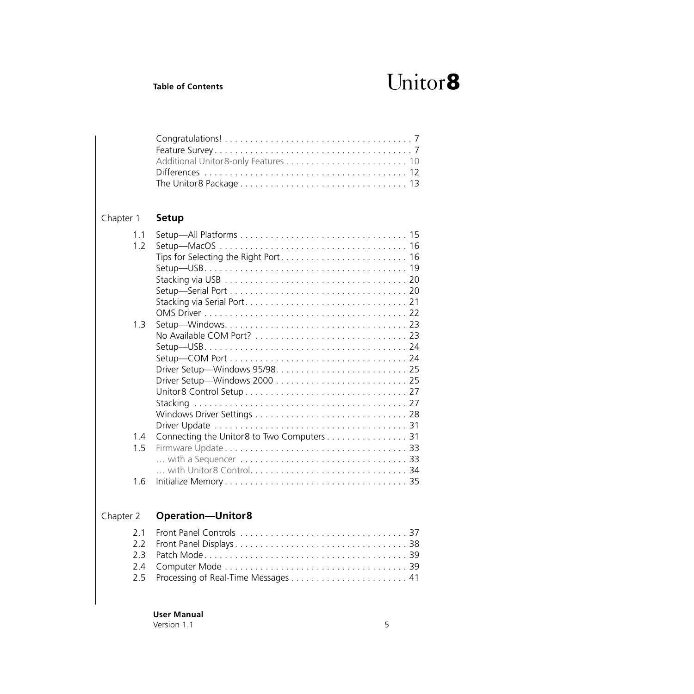# Unitor<sup>8</sup>

## [Chapter 1](#page-14-0) **Setup**

| 1 <sub>1</sub> |                                            |
|----------------|--------------------------------------------|
| 12             |                                            |
|                |                                            |
|                |                                            |
|                |                                            |
|                |                                            |
|                |                                            |
|                |                                            |
| 13             |                                            |
|                |                                            |
|                |                                            |
|                |                                            |
|                |                                            |
|                |                                            |
|                |                                            |
|                |                                            |
|                |                                            |
|                |                                            |
| 14             | Connecting the Unitor8 to Two Computers 31 |
| 15             |                                            |
|                |                                            |
|                |                                            |
| 16             |                                            |
|                |                                            |

## Chapter 2 **[Operation—Unitor8](#page-36-0)**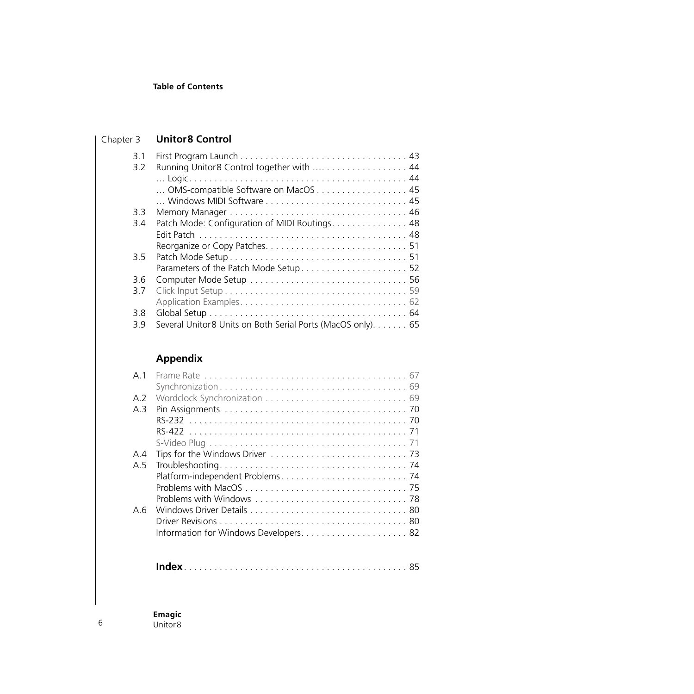| Chapter 3 | <b>Unitor8 Control</b>                                       |  |
|-----------|--------------------------------------------------------------|--|
| 3.1       |                                                              |  |
| 3.2       | Running Unitor8 Control together with  44                    |  |
|           |                                                              |  |
|           | OMS-compatible Software on MacOS 45                          |  |
|           |                                                              |  |
| 33        |                                                              |  |
| 3.4       | Patch Mode: Configuration of MIDI Routings. 48               |  |
|           |                                                              |  |
|           |                                                              |  |
| 35        |                                                              |  |
|           |                                                              |  |
| 36        |                                                              |  |
| 37        |                                                              |  |
|           |                                                              |  |
| 38        |                                                              |  |
| 39        | Several Unitor 8 Units on Both Serial Ports (MacOS only). 65 |  |
|           |                                                              |  |

## **[Appendix](#page-66-0)**

|--|--|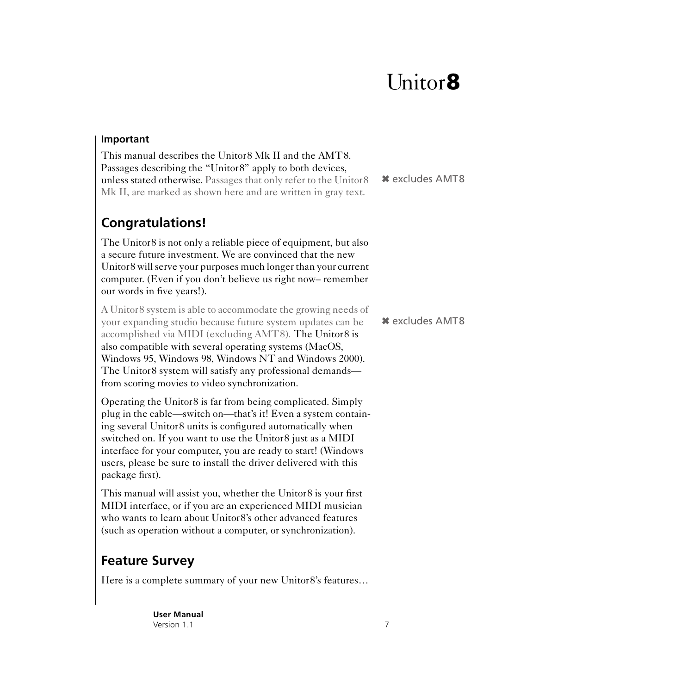# $Unitor8$

#### **Important**

This manual describes the Unitor8 Mk II and the AMT8. Passages describing the "Unitor8" apply to both devices, unless stated otherwise. Passages that only refer to the Unitor8 Mk II, are marked as shown here and are written in gray text. ✖ excludes AMT8

## <span id="page-6-0"></span>**Congratulations!**

The Unitor<sup>8</sup> is not only a reliable piece of equipment, but also a secure future investment. We are convinced that the new Unitor8 will serve your purposes much longer than your current computer. (Even if you don't believe us right now– remember our words in five years!).

A Unitor8 system is able to accommodate the growing needs of your expanding studio because future system updates can be accomplished via MIDI (excluding AMT8). The Unitor8 is also compatible with several operating systems (MacOS, Windows 95, Windows 98, Windows NT and Windows 2000). The Unitor8 system will satisfy any professional demands from scoring movies to video synchronization.

Operating the Unitor8 is far from being complicated. Simply plug in the cable—switch on—that's it! Even a system containing several Unitor8 units is configured automatically when switched on. If you want to use the Unitor8 just as a MIDI interface for your computer, you are ready to start! (Windows users, please be sure to install the driver delivered with this package first).

This manual will assist you, whether the Unitor8 is your first MIDI interface, or if you are an experienced MIDI musician who wants to learn about Unitor8's other advanced features (such as operation without a computer, or synchronization).

## <span id="page-6-1"></span>**Feature Survey**

Here is a complete summary of your new Unitor8's features…

✖ excludes AMT8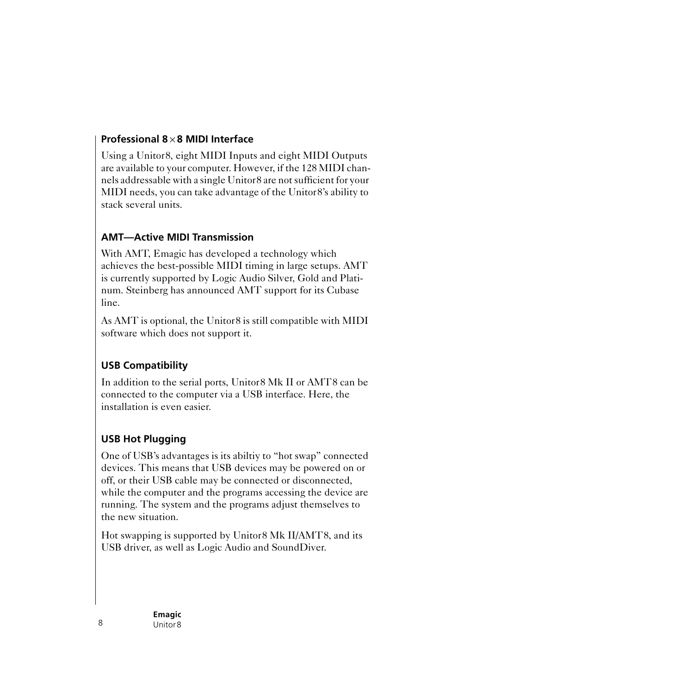## **Professional 8** × **8 MIDI Interface**

Using a Unitor8, eight MIDI Inputs and eight MIDI Outputs are available to your computer. However, if the 128 MIDI channels addressable with a single Unitor8 are not sufficient for your MIDI needs, you can take advantage of the Unitor8's ability to stack several units.

## **AMT—Active MIDI Transmission**

With AMT, Emagic has developed a technology which achieves the best-possible MIDI timing in large setups. AMT is currently supported by Logic Audio Silver, Gold and Platinum. Steinberg has announced AMT support for its Cubase line.

As AMT is optional, the Unitor8 is still compatible with MIDI software which does not support it.

## **USB Compatibility**

In addition to the serial ports, Unitor8 Mk II or AMT8 can be connected to the computer via a USB interface. Here, the installation is even easier.

## **USB Hot Plugging**

One of USB's advantages is its abiltiy to "hot swap" connected devices. This means that USB devices may be powered on or off, or their USB cable may be connected or disconnected, while the computer and the programs accessing the device are running. The system and the programs adjust themselves to the new situation.

Hot swapping is supported by Unitor8 Mk II/AMT8, and its USB driver, as well as Logic Audio and SoundDiver.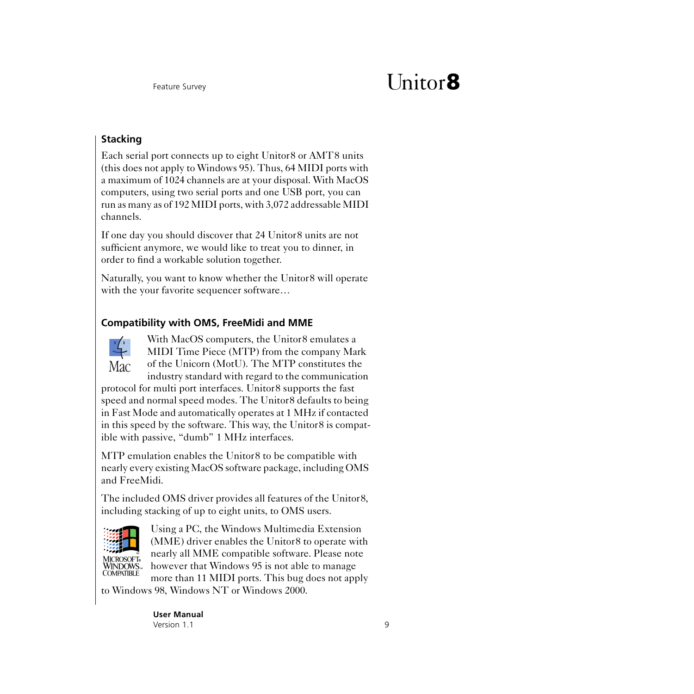# $\overline{\mathrm{Uniform}}$

## **Stacking**

Each serial port connects up to eight Unitor8 or AMT8 units (this does not apply to Windows 95). Thus, 64 MIDI ports with a maximum of 1024 channels are at your disposal. With MacOS computers, using two serial ports and one USB port, you can run as many as of 192 MIDI ports, with 3,072 addressable MIDI channels.

If one day you should discover that 24 Unitor8 units are not sufficient anymore, we would like to treat you to dinner, in order to find a workable solution together.

Naturally, you want to know whether the Unitor8 will operate with the your favorite sequencer software...

## **Compatibility with OMS, FreeMidi and MME**



With MacOS computers, the Unitor8 emulates a MIDI Time Piece (MTP) from the company Mark of the Unicorn (MotU). The MTP constitutes the industry standard with regard to the communication

protocol for multi port interfaces. Unitor8 supports the fast speed and normal speed modes. The Unitor8 defaults to being in Fast Mode and automatically operates at 1 MHz if contacted in this speed by the software. This way, the Unitor8 is compatible with passive, "dumb" 1 MHz interfaces.

MTP emulation enables the Unitor8 to be compatible with nearly every existing MacOS software package, including OMS and FreeMidi.

The included OMS driver provides all features of the Unitor8, including stacking of up to eight units, to OMS users.



Using a PC, the Windows Multimedia Extension (MME) driver enables the Unitor8 to operate with nearly all MME compatible software. Please note however that Windows 95 is not able to manage more than 11 MIDI ports. This bug does not apply

to Windows 98, Windows NT or Windows 2000.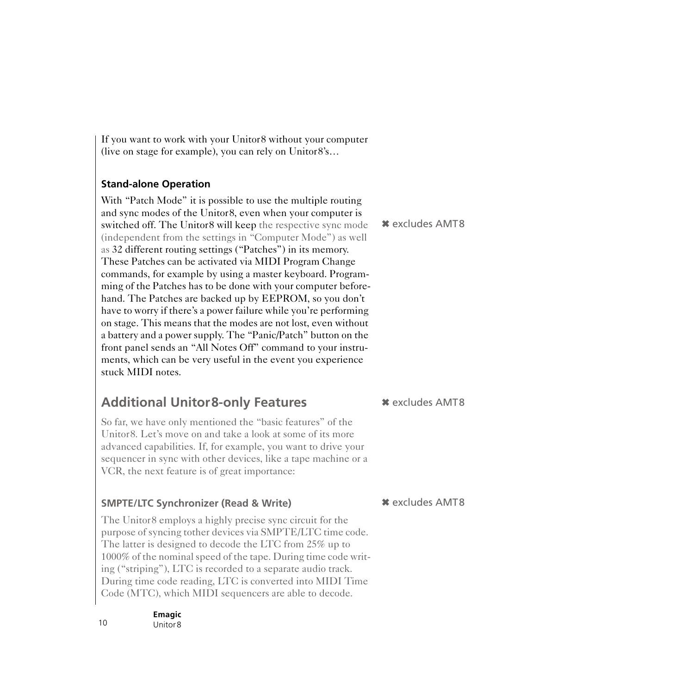If you want to work with your Unitor8 without your computer (live on stage for example), you can rely on Unitor8's…

#### **Stand-alone Operation**

With "Patch Mode" it is possible to use the multiple routing and sync modes of the Unitor8, even when your computer is switched off. The Unitor<sub>8</sub> will keep the respective sync mode (independent from the settings in "Computer Mode") as well as 32 different routing settings ("Patches") in its memory. These Patches can be activated via MIDI Program Change commands, for example by using a master keyboard. Programming of the Patches has to be done with your computer beforehand. The Patches are backed up by EEPROM, so you don't have to worry if there's a power failure while you're performing on stage. This means that the modes are not lost, even without a battery and a power supply. The "Panic/Patch" button on the front panel sends an "All Notes Off" command to your instruments, which can be very useful in the event you experience stuck MIDI notes.

## <span id="page-9-0"></span>**Additional Unitor8-only Features**

So far, we have only mentioned the "basic features" of the Unitor8. Let's move on and take a look at some of its more advanced capabilities. If, for example, you want to drive your sequencer in sync with other devices, like a tape machine or a VCR, the next feature is of great importance:

## **SMPTE/LTC Synchronizer (Read & Write)**

The Unitor8 employs a highly precise sync circuit for the purpose of syncing tother devices via SMPTE/LTC time code. The latter is designed to decode the LTC from 25% up to 1000% of the nominal speed of the tape. During time code writing ("striping"), LTC is recorded to a separate audio track. During time code reading, LTC is converted into MIDI Time Code (MTC), which MIDI sequencers are able to decode.

**Emagic** 10 Unitor8

✖ excludes AMT8

#### ✖ excludes AMT8

#### ✖ excludes AMT8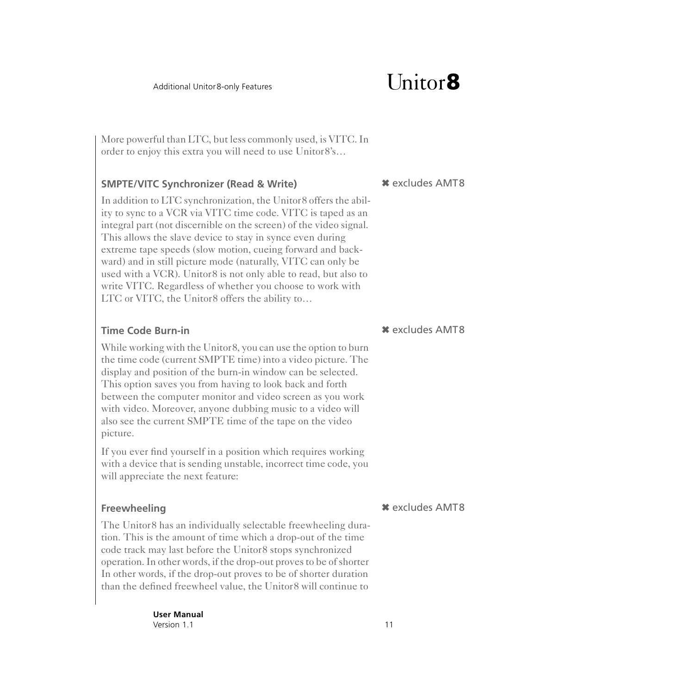More powerful than LTC, but less commonly used, is VITC. In order to enjoy this extra you will need to use Unitor8's…

#### **SMPTE/VITC Synchronizer (Read & Write)**

In addition to LTC synchronization, the Unitor8 offers the ability to sync to a VCR via VITC time code. VITC is taped as an integral part (not discernible on the screen) of the video signal. This allows the slave device to stay in synce even during extreme tape speeds (slow motion, cueing forward and backward) and in still picture mode (naturally, VITC can only be used with a VCR). Unitor8 is not only able to read, but also to write VITC. Regardless of whether you choose to work with LTC or VITC, the Unitor8 offers the ability to...

#### **Time Code Burn-in**

While working with the Unitor<sub>8</sub>, you can use the option to burn the time code (current SMPTE time) into a video picture. The display and position of the burn-in window can be selected. This option saves you from having to look back and forth between the computer monitor and video screen as you work with video. Moreover, anyone dubbing music to a video will also see the current SMPTE time of the tape on the video picture.

If you ever find yourself in a position which requires working with a device that is sending unstable, incorrect time code, you will appreciate the next feature:

#### **Freewheeling**

The Unitor8 has an individually selectable freewheeling duration. This is the amount of time which a drop-out of the time code track may last before the Unitor8 stops synchronized operation. In other words, if the drop-out proves to be of shorter In other words, if the drop-out proves to be of shorter duration than the defined freewheel value, the Unitor8 will continue to

> **User Manual** Version 1.1

#### ✖ excludes AMT8

 $Unitor8$ 

#### ✖ excludes AMT8

#### ✖ excludes AMT8

11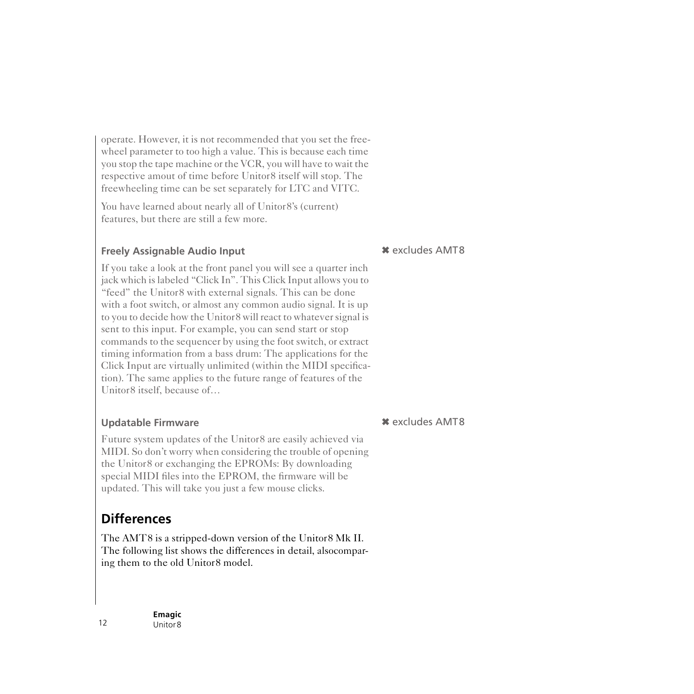operate. However, it is not recommended that you set the freewheel parameter to too high a value. This is because each time you stop the tape machine or the VCR, you will have to wait the respective amout of time before Unitor8 itself will stop. The freewheeling time can be set separately for LTC and VITC.

You have learned about nearly all of Unitor8's (current) features, but there are still a few more.

#### **Freely Assignable Audio Input**

If you take a look at the front panel you will see a quarter inch jack which is labeled "Click In". This Click Input allows you to "feed" the Unitor8 with external signals. This can be done with a foot switch, or almost any common audio signal. It is up to you to decide how the Unitor8 will react to whatever signal is sent to this input. For example, you can send start or stop commands to the sequencer by using the foot switch, or extract timing information from a bass drum: The applications for the Click Input are virtually unlimited (within the MIDI specification). The same applies to the future range of features of the Unitor8 itself, because of…

#### **Updatable Firmware**

Future system updates of the Unitor8 are easily achieved via MIDI. So don't worry when considering the trouble of opening the Unitor8 or exchanging the EPROMs: By downloading special MIDI files into the EPROM, the firmware will be updated. This will take you just a few mouse clicks.

## <span id="page-11-0"></span>**Differences**

The AMT8 is a stripped-down version of the Unitor8 Mk II. The following list shows the differences in detail, alsocomparing them to the old Unitor8 model.

#### ✖ excludes AMT8

#### ✖ excludes AMT8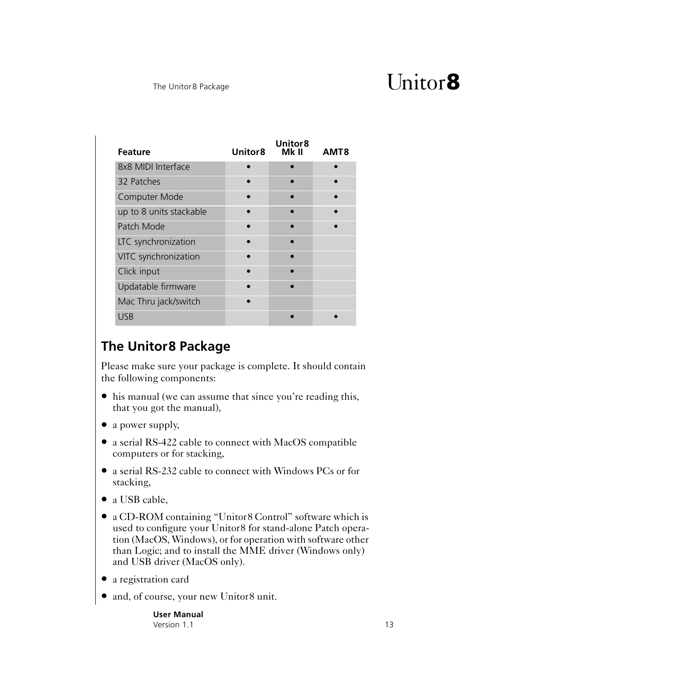# Unitor<sub>8</sub>

| <b>Feature</b>          | Unitor <sub>8</sub> | Unitor <sub>8</sub><br>Mk II | AMT8 |
|-------------------------|---------------------|------------------------------|------|
| 8x8 MIDI Interface      |                     |                              |      |
| 32 Patches              |                     |                              |      |
| Computer Mode           |                     |                              |      |
| up to 8 units stackable |                     |                              |      |
| Patch Mode              |                     |                              |      |
| LTC synchronization     |                     |                              |      |
| VITC synchronization    |                     |                              |      |
| Click input             |                     |                              |      |
| Updatable firmware      |                     |                              |      |
| Mac Thru jack/switch    |                     |                              |      |
| <b>USB</b>              |                     |                              |      |

## <span id="page-12-0"></span>**The Unitor8 Package**

Please make sure your package is complete. It should contain the following components:

- his manual (we can assume that since you're reading this, that you got the manual),
- a power supply,
- a serial RS-422 cable to connect with MacOS compatible computers or for stacking,
- a serial RS-232 cable to connect with Windows PCs or for stacking,
- a USB cable,
- a CD-ROM containing "Unitor8 Control" software which is used to configure your Unitor8 for stand-alone Patch operation (MacOS, Windows), or for operation with software other than Logic; and to install the MME driver (Windows only) and USB driver (MacOS only).
- a registration card
- and, of course, your new Unitor8 unit.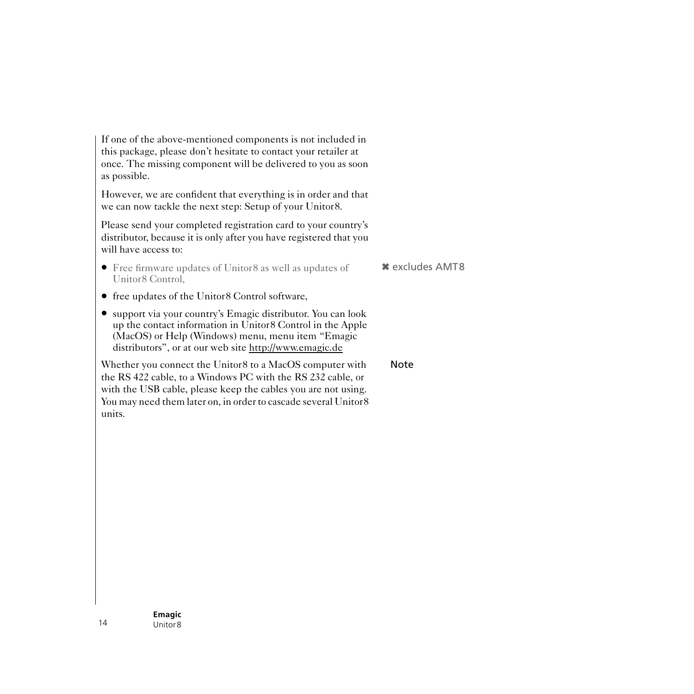| If one of the above-mentioned components is not included in<br>this package, please don't hesitate to contact your retailer at<br>once. The missing component will be delivered to you as soon<br>as possible.                                                          |                        |
|-------------------------------------------------------------------------------------------------------------------------------------------------------------------------------------------------------------------------------------------------------------------------|------------------------|
| However, we are confident that everything is in order and that<br>we can now tackle the next step: Setup of your Unitor8.                                                                                                                                               |                        |
| Please send your completed registration card to your country's<br>distributor, because it is only after you have registered that you<br>will have access to:                                                                                                            |                        |
| • Free firmware updates of Unitor 8 as well as updates of<br>Unitor <sub>8</sub> Control,                                                                                                                                                                               | <b>*</b> excludes AMT8 |
| • free updates of the Unitor 8 Control software,                                                                                                                                                                                                                        |                        |
| • support via your country's Emagic distributor. You can look<br>up the contact information in Unitor8 Control in the Apple<br>(MacOS) or Help (Windows) menu, menu item "Emagic<br>distributors", or at our web site http://www.emagic.de                              |                        |
| Whether you connect the Unitor 8 to a MacOS computer with<br>the RS 422 cable, to a Windows PC with the RS 232 cable, or<br>with the USB cable, please keep the cables you are not using.<br>You may need them later on, in order to cascade several Unitor 8<br>units. | <b>Note</b>            |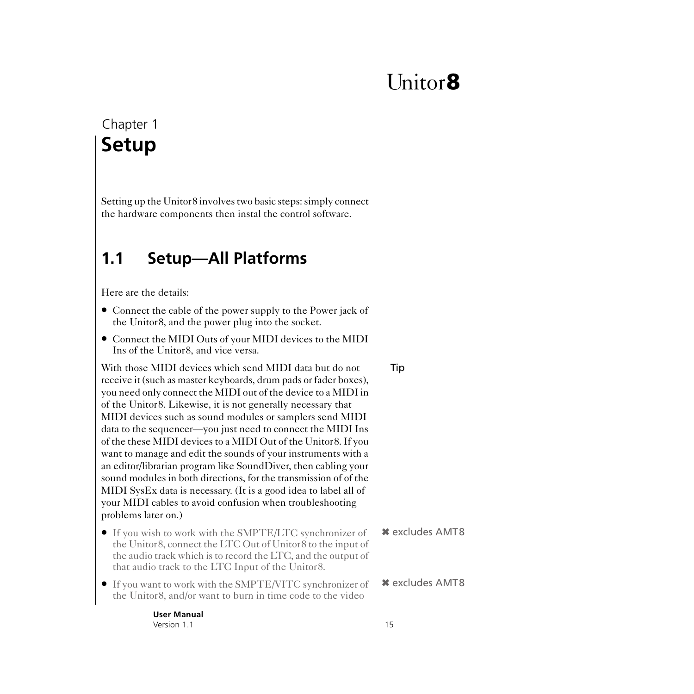# $Unitor8$

## <span id="page-14-0"></span>**Setup** Chapter 1

Setting up the Unitor8 involves two basic steps: simply connect the hardware components then instal the control software.

## <span id="page-14-1"></span>**1.1 Setup—All Platforms**

Here are the details:

- Connect the cable of the power supply to the Power jack of the Unitor8, and the power plug into the socket.
- Connect the MIDI Outs of your MIDI devices to the MIDI Ins of the Unitor8, and vice versa.

With those MIDI devices which send MIDI data but do not receive it (such as master keyboards, drum pads or fader boxes), you need only connect the MIDI out of the device to a MIDI in of the Unitor8. Likewise, it is not generally necessary that MIDI devices such as sound modules or samplers send MIDI data to the sequencer—you just need to connect the MIDI Ins of the these MIDI devices to a MIDI Out of the Unitor8. If you want to manage and edit the sounds of your instruments with a an editor/librarian program like SoundDiver, then cabling your sound modules in both directions, for the transmission of of the MIDI SysEx data is necessary. (It is a good idea to label all of your MIDI cables to avoid confusion when troubleshooting problems later on.) Tip

- If you wish to work with the SMPTE/LTC synchronizer of the Unitor8, connect the LTC Out of Unitor8 to the input of the audio track which is to record the LTC, and the output of that audio track to the LTC Input of the Unitor8. ✖ excludes AMT8
- If you want to work with the SMPTE/VITC synchronizer of the Unitor8, and/or want to burn in time code to the video ✖ excludes AMT8

**User Manual** Version 1.1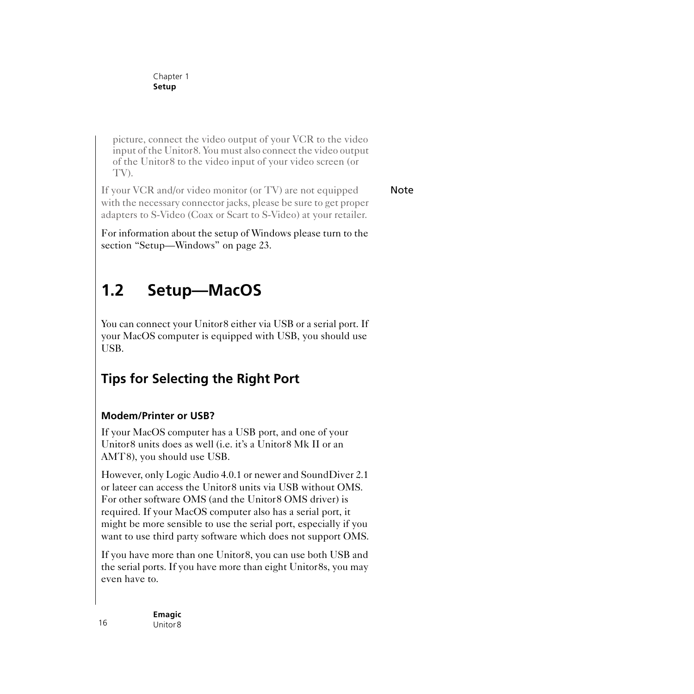picture, connect the video output of your VCR to the video input of the Unitor8. You must also connect the video output of the Unitor8 to the video input of your video screen (or TV).

If your VCR and/or video monitor (or TV) are not equipped with the necessary connector jacks, please be sure to get proper adapters to S-Video (Coax or Scart to S-Video) at your retailer. Note

For information about the setup of Windows please turn to the [section "Setup—Windows" on page 23](#page-22-0).

## <span id="page-15-0"></span>**1.2 Setup—MacOS**

You can connect your Unitor8 either via USB or a serial port. If your MacOS computer is equipped with USB, you should use USB.

## <span id="page-15-1"></span>**Tips for Selecting the Right Port**

## **Modem/Printer or USB?**

If your MacOS computer has a USB port, and one of your Unitor8 units does as well (i.e. it's a Unitor8 Mk II or an AMT8), you should use USB.

However, only Logic Audio 4.0.1 or newer and SoundDiver 2.1 or lateer can access the Unitor8 units via USB without OMS. For other software OMS (and the Unitor8 OMS driver) is required. If your MacOS computer also has a serial port, it might be more sensible to use the serial port, especially if you want to use third party software which does not support OMS.

If you have more than one Unitor8, you can use both USB and the serial ports. If you have more than eight Unitor8s, you may even have to.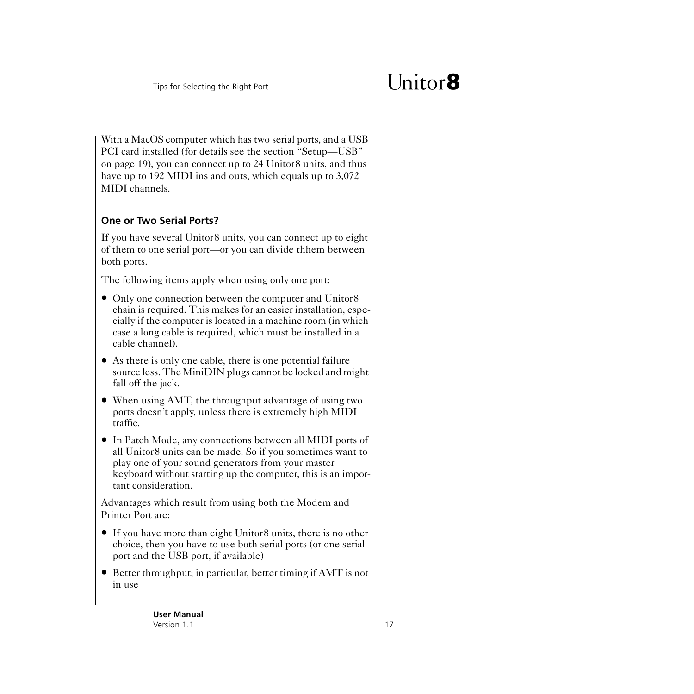With a MacOS computer which has two serial ports, and a USB PCI card installed (for details see the [section "Setup—USB"](#page-18-0)  [on page 19\)](#page-18-0), you can connect up to 24 Unitor8 units, and thus have up to 192 MIDI ins and outs, which equals up to 3,072 MIDI channels.

#### **One or Two Serial Ports?**

If you have several Unitor8 units, you can connect up to eight of them to one serial port—or you can divide thhem between both ports.

The following items apply when using only one port:

- Only one connection between the computer and Unitor 8 chain is required. This makes for an easier installation, especially if the computer is located in a machine room (in which case a long cable is required, which must be installed in a cable channel).
- As there is only one cable, there is one potential failure source less. The MiniDIN plugs cannot be locked and might fall off the jack.
- When using AMT, the throughput advantage of using two ports doesn't apply, unless there is extremely high MIDI traffic.
- In Patch Mode, any connections between all MIDI ports of all Unitor8 units can be made. So if you sometimes want to play one of your sound generators from your master keyboard without starting up the computer, this is an important consideration.

Advantages which result from using both the Modem and Printer Port are:

- If you have more than eight Unitor<sub>8</sub> units, there is no other choice, then you have to use both serial ports (or one serial port and the USB port, if available)
- Better throughput; in particular, better timing if AMT is not in use

 $\overline{\mathrm{Uniform}}$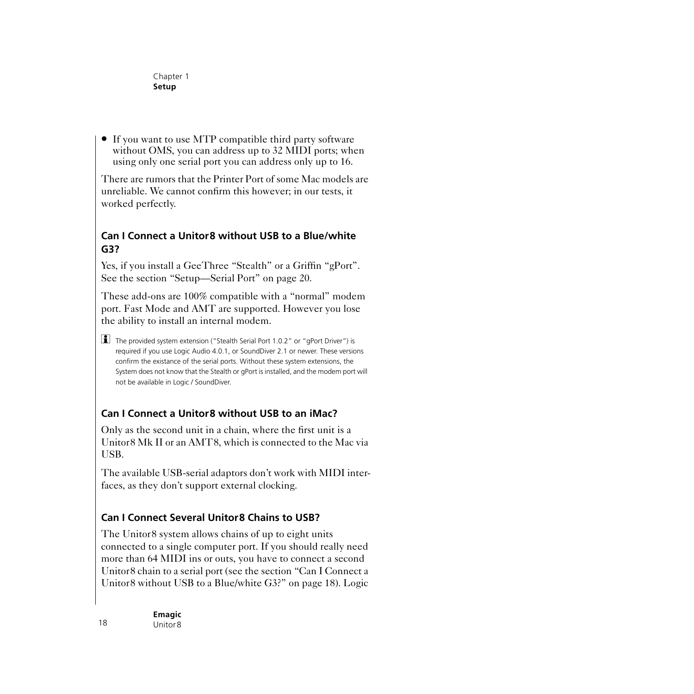• If you want to use MTP compatible third party software without OMS, you can address up to 32 MIDI ports; when using only one serial port you can address only up to 16.

There are rumors that the Printer Port of some Mac models are unreliable. We cannot confirm this however; in our tests, it worked perfectly.

#### <span id="page-17-0"></span>**Can I Connect a Unitor8 without USB to a Blue/white G3?**

Yes, if you install a GeeThree "Stealth" or a Griffin "gPort". See the [section "Setup—Serial Port" on page 20](#page-19-1).

These add-ons are 100% compatible with a "normal" modem port. Fast Mode and AMT are supported. However you lose the ability to install an internal modem.

**1** The provided system extension ("Stealth Serial Port 1.0.2" or "gPort Driver") is required if you use Logic Audio 4.0.1, or SoundDiver 2.1 or newer. These versions confirm the existance of the serial ports. Without these system extensions, the System does not know that the Stealth or gPort is installed, and the modem port will not be available in Logic / SoundDiver.

## **Can I Connect a Unitor8 without USB to an iMac?**

Only as the second unit in a chain, where the first unit is a Unitor8 Mk II or an AMT8, which is connected to the Mac via USB.

The available USB-serial adaptors don't work with MIDI interfaces, as they don't support external clocking.

## **Can I Connect Several Unitor8 Chains to USB?**

The Unitor8 system allows chains of up to eight units connected to a single computer port. If you should really need more than 64 MIDI ins or outs, you have to connect a second Unitor8 chain to a serial port (see the [section "Can I Connect a](#page-17-0)  [Unitor8 without USB to a Blue/white G3?" on page 18](#page-17-0)). Logic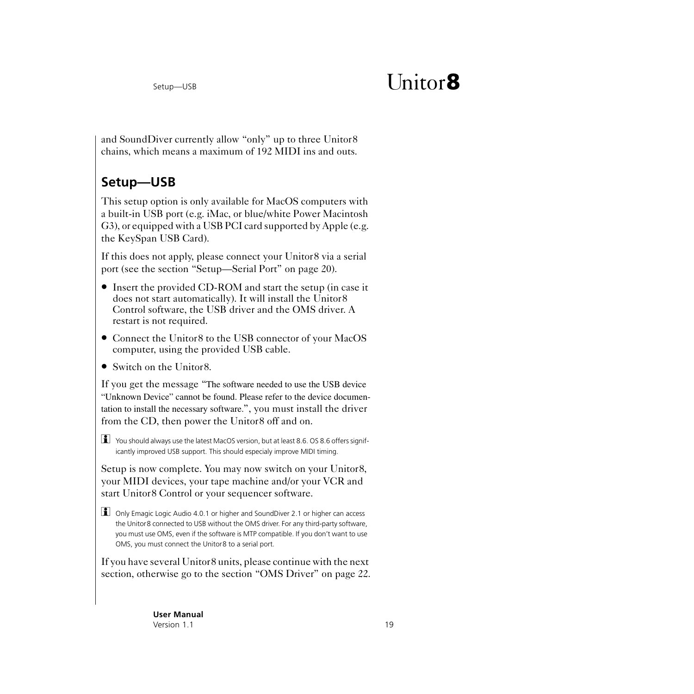# $\overline{\mathrm{Uniform}}$

and SoundDiver currently allow "only" up to three Unitor8 chains, which means a maximum of 192 MIDI ins and outs.

## <span id="page-18-0"></span>**Setup—USB**

This setup option is only available for MacOS computers with a built-in USB port (e.g. iMac, or blue/white Power Macintosh G3), or equipped with a USB PCI card supported by Apple (e.g. the KeySpan USB Card).

If this does not apply, please connect your Unitor8 via a serial port (see the [section "Setup—Serial Port" on page 20](#page-19-1)).

- Insert the provided CD-ROM and start the setup (in case it does not start automatically). It will install the Unitor8 Control software, the USB driver and the OMS driver. A restart is not required.
- Connect the Unitor8 to the USB connector of your MacOS computer, using the provided USB cable.
- Switch on the Unitor 8.

If you get the message "The software needed to use the USB device "Unknown Device" cannot be found. Please refer to the device documentation to install the necessary software.", you must install the driver from the CD, then power the Unitor8 off and on.

- You should always use the latest MacOS version, but at least 8.6. OS 8.6 offers significantly improved USB support. This should especialy improve MIDI timing.

Setup is now complete. You may now switch on your Unitor8, your MIDI devices, your tape machine and/or your VCR and start Unitor8 Control or your sequencer software.

**1** Only Emagic Logic Audio 4.0.1 or higher and SoundDiver 2.1 or higher can access the Unitor8 connected to USB without the OMS driver. For any third-party software, you must use OMS, even if the software is MTP compatible. If you don't want to use OMS, you must connect the Unitor8 to a serial port.

If you have several Unitor8 units, please continue with the next section, otherwise go to the [section "OMS Driver" on page 22](#page-21-0).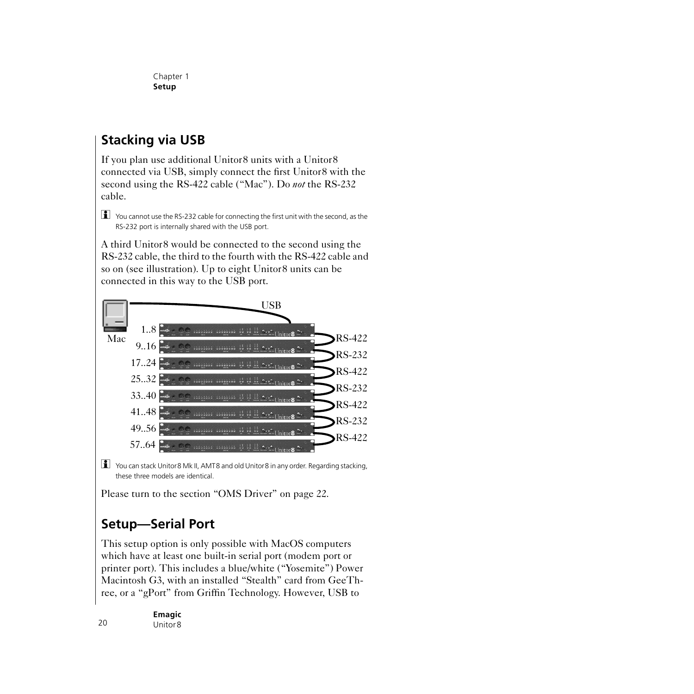## <span id="page-19-0"></span>**Stacking via USB**

If you plan use additional Unitor8 units with a Unitor8 connected via USB, simply connect the first Unitor8 with the second using the RS-422 cable ("Mac"). Do *not* the RS-232 cable.

**1** You cannot use the RS-232 cable for connecting the first unit with the second, as the RS-232 port is internally shared with the USB port.

A third Unitor8 would be connected to the second using the RS-232 cable, the third to the fourth with the RS-422 cable and so on (see illustration). Up to eight Unitor8 units can be connected in this way to the USB port.



**1** You can stack Unitor8 Mk II, AMT8 and old Unitor8 in any order. Regarding stacking, these three models are identical.

Please turn to the [section "OMS Driver" on page 22.](#page-21-0)

## <span id="page-19-1"></span>**Setup—Serial Port**

This setup option is only possible with MacOS computers which have at least one built-in serial port (modem port or printer port). This includes a blue/white ("Yosemite") Power Macintosh G3, with an installed "Stealth" card from GeeThree, or a "gPort" from Griffin Technology. However, USB to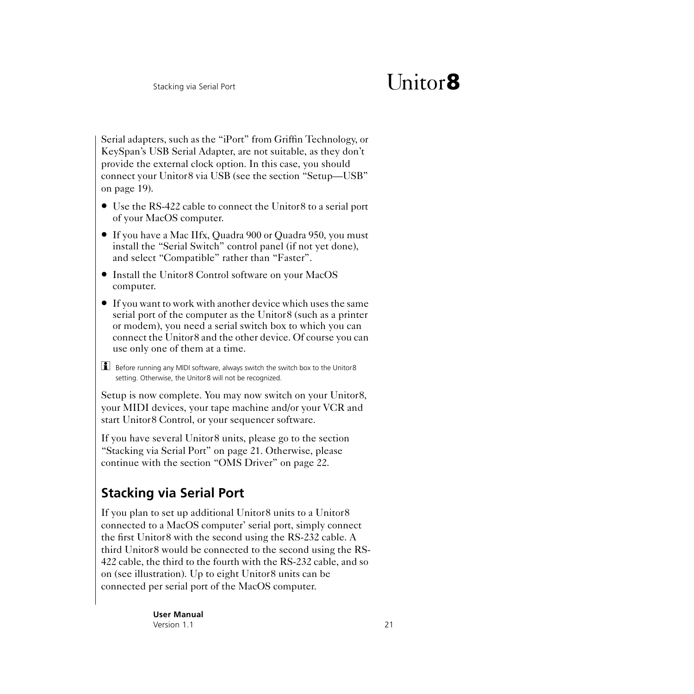# $\overline{\mathrm{Uniform}}$

Serial adapters, such as the "iPort" from Griffin Technology, or KeySpan's USB Serial Adapter, are not suitable, as they don't provide the external clock option. In this case, you should connect your Unitor8 via USB (see the [section "Setup—USB"](#page-18-0)  [on page 19\)](#page-18-0).

- Use the RS-422 cable to connect the Unitor8 to a serial port of your MacOS computer.
- If you have a Mac IIfx, Quadra 900 or Quadra 950, you must install the "Serial Switch" control panel (if not yet done), and select "Compatible" rather than "Faster".
- Install the Unitor8 Control software on your MacOS computer.
- If you want to work with another device which uses the same serial port of the computer as the Unitor8 (such as a printer or modem), you need a serial switch box to which you can connect the Unitor8 and the other device. Of course you can use only one of them at a time.

**B** Before running any MIDI software, always switch the switch box to the Unitor8 setting. Otherwise, the Unitor8 will not be recognized.

Setup is now complete. You may now switch on your Unitor8, your MIDI devices, your tape machine and/or your VCR and start Unitor8 Control, or your sequencer software.

If you have several Unitor8 units, please go to the [section](#page-20-0)  ["Stacking via Serial Port" on page 21](#page-20-0). Otherwise, please continue with the [section "OMS Driver" on page 22](#page-21-0).

## <span id="page-20-0"></span>**Stacking via Serial Port**

If you plan to set up additional Unitor8 units to a Unitor8 connected to a MacOS computer' serial port, simply connect the first Unitor8 with the second using the RS-232 cable. A third Unitor8 would be connected to the second using the RS-422 cable, the third to the fourth with the RS-232 cable, and so on (see illustration). Up to eight Unitor8 units can be connected per serial port of the MacOS computer.

> **User Manual** Version 1.1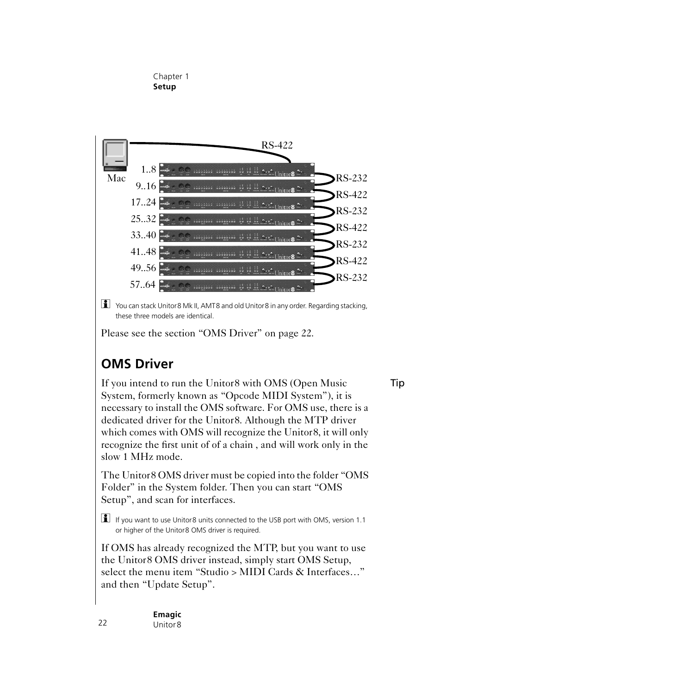#### Chapter 1 **Setup**



**1** You can stack Unitor8 Mk II, AMT8 and old Unitor8 in any order. Regarding stacking, these three models are identical.

Please see the [section "OMS Driver" on page 22](#page-21-0).

## <span id="page-21-0"></span>**OMS Driver**

If you intend to run the Unitor8 with OMS (Open Music System, formerly known as "Opcode MIDI System"), it is necessary to install the OMS software. For OMS use, there is a dedicated driver for the Unitor8. Although the MTP driver which comes with OMS will recognize the Unitor<sup>8</sup>, it will only recognize the first unit of of a chain , and will work only in the slow 1 MHz mode.

The Unitor8 OMS driver must be copied into the folder "OMS Folder" in the System folder. Then you can start "OMS Setup", and scan for interfaces.

I If you want to use Unitor8 units connected to the USB port with OMS, version 1.1 or higher of the Unitor8 OMS driver is required.

If OMS has already recognized the MTP, but you want to use the Unitor8 OMS driver instead, simply start OMS Setup, select the menu item "Studio > MIDI Cards & Interfaces…" and then "Update Setup".

Tip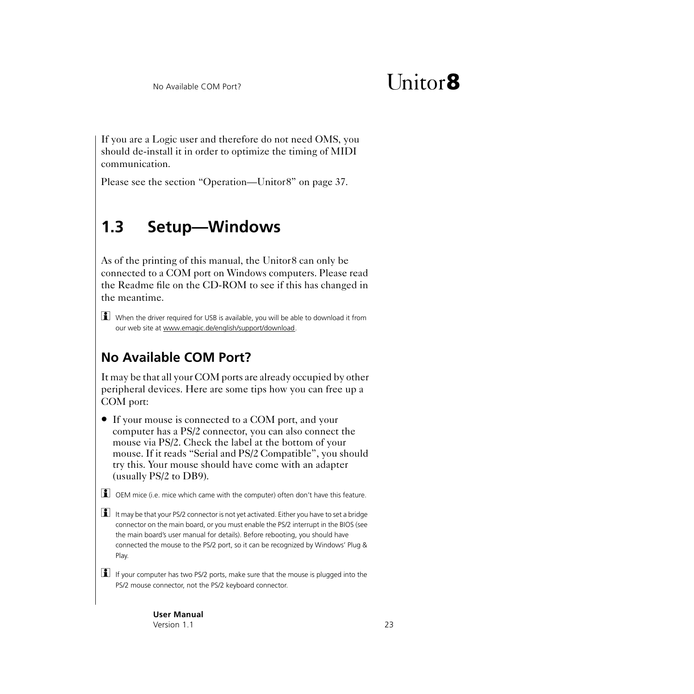# $\overline{\mathrm{Uniform}}$

If you are a Logic user and therefore do not need OMS, you should de-install it in order to optimize the timing of MIDI communication.

Please see the [section "Operation—Unitor8" on page 37](#page-36-0).

## <span id="page-22-0"></span>**1.3 Setup—Windows**

As of the printing of this manual, the Unitor 8 can only be connected to a COM port on Windows computers. Please read the Readme file on the CD-ROM to see if this has changed in the meantime.



**1** When the driver required for USB is available, you will be able to download it from our web site at www.emagic.de/english/support/download.

## <span id="page-22-1"></span>**No Available COM Port?**

It may be that all your COM ports are already occupied by other peripheral devices. Here are some tips how you can free up a COM port:

• If your mouse is connected to a COM port, and your computer has a PS/2 connector, you can also connect the mouse via PS/2. Check the label at the bottom of your mouse. If it reads "Serial and PS/2 Compatible", you should try this. Your mouse should have come with an adapter (usually PS/2 to DB9).

**1** OEM mice (i.e. mice which came with the computer) often don't have this feature.

- **1** It may be that your PS/2 connector is not yet activated. Either you have to set a bridge connector on the main board, or you must enable the PS/2 interrupt in the BIOS (see the main board's user manual for details). Before rebooting, you should have connected the mouse to the PS/2 port, so it can be recognized by Windows' Plug & Play.
- **1** If your computer has two PS/2 ports, make sure that the mouse is plugged into the PS/2 mouse connector, not the PS/2 keyboard connector.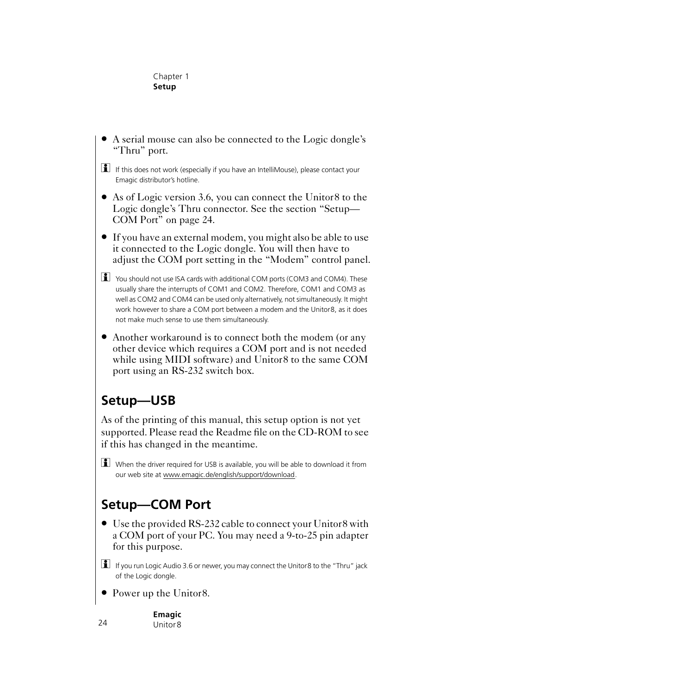- A serial mouse can also be connected to the Logic dongle's "Thru" port.
- **1** If this does not work (especially if you have an IntelliMouse), please contact your Emagic distributor's hotline.
- As of Logic version 3.6, you can connect the Unitor 8 to the Logic dongle's Thru connector. See the [section "Setup—](#page-23-1) [COM Port" on page 24](#page-23-1).
- If you have an external modem, you might also be able to use it connected to the Logic dongle. You will then have to adjust the COM port setting in the "Modem" control panel.
- **1** You should not use ISA cards with additional COM ports (COM3 and COM4). These usually share the interrupts of COM1 and COM2. Therefore, COM1 and COM3 as well as COM2 and COM4 can be used only alternatively, not simultaneously. It might work however to share a COM port between a modem and the Unitor8, as it does not make much sense to use them simultaneously.
- Another workaround is to connect both the modem (or any other device which requires a COM port and is not needed while using MIDI software) and Unitor8 to the same COM port using an RS-232 switch box.

## <span id="page-23-0"></span>**Setup—USB**

As of the printing of this manual, this setup option is not yet supported. Please read the Readme file on the CD-ROM to see if this has changed in the meantime.

**1** When the driver required for USB is available, you will be able to download it from our web site at www.emagic.de/english/support/download.

## <span id="page-23-1"></span>**Setup—COM Port**

- Use the provided RS-232 cable to connect your Unitor8 with a COM port of your PC. You may need a 9-to-25 pin adapter for this purpose.
- If you run Logic Audio 3.6 or newer, you may connect the Unitor8 to the "Thru" jack of the Logic dongle.
- Power up the Unitor8.

**Emagic** 24 Unitor8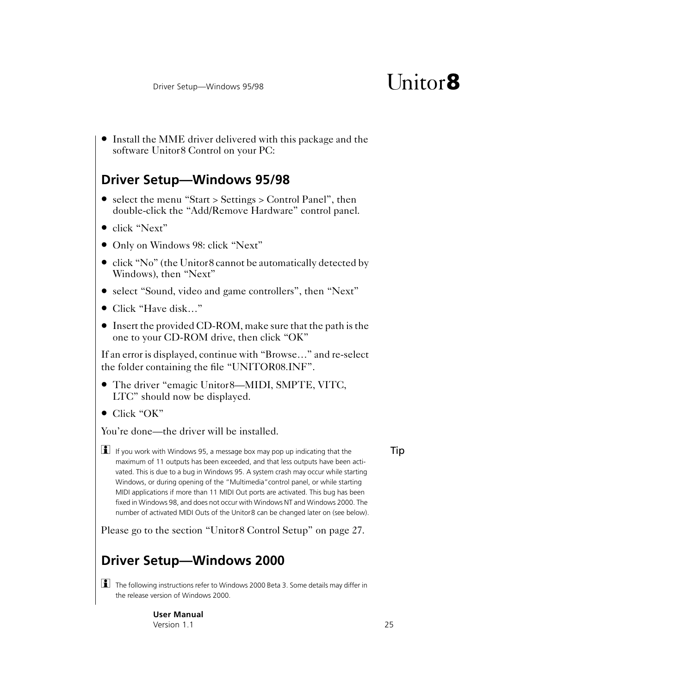• Install the MME driver delivered with this package and the software Unitor8 Control on your PC:

## <span id="page-24-0"></span>**Driver Setup—Windows 95/98**

- select the menu "Start > Settings > Control Panel", then double-click the "Add/Remove Hardware" control panel.
- click "Next"
- Only on Windows 98: click "Next"
- click "No" (the Unitor8 cannot be automatically detected by Windows), then "Next"
- select "Sound, video and game controllers", then "Next"
- Click "Have disk…"
- Insert the provided CD-ROM, make sure that the path is the one to your CD-ROM drive, then click "OK"

If an error is displayed, continue with "Browse…" and re-select the folder containing the file "UNITOR08.INF".

- The driver "emagic Unitor 8—MIDI, SMPTE, VITC, LTC" should now be displayed.
- Click "OK"

#### You're done—the driver will be installed.

**1** If you work with Windows 95, a message box may pop up indicating that the maximum of 11 outputs has been exceeded, and that less outputs have been activated. This is due to a bug in Windows 95. A system crash may occur while starting Windows, or during opening of the "Multimedia"control panel, or while starting MIDI applications if more than 11 MIDI Out ports are activated. This bug has been fixed in Windows 98, and does not occur with Windows NT and Windows 2000. The number of activated MIDI Outs of the Unitor8 can be changed later on (see below).

Please go to the [section "Unitor8 Control Setup" on page 27](#page-26-0).

## <span id="page-24-1"></span>**Driver Setup—Windows 2000**

**1** The following instructions refer to Windows 2000 Beta 3. Some details may differ in the release version of Windows 2000.

Tip

 $\overline{\mathrm{Uniform}}$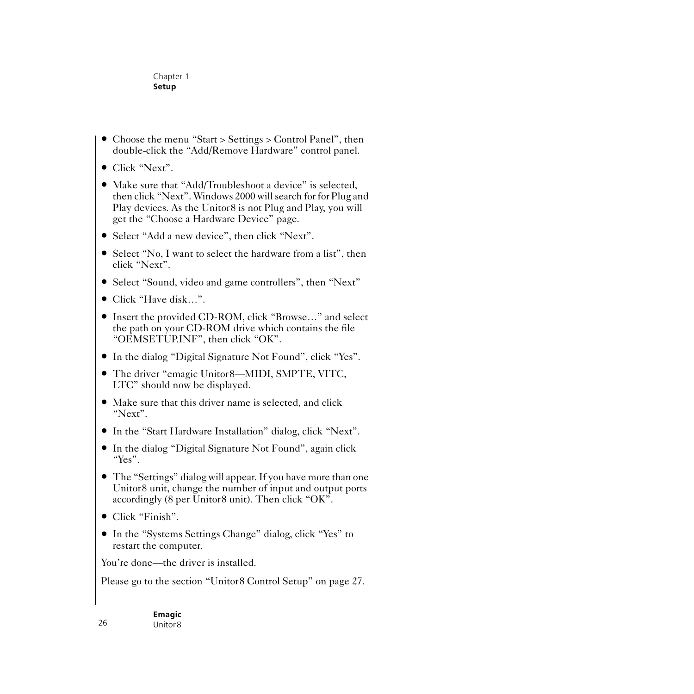- Choose the menu "Start > Settings > Control Panel", then double-click the "Add/Remove Hardware" control panel.
- Click "Next".
- Make sure that "Add/Troubleshoot a device" is selected, then click "Next". Windows 2000 will search for for Plug and Play devices. As the Unitor8 is not Plug and Play, you will get the "Choose a Hardware Device" page.
- Select "Add a new device", then click "Next".
- Select "No, I want to select the hardware from a list", then click "Next".
- Select "Sound, video and game controllers", then "Next"
- Click "Have disk…".
- Insert the provided CD-ROM, click "Browse…" and select the path on your CD-ROM drive which contains the file "OEMSETUP.INF", then click "OK".
- In the dialog "Digital Signature Not Found", click "Yes".
- The driver "emagic Unitor8—MIDI, SMPTE, VITC, LTC" should now be displayed.
- Make sure that this driver name is selected, and click "Next".
- In the "Start Hardware Installation" dialog, click "Next".
- In the dialog "Digital Signature Not Found", again click "Yes".
- The "Settings" dialog will appear. If you have more than one Unitor8 unit, change the number of input and output ports accordingly (8 per Unitor8 unit). Then click "OK".
- Click "Finish".
- In the "Systems Settings Change" dialog, click "Yes" to restart the computer.

You're done—the driver is installed.

Please go to the [section "Unitor8 Control Setup" on page 27](#page-26-0).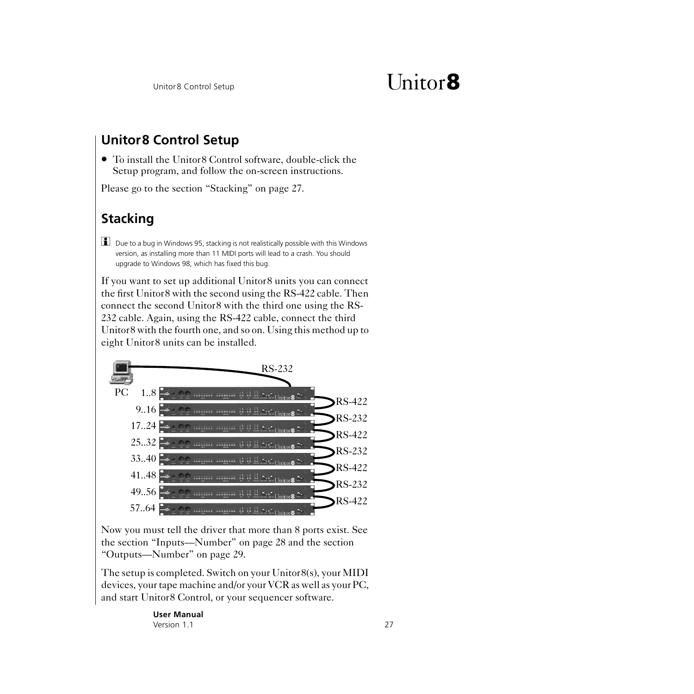# $\overline{\mathrm{Uniform}}$

## <span id="page-26-0"></span>**Unitor8 Control Setup**

• To install the Unitor<sub>8</sub> Control software, double-click the Setup program, and follow the on-screen instructions.

Please go to the [section "Stacking" on page 27](#page-26-1).

## <span id="page-26-1"></span>**Stacking**

**1** Due to a bug in Windows 95, stacking is not realistically possible with this Windows version, as installing more than 11 MIDI ports will lead to a crash. You should upgrade to Windows 98, which has fixed this bug.

If you want to set up additional Unitor8 units you can connect the first Unitor8 with the second using the RS-422 cable. Then connect the second Unitor8 with the third one using the RS-232 cable. Again, using the RS-422 cable, connect the third Unitor8 with the fourth one, and so on. Using this method up to eight Unitor8 units can be installed.



Now you must tell the driver that more than 8 ports exist. See the [section "Inputs—Number" on page 28](#page-27-1) and the [section](#page-28-0)  ["Outputs—Number" on page 29](#page-28-0).

The setup is completed. Switch on your Unitor8(s), your MIDI devices, your tape machine and/or your VCR as well as your PC, and start Unitor8 Control, or your sequencer software.

> **User Manual** Version 1.1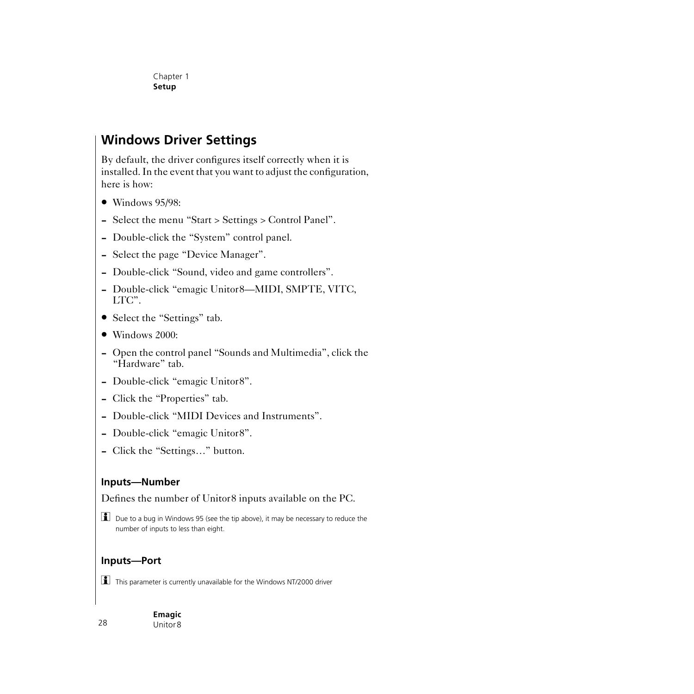## <span id="page-27-0"></span>**Windows Driver Settings**

By default, the driver configures itself correctly when it is installed. In the event that you want to adjust the configuration, here is how:

- $\bullet$  Windows 95/98:
- Select the menu "Start > Settings > Control Panel".
- Double-click the "System" control panel.
- Select the page "Device Manager".
- Double-click "Sound, video and game controllers".
- Double-click "emagic Unitor8—MIDI, SMPTE, VITC, LTC".
- Select the "Settings" tab.
- Windows 2000:
- Open the control panel "Sounds and Multimedia", click the "Hardware" tab.
- Double-click "emagic Unitor8".
- Click the "Properties" tab.
- Double-click "MIDI Devices and Instruments".
- Double-click "emagic Unitor8".
- Click the "Settings…" button.

## <span id="page-27-1"></span>**Inputs—Number**

Defines the number of Unitor8 inputs available on the PC.

**1** Due to a bug in Windows 95 (see the tip above), it may be necessary to reduce the number of inputs to less than eight.

## **Inputs—Port**

**1** This parameter is currently unavailable for the Windows NT/2000 driver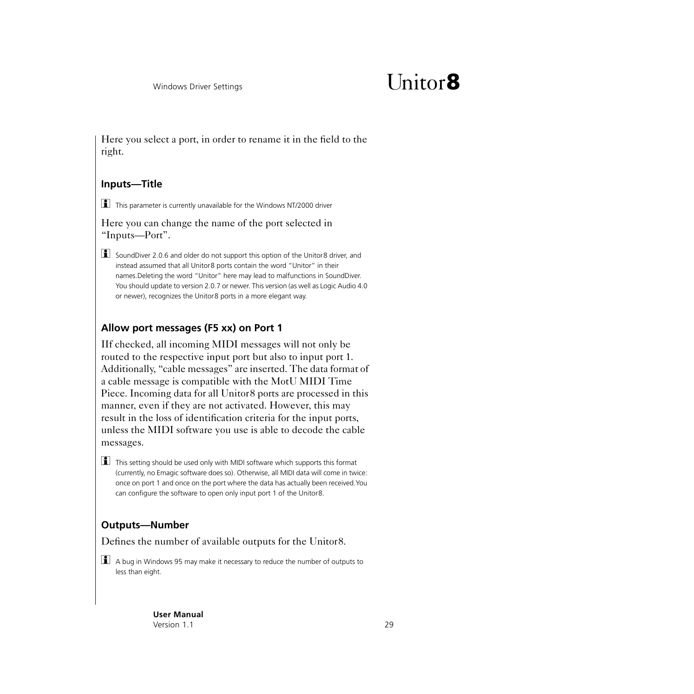Here you select a port, in order to rename it in the field to the right.

## **Inputs—Title**

**1** This parameter is currently unavailable for the Windows NT/2000 driver

Here you can change the name of the port selected in "Inputs—Port".

**1** SoundDiver 2.0.6 and older do not support this option of the Unitor8 driver, and instead assumed that all Unitor8 ports contain the word "Unitor" in their names.Deleting the word "Unitor" here may lead to malfunctions in SoundDiver. You should update to version 2.0.7 or newer. This version (as well as Logic Audio 4.0 or newer), recognizes the Unitor8 ports in a more elegant way.

## **Allow port messages (F5 xx) on Port 1**

IIf checked, all incoming MIDI messages will not only be routed to the respective input port but also to input port 1. Additionally, "cable messages" are inserted. The data format of a cable message is compatible with the MotU MIDI Time Piece. Incoming data for all Unitor8 ports are processed in this manner, even if they are not activated. However, this may result in the loss of identification criteria for the input ports, unless the MIDI software you use is able to decode the cable messages.

**1** This setting should be used only with MIDI software which supports this format (currently, no Emagic software does so). Otherwise, all MIDI data will come in twice: once on port 1 and once on the port where the data has actually been received.You can configure the software to open only input port 1 of the Unitor8.

## <span id="page-28-0"></span>**Outputs—Number**

Defines the number of available outputs for the Unitor8.

1 A bug in Windows 95 may make it necessary to reduce the number of outputs to less than eight.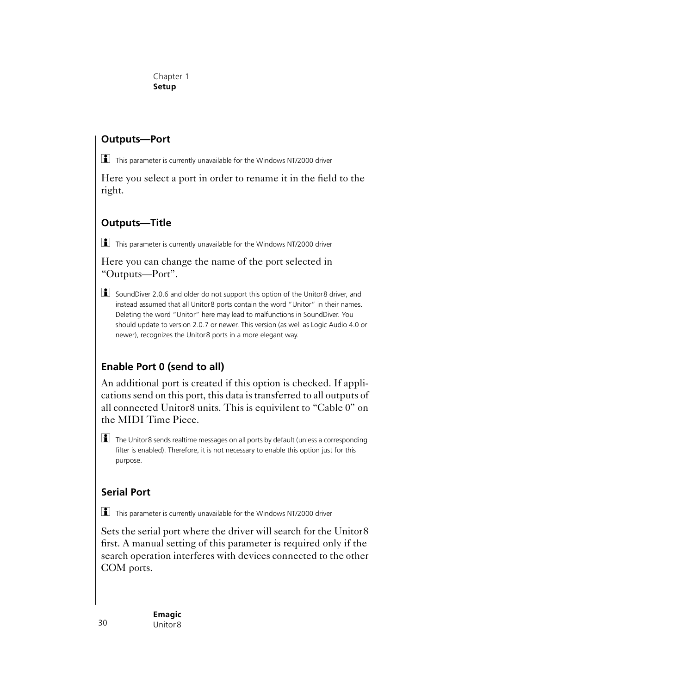## **Outputs—Port**

**1** This parameter is currently unavailable for the Windows NT/2000 driver

Here you select a port in order to rename it in the field to the right.

## **Outputs—Title**

**1** This parameter is currently unavailable for the Windows NT/2000 driver

Here you can change the name of the port selected in "Outputs—Port".

**1** SoundDiver 2.0.6 and older do not support this option of the Unitor8 driver, and instead assumed that all Unitor8 ports contain the word "Unitor" in their names. Deleting the word "Unitor" here may lead to malfunctions in SoundDiver. You should update to version 2.0.7 or newer. This version (as well as Logic Audio 4.0 or newer), recognizes the Unitor8 ports in a more elegant way.

## **Enable Port 0 (send to all)**

An additional port is created if this option is checked. If applications send on this port, this data is transferred to all outputs of all connected Unitor8 units. This is equivilent to "Cable 0" on the MIDI Time Piece.

**1** The Unitor8 sends realtime messages on all ports by default (unless a corresponding filter is enabled). Therefore, it is not necessary to enable this option just for this purpose.

## **Serial Port**

**1** This parameter is currently unavailable for the Windows NT/2000 driver

Sets the serial port where the driver will search for the Unitor8 first. A manual setting of this parameter is required only if the search operation interferes with devices connected to the other COM ports.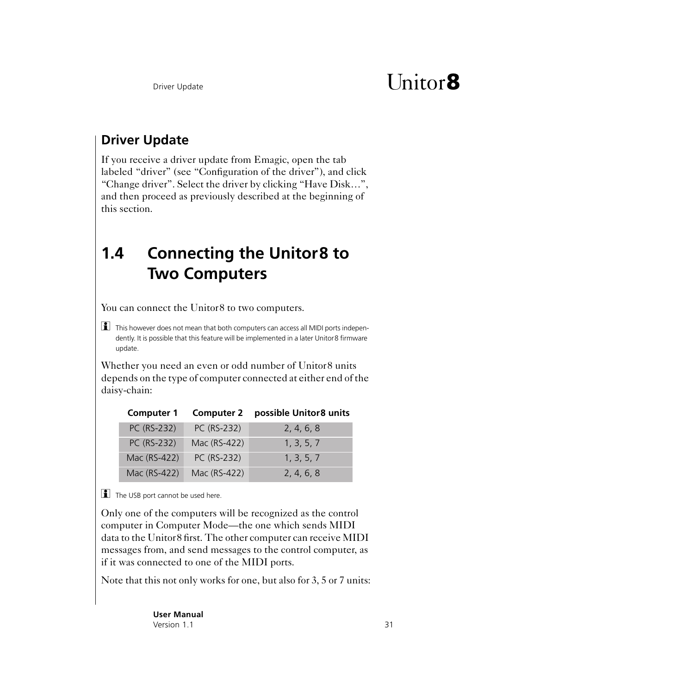# $\overline{\mathrm{Uniform}}$

## <span id="page-30-0"></span>**Driver Update**

If you receive a driver update from Emagic, open the tab labeled "driver" (see "Configuration of the driver"), and click "Change driver". Select the driver by clicking "Have Disk…", and then proceed as previously described at the beginning of this section.

## <span id="page-30-1"></span>**1.4 Connecting the Unitor8 to Two Computers**

You can connect the Unitor8 to two computers.

**1** This however does not mean that both computers can access all MIDI ports independently. It is possible that this feature will be implemented in a later Unitor8 firmware update.

Whether you need an even or odd number of Unitor8 units depends on the type of computer connected at either end of the daisy-chain:

| <b>Computer 1</b> | <b>Computer 2</b> | possible Unitor8 units |
|-------------------|-------------------|------------------------|
| PC (RS-232)       | PC (RS-232)       | 2, 4, 6, 8             |
| PC (RS-232)       | Mac (RS-422)      | 1, 3, 5, 7             |
| Mac (RS-422)      | PC (RS-232)       | 1, 3, 5, 7             |
| Mac (RS-422)      | Mac (RS-422)      | 2, 4, 6, 8             |

The USB port cannot be used here.

Only one of the computers will be recognized as the control computer in Computer Mode—the one which sends MIDI data to the Unitor8 first. The other computer can receive MIDI messages from, and send messages to the control computer, as if it was connected to one of the MIDI ports.

Note that this not only works for one, but also for 3, 5 or 7 units: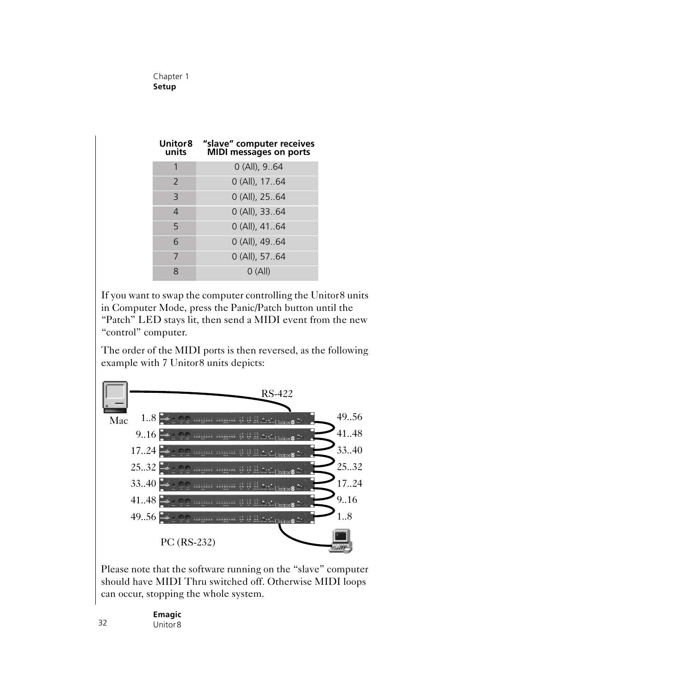Chapter 1 **Setup**

| Unitor <sub>8</sub><br>units | "slave" computer receives<br>MIDI messages on ports |  |  |
|------------------------------|-----------------------------------------------------|--|--|
| 1                            | $0$ (All), $9.64$                                   |  |  |
| $\mathcal{P}$                | O (All), 17.64                                      |  |  |
| $\overline{3}$               | 0 (All), 25.64                                      |  |  |
| 4                            | $0$ (All), 3364                                     |  |  |
| 5                            | O (All), 41.64                                      |  |  |
| 6                            | O (All), 49.64                                      |  |  |
| 7                            | $0$ (All), 57.64                                    |  |  |
| Ջ                            | O(A  )                                              |  |  |

If you want to swap the computer controlling the Unitor8 units in Computer Mode, press the Panic/Patch button until the "Patch" LED stays lit, then send a MIDI event from the new "control" computer.

The order of the MIDI ports is then reversed, as the following example with 7 Unitor8 units depicts:



Please note that the software running on the "slave" computer should have MIDI Thru switched off. Otherwise MIDI loops can occur, stopping the whole system.

**Emagic** 32 Unitor8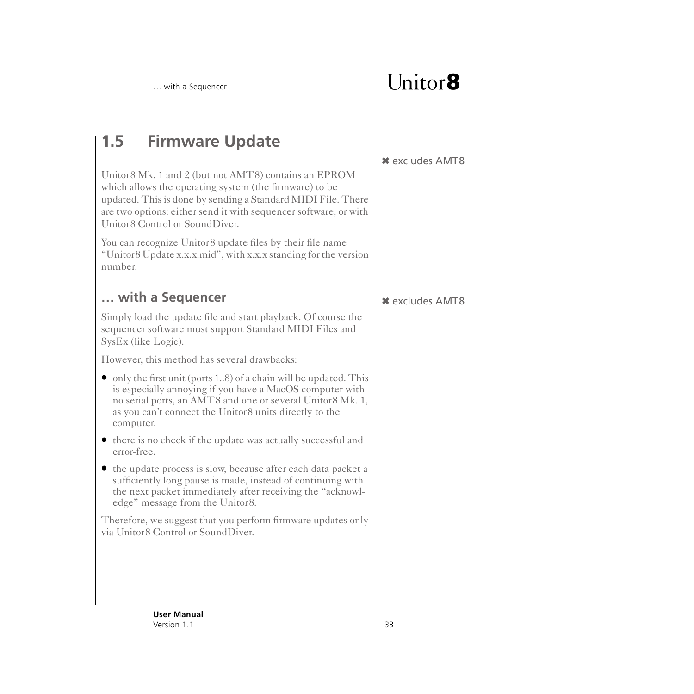## <span id="page-32-0"></span>**1.5 Firmware Update**

Unitor8 Mk. 1 and 2 (but not AMT8) contains an EPROM which allows the operating system (the firmware) to be updated. This is done by sending a Standard MIDI File. There are two options: either send it with sequencer software, or with Unitor8 Control or SoundDiver.

You can recognize Unitor8 update files by their file name "Unitor8 Update x.x.x.mid", with x.x.x standing for the version number.

## <span id="page-32-1"></span>**… with a Sequencer**

Simply load the update file and start playback. Of course the sequencer software must support Standard MIDI Files and SysEx (like Logic).

However, this method has several drawbacks:

- only the first unit (ports 1..8) of a chain will be updated. This is especially annoying if you have a MacOS computer with no serial ports, an AMT8 and one or several Unitor8 Mk. 1, as you can't connect the Unitor8 units directly to the computer.
- there is no check if the update was actually successful and error-free.
- the update process is slow, because after each data packet a sufficiently long pause is made, instead of continuing with the next packet immediately after receiving the "acknowledge" message from the Unitor8.

Therefore, we suggest that you perform firmware updates only via Unitor8 Control or SoundDiver.

✖ exc udes AMT8

✖ excludes AMT8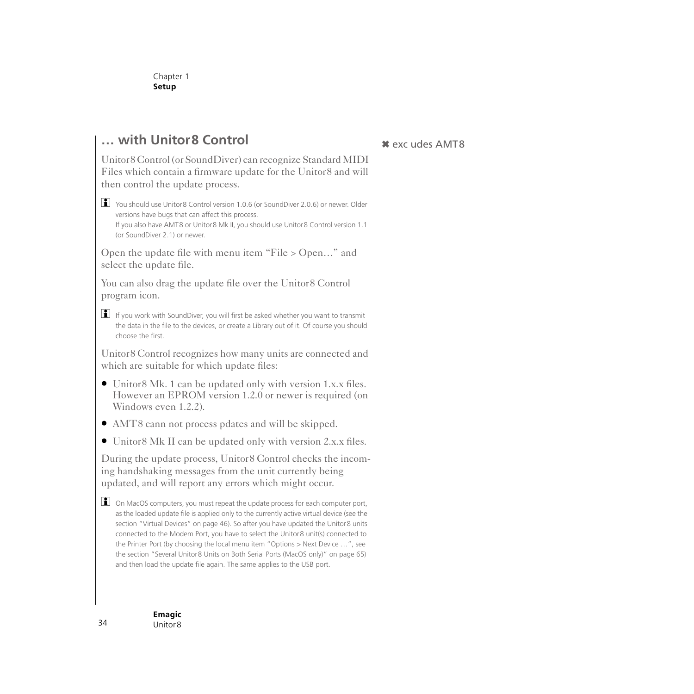<span id="page-33-0"></span>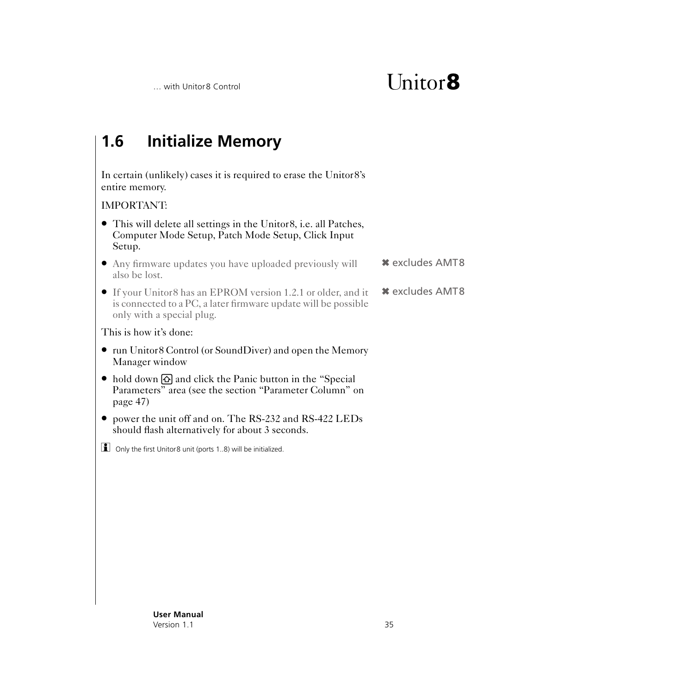# $Unitor8$

## <span id="page-34-0"></span>**1.6 Initialize Memory**

In certain (unlikely) cases it is required to erase the Unitor8's entire memory.

#### IMPORTANT:

- This will delete all settings in the Unitor8, i.e. all Patches, Computer Mode Setup, Patch Mode Setup, Click Input Setup.
- Any firmware updates you have uploaded previously will also be lost. ✖ excludes AMT8
- If your Unitor8 has an EPROM version 1.2.1 or older, and it is connected to a PC, a later firmware update will be possible only with a special plug. ✖ excludes AMT8

This is how it's done:

- run Unitor8 Control (or SoundDiver) and open the Memory Manager window
- hold down  $\overline{\Theta}$  and click the Panic button in the "Special" Parameters" area (see the [section "Parameter Column" on](#page-46-0)  [page 47\)](#page-46-0)
- power the unit off and on. The RS-232 and RS-422 LEDs should flash alternatively for about 3 seconds.

**1** Only the first Unitor8 unit (ports 1..8) will be initialized.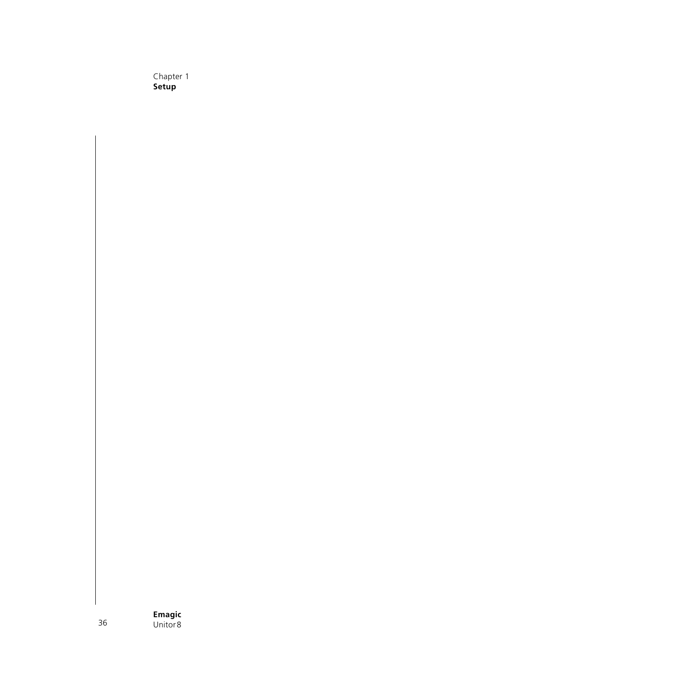Chapter 1 **Setup**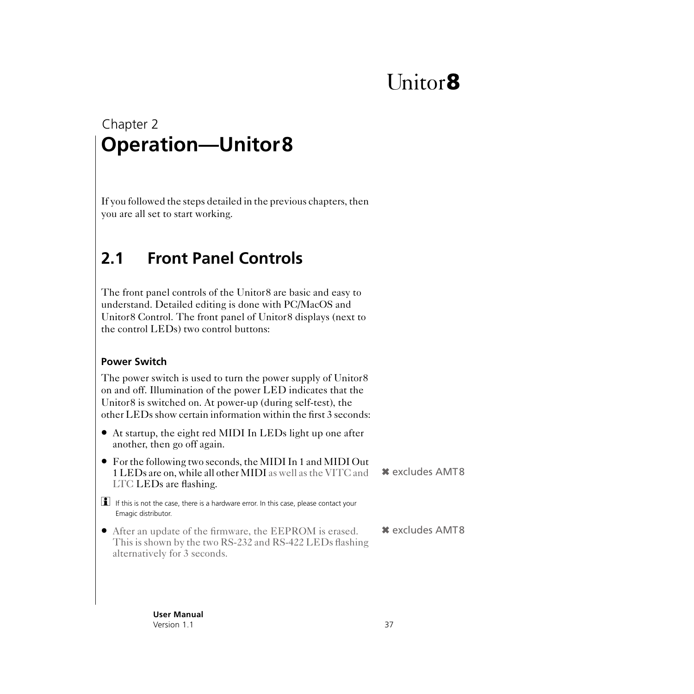# $Unitor8$

## **Operation—Unitor8** Chapter 2

If you followed the steps detailed in the previous chapters, then you are all set to start working.

## **2.1 Front Panel Controls**

The front panel controls of the Unitor8 are basic and easy to understand. Detailed editing is done with PC/MacOS and Unitor8 Control. The front panel of Unitor8 displays (next to the control LEDs) two control buttons:

### **Power Switch**

The power switch is used to turn the power supply of Unitor8 on and off. Illumination of the power LED indicates that the Unitor8 is switched on. At power-up (during self-test), the other LEDs show certain information within the first 3 seconds:

- At startup, the eight red MIDI In LEDs light up one after another, then go off again.
- For the following two seconds, the MIDI In 1 and MIDI Out 1 LEDs are on, while all other MIDI as well as the VITC and LTC LEDs are flashing. ✖ excludes AMT8
- **1** If this is not the case, there is a hardware error. In this case, please contact your Emagic distributor.
- After an update of the firmware, the EEPROM is erased. This is shown by the two RS-232 and RS-422 LEDs flashing alternatively for 3 seconds. ✖ excludes AMT8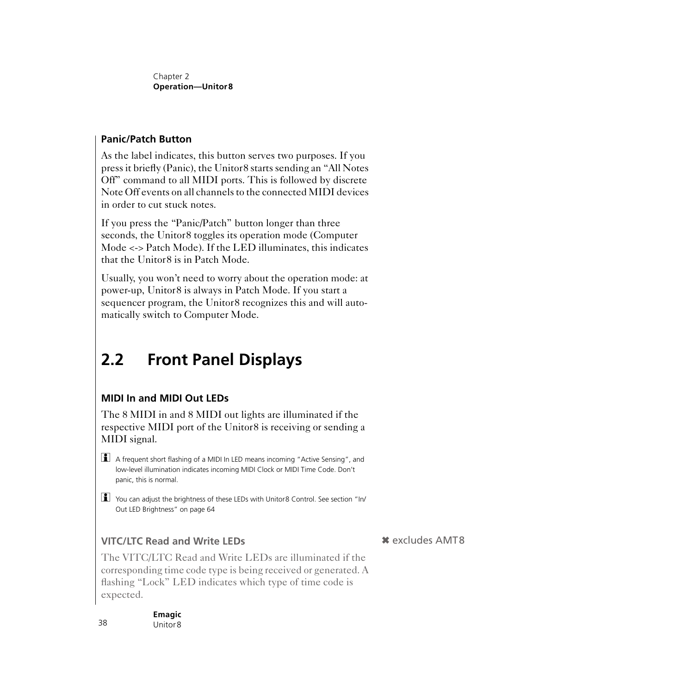Chapter 2 **Operation—Unitor8**

### **Panic/Patch Button**

As the label indicates, this button serves two purposes. If you press it briefly (Panic), the Unitor8 starts sending an "All Notes Off" command to all MIDI ports. This is followed by discrete Note Off events on all channels to the connected MIDI devices in order to cut stuck notes.

If you press the "Panic/Patch" button longer than three seconds, the Unitor8 toggles its operation mode (Computer Mode <-> Patch Mode). If the LED illuminates, this indicates that the Unitor8 is in Patch Mode.

Usually, you won't need to worry about the operation mode: at power-up, Unitor8 is always in Patch Mode. If you start a sequencer program, the Unitor8 recognizes this and will automatically switch to Computer Mode.

## **2.2 Front Panel Displays**

### **MIDI In and MIDI Out LEDs**

The 8 MIDI in and 8 MIDI out lights are illuminated if the respective MIDI port of the Unitor8 is receiving or sending a MIDI signal.

1 A frequent short flashing of a MIDI In LED means incoming "Active Sensing", and low-level illumination indicates incoming MIDI Clock or MIDI Time Code. Don't panic, this is normal.

- You can adjust the brightness of these LEDs with Unitor8 Control. See [section "In/](#page-63-0) [Out LED Brightness" on page 64](#page-63-0)

### **VITC/LTC Read and Write LEDs**

The VITC/LTC Read and Write LEDs are illuminated if the corresponding time code type is being received or generated. A flashing "Lock" LED indicates which type of time code is expected.

**Emagic** 38 Unitor8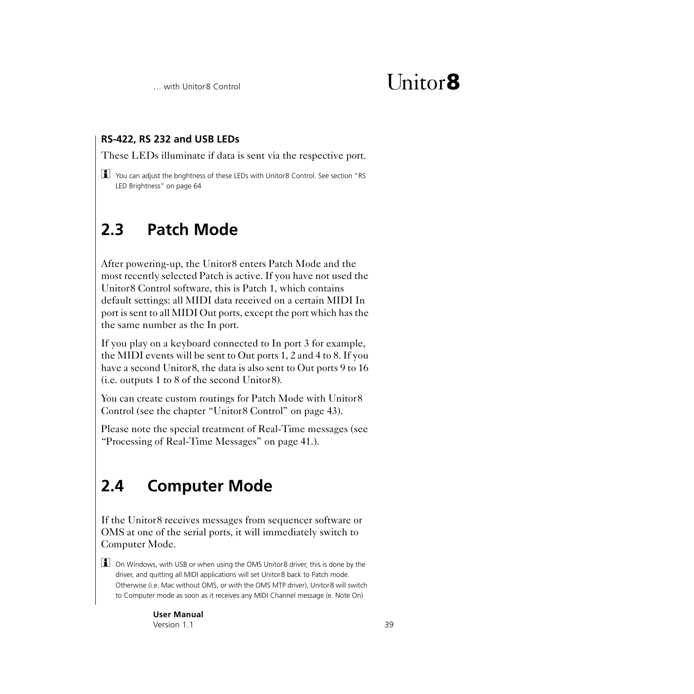### **RS-422, RS 232 and USB LEDs**

These LEDs illuminate if data is sent via the respective port.

- You can adjust the brightness of these LEDs with Unitor8 Control. See [section "RS](#page-63-1)  [LED Brightness" on page 64](#page-63-1)

## **2.3 Patch Mode**

After powering-up, the Unitor8 enters Patch Mode and the most recently selected Patch is active. If you have not used the Unitor8 Control software, this is Patch 1, which contains default settings: all MIDI data received on a certain MIDI In port is sent to all MIDI Out ports, except the port which has the the same number as the In port.

If you play on a keyboard connected to In port 3 for example, the MIDI events will be sent to Out ports 1, 2 and 4 to 8. If you have a second Unitor 8, the data is also sent to Out ports 9 to 16 (i.e. outputs 1 to 8 of the second Unitor8).

You can create custom routings for Patch Mode with Unitor8 Control (see the [chapter "Unitor8 Control" on page 43](#page-42-0)).

Please note the special treatment of Real-Time messages [\(see](#page-40-0)  ["Processing of Real-Time Messages" on page 41.](#page-40-0)).

## **2.4 Computer Mode**

If the Unitor8 receives messages from sequencer software or OMS at one of the serial ports, it will immediately switch to Computer Mode.

**1** On Windows, with USB or when using the OMS Unitor8 driver, this is done by the driver, and quitting all MIDI applications will set Unitor8 back to Patch mode. Otherwise (i.e. Mac without OMS, or with the OMS MTP driver), Unitor8 will switch to Computer mode as soon as it receives any MIDI Channel message (e. Note On)

 $\overline{\mathrm{Uniform}}$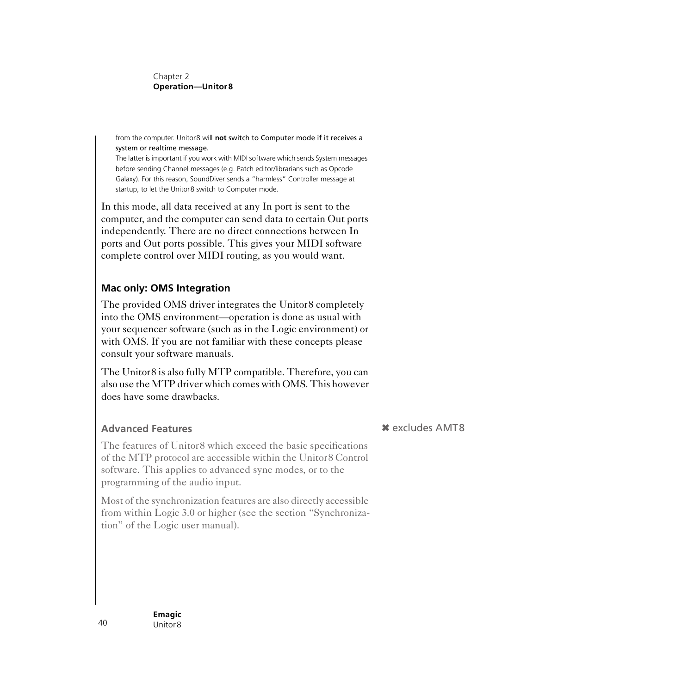from the computer. Unitor8 will **not** switch to Computer mode if it receives a system or realtime message.

The latter is important if you work with MIDI software which sends System messages before sending Channel messages (e.g. Patch editor/librarians such as Opcode Galaxy). For this reason, SoundDiver sends a "harmless" Controller message at startup, to let the Unitor8 switch to Computer mode.

In this mode, all data received at any In port is sent to the computer, and the computer can send data to certain Out ports independently. There are no direct connections between In ports and Out ports possible. This gives your MIDI software complete control over MIDI routing, as you would want.

### **Mac only: OMS Integration**

The provided OMS driver integrates the Unitor8 completely into the OMS environment—operation is done as usual with your sequencer software (such as in the Logic environment) or with OMS. If you are not familiar with these concepts please consult your software manuals.

The Unitor8 is also fully MTP compatible. Therefore, you can also use the MTP driver which comes with OMS. This however does have some drawbacks.

### **Advanced Features**

The features of Unitor8 which exceed the basic specifications of the MTP protocol are accessible within the Unitor8 Control software. This applies to advanced sync modes, or to the programming of the audio input.

Most of the synchronization features are also directly accessible from within Logic 3.0 or higher (see the section "Synchronization" of the Logic user manual).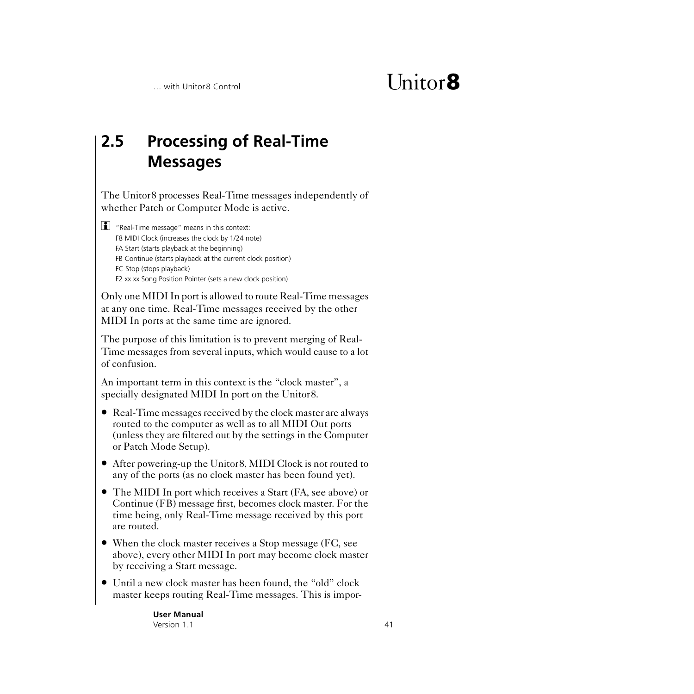## <span id="page-40-0"></span>**2.5 Processing of Real-Time Messages**

The Unitor8 processes Real-Time messages independently of whether Patch or Computer Mode is active.

**1** "Real-Time message" means in this context: F8 MIDI Clock (increases the clock by 1/24 note) FA Start (starts playback at the beginning) FB Continue (starts playback at the current clock position) FC Stop (stops playback) F2 xx xx Song Position Pointer (sets a new clock position)

Only one MIDI In port is allowed to route Real-Time messages at any one time. Real-Time messages received by the other MIDI In ports at the same time are ignored.

The purpose of this limitation is to prevent merging of Real-Time messages from several inputs, which would cause to a lot of confusion.

An important term in this context is the "clock master", a specially designated MIDI In port on the Unitor8.

- Real-Time messages received by the clock master are always routed to the computer as well as to all MIDI Out ports (unless they are filtered out by the settings in the Computer or Patch Mode Setup).
- After powering-up the Unitor8, MIDI Clock is not routed to any of the ports (as no clock master has been found yet).
- The MIDI In port which receives a Start (FA, see above) or Continue (FB) message first, becomes clock master. For the time being, only Real-Time message received by this port are routed.
- When the clock master receives a Stop message (FC, see above), every other MIDI In port may become clock master by receiving a Start message.
- Until a new clock master has been found, the "old" clock master keeps routing Real-Time messages. This is impor-

**User Manual** Version 1.1

 $\overline{\mathrm{Uniform}}$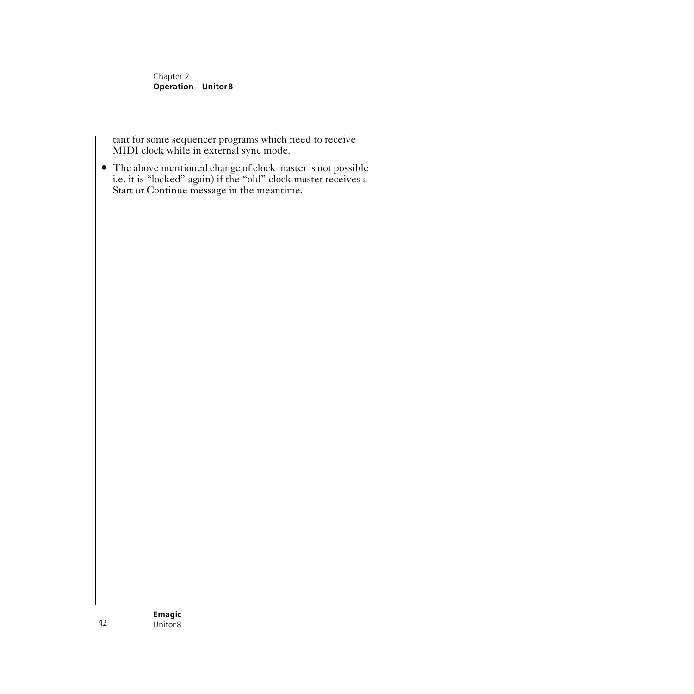tant for some sequencer programs which need to receive MIDI clock while in external sync mode.

• The above mentioned change of clock master is not possible i.e. it is "locked" again) if the "old" clock master receives a Start or Continue message in the meantime.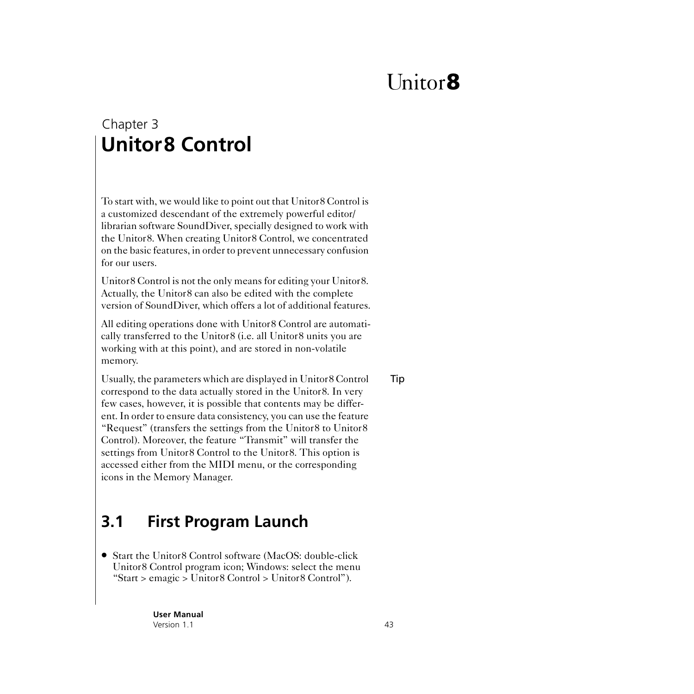# $Unitor8$

## <span id="page-42-0"></span>**Unitor8 Control** Chapter 3

To start with, we would like to point out that Unitor8 Control is a customized descendant of the extremely powerful editor/ librarian software SoundDiver, specially designed to work with the Unitor8. When creating Unitor8 Control, we concentrated on the basic features, in order to prevent unnecessary confusion for our users.

Unitor8 Control is not the only means for editing your Unitor8. Actually, the Unitor8 can also be edited with the complete version of SoundDiver, which offers a lot of additional features.

All editing operations done with Unitor8 Control are automatically transferred to the Unitor8 (i.e. all Unitor8 units you are working with at this point), and are stored in non-volatile memory.

Usually, the parameters which are displayed in Unitor8 Control correspond to the data actually stored in the Unitor8. In very few cases, however, it is possible that contents may be different. In order to ensure data consistency, you can use the feature "Request" (transfers the settings from the Unitor8 to Unitor8 Control). Moreover, the feature "Transmit" will transfer the settings from Unitor8 Control to the Unitor8. This option is accessed either from the MIDI menu, or the corresponding icons in the Memory Manager.

### Tip

## <span id="page-42-1"></span>**3.1 First Program Launch**

• Start the Unitor 8 Control software (MacOS: double-click Unitor8 Control program icon; Windows: select the menu "Start > emagic > Unitor8 Control > Unitor8 Control").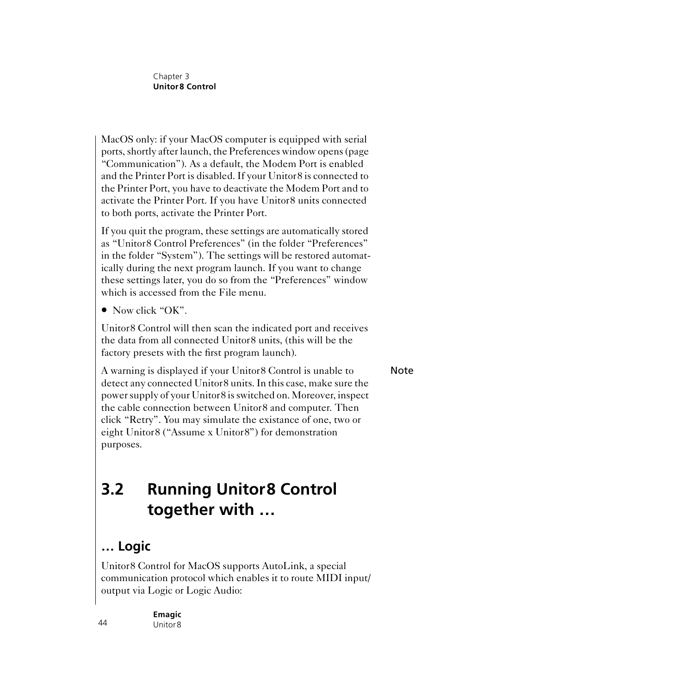MacOS only: if your MacOS computer is equipped with serial ports, shortly after launch, the Preferences window opens (page "Communication"). As a default, the Modem Port is enabled and the Printer Port is disabled. If your Unitor8 is connected to the Printer Port, you have to deactivate the Modem Port and to activate the Printer Port. If you have Unitor8 units connected to both ports, activate the Printer Port.

If you quit the program, these settings are automatically stored as "Unitor8 Control Preferences" (in the folder "Preferences" in the folder "System"). The settings will be restored automatically during the next program launch. If you want to change these settings later, you do so from the "Preferences" window which is accessed from the File menu.

• Now click " $\Omega$ K".

Unitor8 Control will then scan the indicated port and receives the data from all connected Unitor8 units, (this will be the factory presets with the first program launch).

Note

A warning is displayed if your Unitor8 Control is unable to detect any connected Unitor8 units. In this case, make sure the power supply of your Unitor8 is switched on. Moreover, inspect the cable connection between Unitor8 and computer. Then click "Retry". You may simulate the existance of one, two or eight Unitor8 ("Assume x Unitor8") for demonstration purposes.

## **3.2 Running Unitor8 Control together with …**

## **… Logic**

Unitor8 Control for MacOS supports AutoLink, a special communication protocol which enables it to route MIDI input/ output via Logic or Logic Audio: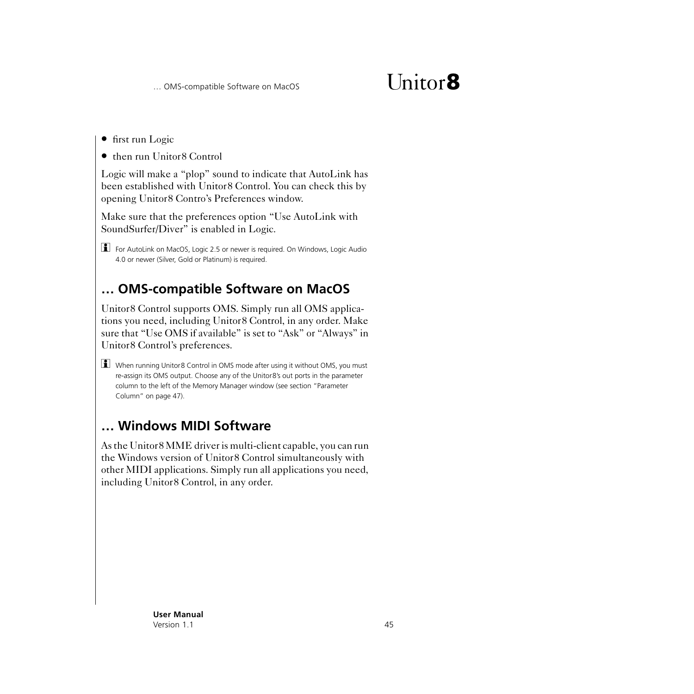## $\overline{\mathrm{Uniform}}$

- first run Logic
- then run Unitor8 Control

Logic will make a "plop" sound to indicate that AutoLink has been established with Unitor8 Control. You can check this by opening Unitor8 Contro's Preferences window.

Make sure that the preferences option "Use AutoLink with SoundSurfer/Diver" is enabled in Logic.

## **… OMS-compatible Software on MacOS**

Unitor8 Control supports OMS. Simply run all OMS applications you need, including Unitor8 Control, in any order. Make sure that "Use OMS if available" is set to "Ask" or "Always" in Unitor8 Control's preferences.

**1** When running Unitor8 Control in OMS mode after using it without OMS, you must re-assign its OMS output. Choose any of the Unitor8's out ports in the parameter column to the left of the Memory Manager window (see [section "Parameter](#page-46-0)  [Column" on page 47](#page-46-0)).

## **… Windows MIDI Software**

As the Unitor8 MME driver is multi-client capable, you can run the Windows version of Unitor8 Control simultaneously with other MIDI applications. Simply run all applications you need, including Unitor8 Control, in any order.

<sup>-</sup> For AutoLink on MacOS, Logic 2.5 or newer is required. On Windows, Logic Audio 4.0 or newer (Silver, Gold or Platinum) is required.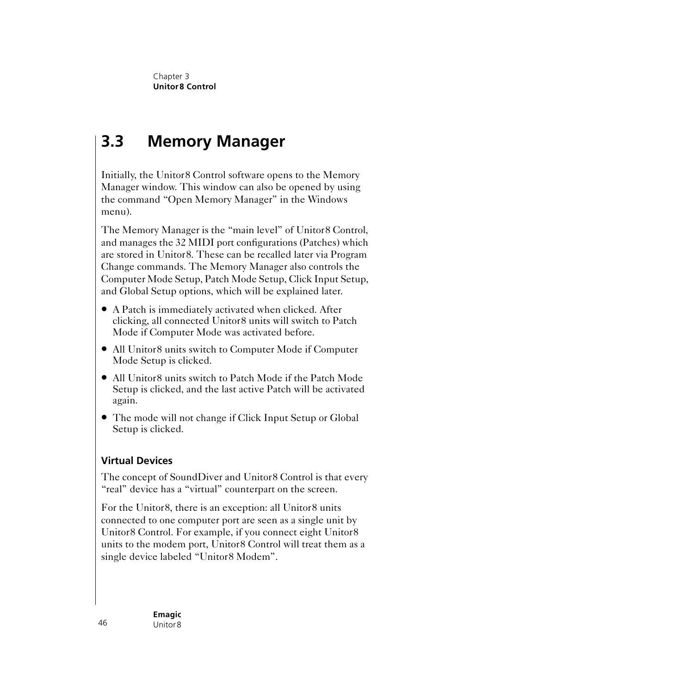## **3.3 Memory Manager**

Initially, the Unitor8 Control software opens to the Memory Manager window. This window can also be opened by using the command "Open Memory Manager" in the Windows menu).

The Memory Manager is the "main level" of Unitor8 Control, and manages the 32 MIDI port configurations (Patches) which are stored in Unitor8. These can be recalled later via Program Change commands. The Memory Manager also controls the Computer Mode Setup, Patch Mode Setup, Click Input Setup, and Global Setup options, which will be explained later.

- A Patch is immediately activated when clicked. After clicking, all connected Unitor8 units will switch to Patch Mode if Computer Mode was activated before.
- All Unitor8 units switch to Computer Mode if Computer Mode Setup is clicked.
- All Unitor 8 units switch to Patch Mode if the Patch Mode Setup is clicked, and the last active Patch will be activated again.
- The mode will not change if Click Input Setup or Global Setup is clicked.

### **Virtual Devices**

The concept of SoundDiver and Unitor8 Control is that every "real" device has a "virtual" counterpart on the screen.

For the Unitor8, there is an exception: all Unitor8 units connected to one computer port are seen as a single unit by Unitor8 Control. For example, if you connect eight Unitor8 units to the modem port, Unitor8 Control will treat them as a single device labeled "Unitor8 Modem".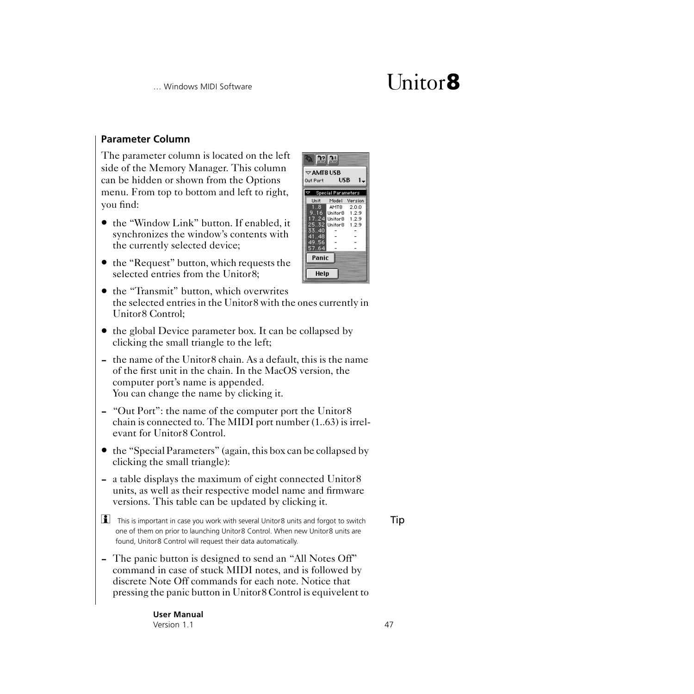### <span id="page-46-0"></span>**Parameter Column**

The parameter column is located on the left side of the Memory Manager. This column can be hidden or shown from the Options menu. From top to bottom and left to right, you find:

- the "Window Link" button. If enabled, it synchronizes the window's contents with the currently selected device;
- the "Request" button, which requests the selected entries from the Unitor8;



- the "Transmit" button, which overwrites the selected entries in the Unitor8 with the ones currently in Unitor8 Control;
- the global Device parameter box. It can be collapsed by clicking the small triangle to the left;
- the name of the Unitor8 chain. As a default, this is the name of the first unit in the chain. In the MacOS version, the computer port's name is appended. You can change the name by clicking it.
- "Out Port": the name of the computer port the Unitor8 chain is connected to. The MIDI port number (1..63) is irrelevant for Unitor8 Control.
- the "Special Parameters" (again, this box can be collapsed by clicking the small triangle):
- a table displays the maximum of eight connected Unitor8 units, as well as their respective model name and firmware versions. This table can be updated by clicking it.
- **1** This is important in case you work with several Unitor8 units and forgot to switch one of them on prior to launching Unitor8 Control. When new Unitor8 units are found, Unitor8 Control will request their data automatically.

Tip

 $\overline{\mathrm{Uniform}}$ 

- The panic button is designed to send an "All Notes Off" command in case of stuck MIDI notes, and is followed by discrete Note Off commands for each note. Notice that pressing the panic button in Unitor8 Control is equivelent to

> **User Manual** Version 1.1

47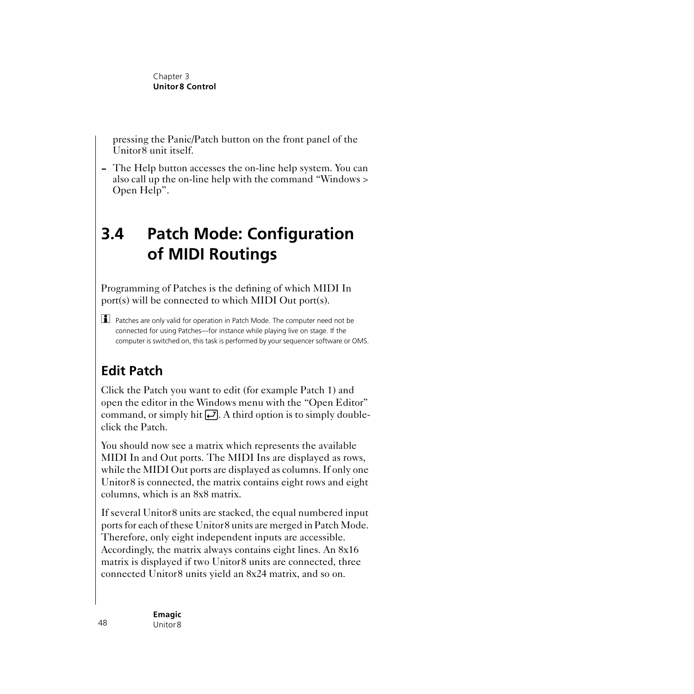pressing the Panic/Patch button on the front panel of the Unitor8 unit itself.

- The Help button accesses the on-line help system. You can also call up the on-line help with the command "Windows > Open Help".

## **3.4 Patch Mode: Configuration of MIDI Routings**

Programming of Patches is the defining of which MIDI In port(s) will be connected to which MIDI Out port(s).

**1** Patches are only valid for operation in Patch Mode. The computer need not be connected for using Patches—for instance while playing live on stage. If the computer is switched on, this task is performed by your sequencer software or OMS.

## **Edit Patch**

Click the Patch you want to edit (for example Patch 1) and open the editor in the Windows menu with the "Open Editor" command, or simply hit  $\mathcal{F}$ . A third option is to simply doubleclick the Patch.

You should now see a matrix which represents the available MIDI In and Out ports. The MIDI Ins are displayed as rows, while the MIDI Out ports are displayed as columns. If only one Unitor8 is connected, the matrix contains eight rows and eight columns, which is an 8x8 matrix.

If several Unitor8 units are stacked, the equal numbered input ports for each of these Unitor8 units are merged in Patch Mode. Therefore, only eight independent inputs are accessible. Accordingly, the matrix always contains eight lines. An 8x16 matrix is displayed if two Unitor8 units are connected, three connected Unitor8 units yield an 8x24 matrix, and so on.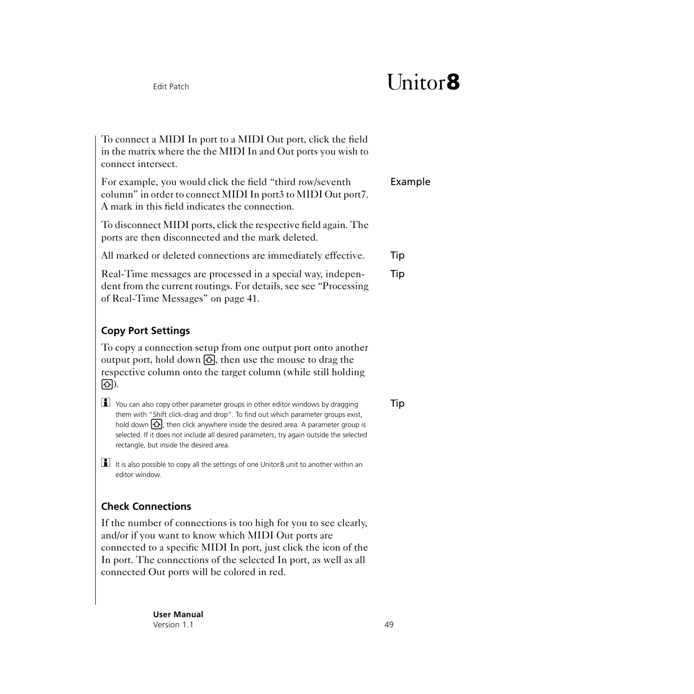# $\overline{\mathrm{Uniform}}$

To connect a MIDI In port to a MIDI Out port, click the field in the matrix where the the MIDI In and Out ports you wish to connect intersect. For example, you would click the field "third row/seventh column" in order to connect MIDI In port3 to MIDI Out port7. A mark in this field indicates the connection. To disconnect MIDI ports, click the respective field again. The ports are then disconnected and the mark deleted. All marked or deleted connections are immediately effective. Real-Time messages are processed in a special way, independent from the current routings. For details, see [see "Processing](#page-40-0)  Example Tip Tip

[of Real-Time Messages" on page 41.](#page-40-0)

### **Copy Port Settings**

To copy a connection setup from one output port onto another output port, hold down  $\Omega$ , then use the mouse to drag the respective column onto the target column (while still holding S).

- **1** You can also copy other parameter groups in other editor windows by dragging them with "Shift click-drag and drop". To find out which parameter groups exist, hold down  $\Omega$ , then click anywhere inside the desired area. A parameter group is selected. If it does not include all desired parameters, try again outside the selected rectangle, but inside the desired area. Tip
- **1** It is also possible to copy all the settings of one Unitor8 unit to another within an editor window.

### **Check Connections**

If the number of connections is too high for you to see clearly, and/or if you want to know which MIDI Out ports are connected to a specific MIDI In port, just click the icon of the In port. The connections of the selected In port, as well as all connected Out ports will be colored in red.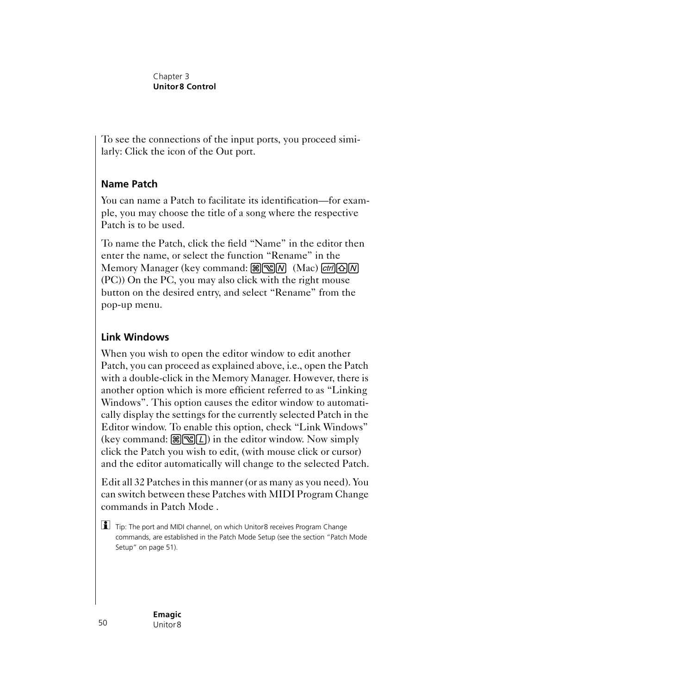To see the connections of the input ports, you proceed similarly: Click the icon of the Out port.

### **Name Patch**

You can name a Patch to facilitate its identification—for example, you may choose the title of a song where the respective Patch is to be used.

To name the Patch, click the field "Name" in the editor then enter the name, or select the function "Rename" in the Memory Manager (key command: RRINGIN (Mac) *ctri* GIN (PC)) On the PC, you may also click with the right mouse button on the desired entry, and select "Rename" from the pop-up menu.

### **Link Windows**

When you wish to open the editor window to edit another Patch, you can proceed as explained above, i.e., open the Patch with a double-click in the Memory Manager. However, there is another option which is more efficient referred to as "Linking Windows". This option causes the editor window to automatically display the settings for the currently selected Patch in the Editor window. To enable this option, check "Link Windows" (key command:  $\mathbb{R}[\mathbb{R}[L])$  in the editor window. Now simply click the Patch you wish to edit, (with mouse click or cursor) and the editor automatically will change to the selected Patch.

Edit all 32 Patches in this manner (or as many as you need). You can switch between these Patches with MIDI Program Change commands in Patch Mode .

**1** Tip: The port and MIDI channel, on which Unitor8 receives Program Change commands, are established in the Patch Mode Setup (see the [section "Patch Mode](#page-50-0)  [Setup" on page 51\)](#page-50-0).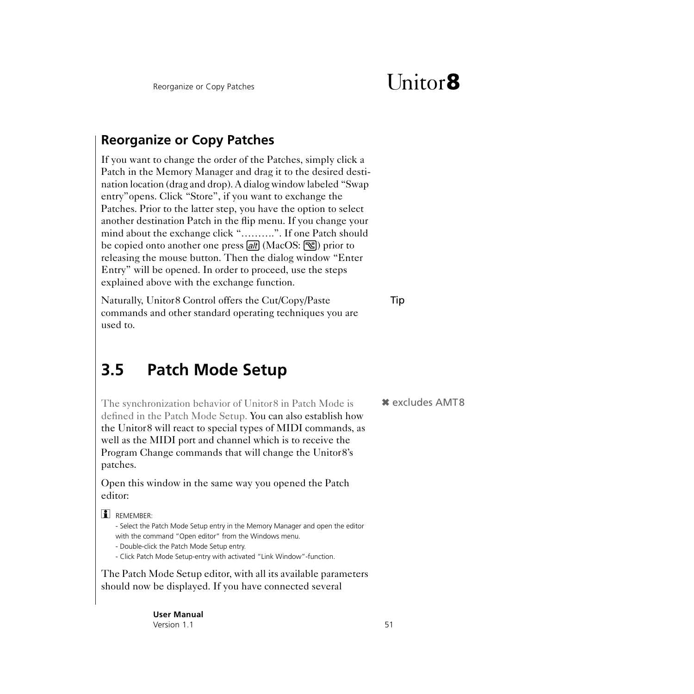### **Reorganize or Copy Patches**

If you want to change the order of the Patches, simply click a Patch in the Memory Manager and drag it to the desired destination location (drag and drop). A dialog window labeled "Swap entry"opens. Click "Store", if you want to exchange the Patches. Prior to the latter step, you have the option to select another destination Patch in the flip menu. If you change your mind about the exchange click "……….". If one Patch should be copied onto another one press  $\left[\vec{a}\right]$  (MacOS:  $\left[\vec{v}\right]$ ) prior to releasing the mouse button. Then the dialog window "Enter Entry" will be opened. In order to proceed, use the steps explained above with the exchange function.

Naturally, Unitor8 Control offers the Cut/Copy/Paste commands and other standard operating techniques you are used to.

Tip

## <span id="page-50-0"></span>**3.5 Patch Mode Setup**

The synchronization behavior of Unitor8 in Patch Mode is defined in the Patch Mode Setup. You can also establish how the Unitor8 will react to special types of MIDI commands, as well as the MIDI port and channel which is to receive the Program Change commands that will change the Unitor8's patches.

Open this window in the same way you opened the Patch editor:

**1** REMEMBER:

- Select the Patch Mode Setup entry in the Memory Manager and open the editor with the command "Open editor" from the Windows menu.

- Double-click the Patch Mode Setup entry.

- Click Patch Mode Setup-entry with activated "Link Window"-function.

The Patch Mode Setup editor, with all its available parameters should now be displayed. If you have connected several

> **User Manual** Version 1.1

✖ excludes AMT8

 $\overline{\mathrm{Uniform}}$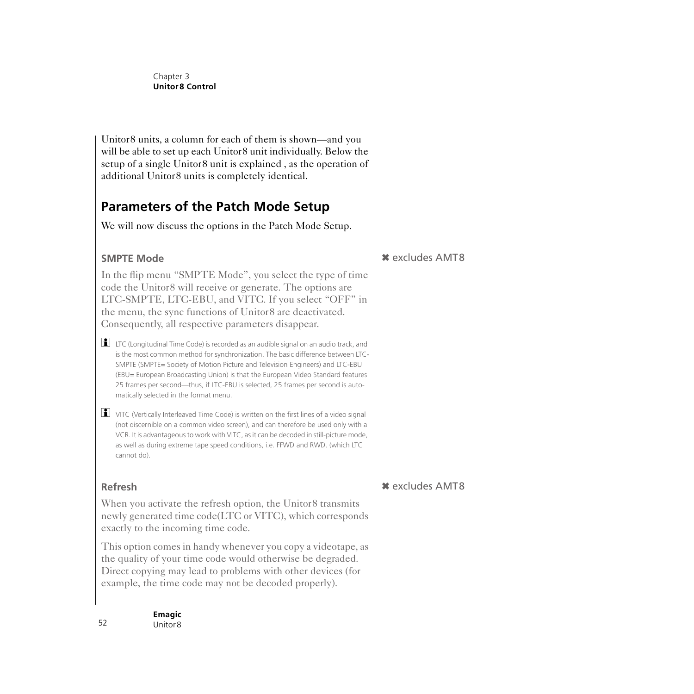Unitor8 units, a column for each of them is shown—and you will be able to set up each Unitor8 unit individually. Below the setup of a single Unitor8 unit is explained , as the operation of additional Unitor8 units is completely identical.

### **Parameters of the Patch Mode Setup**

We will now discuss the options in the Patch Mode Setup.

### **SMPTE Mode**

In the flip menu "SMPTE Mode", you select the type of time code the Unitor8 will receive or generate. The options are LTC-SMPTE, LTC-EBU, and VITC. If you select "OFF" in the menu, the sync functions of Unitor8 are deactivated. Consequently, all respective parameters disappear.

- **1** LTC (Longitudinal Time Code) is recorded as an audible signal on an audio track, and is the most common method for synchronization. The basic difference between LTC-SMPTE (SMPTE= Society of Motion Picture and Television Engineers) and LTC-EBU (EBU= European Broadcasting Union) is that the European Video Standard features 25 frames per second—thus, if LTC-EBU is selected, 25 frames per second is automatically selected in the format menu.
- **1** VITC (Vertically Interleaved Time Code) is written on the first lines of a video signal (not discernible on a common video screen), and can therefore be used only with a VCR. It is advantageous to work with VITC, as it can be decoded in still-picture mode, as well as during extreme tape speed conditions, i.e. FFWD and RWD. (which LTC cannot do).

### **Refresh**

When you activate the refresh option, the Unitor8 transmits newly generated time code(LTC or VITC), which corresponds exactly to the incoming time code.

This option comes in handy whenever you copy a videotape, as the quality of your time code would otherwise be degraded. Direct copying may lead to problems with other devices (for example, the time code may not be decoded properly).

### ✖ excludes AMT8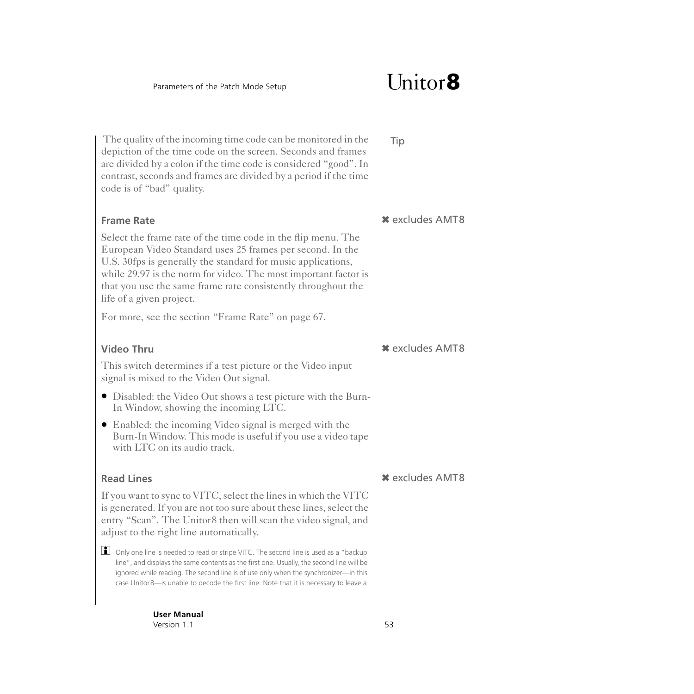$\overline{\mathrm{Uniform}}$ 

The quality of the incoming time code can be monitored in the depiction of the time code on the screen. Seconds and frames are divided by a colon if the time code is considered "good". In contrast, seconds and frames are divided by a period if the time code is of "bad" quality. Tip

### **Frame Rate**

Select the frame rate of the time code in the flip menu. The European Video Standard uses 25 frames per second. In the U.S. 30fps is generally the standard for music applications, while 29.97 is the norm for video. The most important factor is that you use the same frame rate consistently throughout the life of a given project.

For more, see the [section "Frame Rate" on page 67](#page-66-0).

### **Video Thru**

This switch determines if a test picture or the Video input signal is mixed to the Video Out signal.

- Disabled: the Video Out shows a test picture with the Burn-In Window, showing the incoming LTC.
- Enabled: the incoming Video signal is merged with the Burn-In Window. This mode is useful if you use a video tape with LTC on its audio track.

### **Read Lines**

If you want to sync to VITC, select the lines in which the VITC is generated. If you are not too sure about these lines, select the entry "Scan". The Unitor8 then will scan the video signal, and adjust to the right line automatically.

**1** Only one line is needed to read or stripe VITC. The second line is used as a "backup line", and displays the same contents as the first one. Usually, the second line will be ignored while reading. The second line is of use only when the synchronizer—in this case Unitor8—is unable to decode the first line. Note that it is necessary to leave a

✖ excludes AMT8

#### ✖ excludes AMT8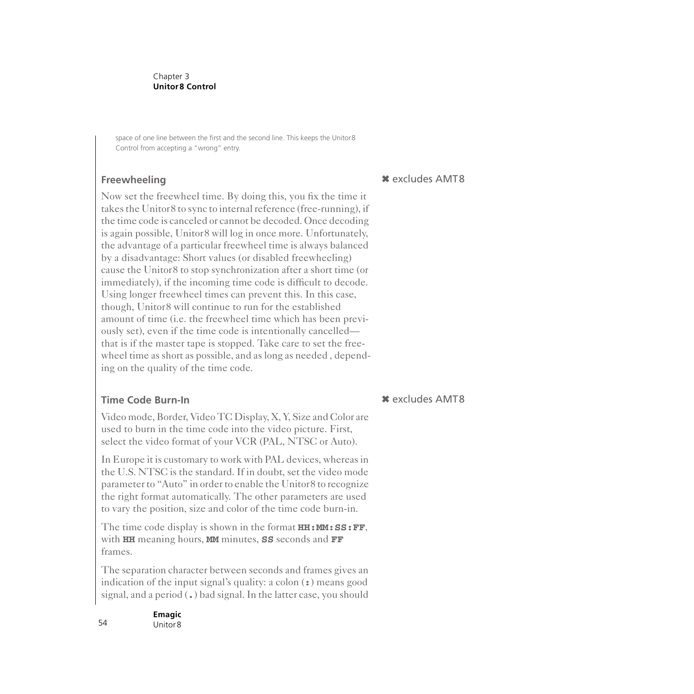space of one line between the first and the second line. This keeps the Unitor8 Control from accepting a "wrong" entry.

### **Freewheeling**

Now set the freewheel time. By doing this, you fix the time it takes the Unitor8 to sync to internal reference (free-running), if the time code is canceled or cannot be decoded. Once decoding is again possible, Unitor8 will log in once more. Unfortunately, the advantage of a particular freewheel time is always balanced by a disadvantage: Short values (or disabled freewheeling) cause the Unitor8 to stop synchronization after a short time (or immediately), if the incoming time code is difficult to decode. Using longer freewheel times can prevent this. In this case, though, Unitor8 will continue to run for the established amount of time (i.e. the freewheel time which has been previously set), even if the time code is intentionally cancelled that is if the master tape is stopped. Take care to set the freewheel time as short as possible, and as long as needed , depending on the quality of the time code.

### **Time Code Burn-In**

Video mode, Border, Video TC Display, X, Y, Size and Color are used to burn in the time code into the video picture. First, select the video format of your VCR (PAL, NTSC or Auto).

In Europe it is customary to work with PAL devices, whereas in the U.S. NTSC is the standard. If in doubt, set the video mode parameter to "Auto" in order to enable the Unitor8 to recognize the right format automatically. The other parameters are used to vary the position, size and color of the time code burn-in.

The time code display is shown in the format **HH:MM:SS:FF**, with **HH** meaning hours, **MM** minutes, **SS** seconds and **FF** frames.

The separation character between seconds and frames gives an indication of the input signal's quality: a colon (**:**) means good signal, and a period (**.**) bad signal. In the latter case, you should

|    | <b>Emagic</b>       |  |  |
|----|---------------------|--|--|
| 54 | Unitor <sub>8</sub> |  |  |

### ✖ excludes AMT8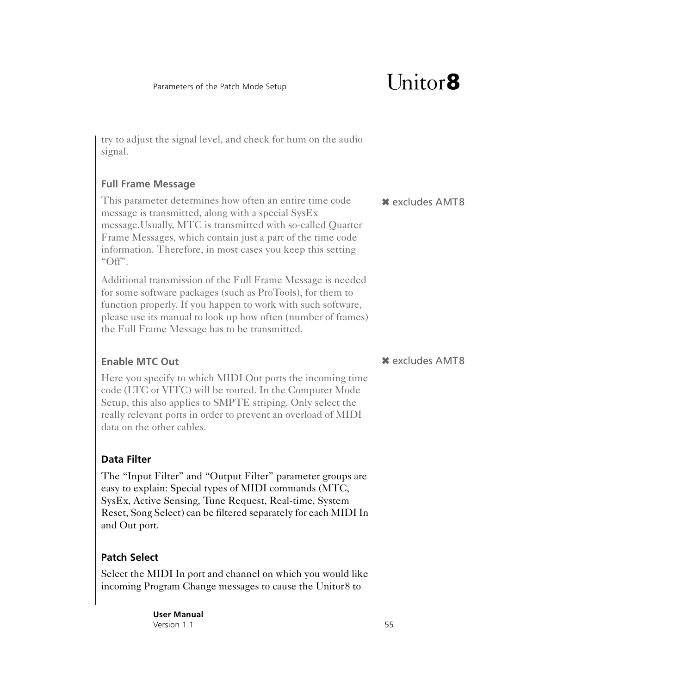$\overline{\mathrm{Uniform}}$ 

try to adjust the signal level, and check for hum on the audio signal.

### **Full Frame Message**

This parameter determines how often an entire time code message is transmitted, along with a special SysEx message.Usually, MTC is transmitted with so-called Quarter Frame Messages, which contain just a part of the time code information. Therefore, in most cases you keep this setting  $"Off"$ .

Additional transmission of the Full Frame Message is needed for some software packages (such as ProTools), for them to function properly. If you happen to work with such software, please use its manual to look up how often (number of frames) the Full Frame Message has to be transmitted.

### **Enable MTC Out**

Here you specify to which MIDI Out ports the incoming time code (LTC or VITC) will be routed. In the Computer Mode Setup, this also applies to SMPTE striping. Only select the really relevant ports in order to prevent an overload of MIDI data on the other cables.

### **Data Filter**

The "Input Filter" and "Output Filter" parameter groups are easy to explain: Special types of MIDI commands (MTC, SysEx, Active Sensing, Tune Request, Real-time, System Reset, Song Select) can be filtered separately for each MIDI In and Out port.

### **Patch Select**

Select the MIDI In port and channel on which you would like incoming Program Change messages to cause the Unitor8 to

✖ excludes AMT8

### ✖ excludes AMT8

**User Manual** Version 1.1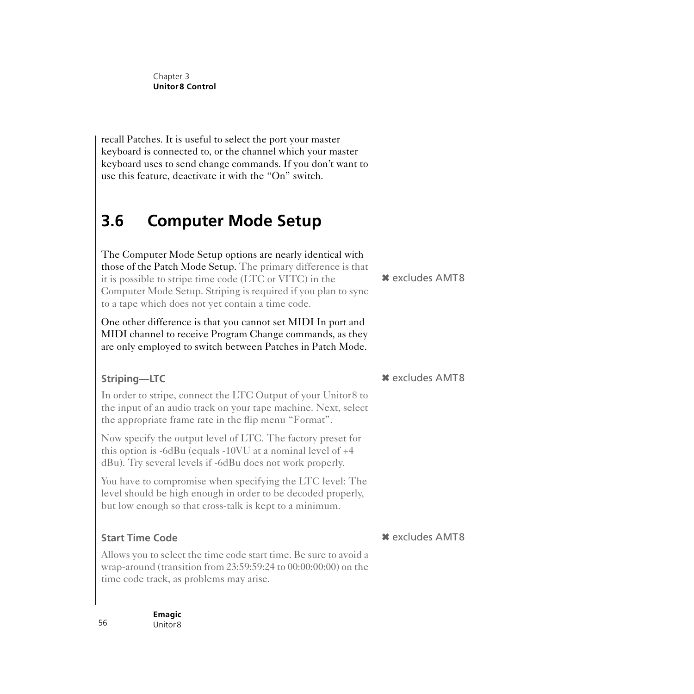recall Patches. It is useful to select the port your master keyboard is connected to, or the channel which your master keyboard uses to send change commands. If you don't want to use this feature, deactivate it with the "On" switch.

## **3.6 Computer Mode Setup**

The Computer Mode Setup options are nearly identical with those of the Patch Mode Setup. The primary difference is that it is possible to stripe time code (LTC or VITC) in the Computer Mode Setup. Striping is required if you plan to sync to a tape which does not yet contain a time code.

One other difference is that you cannot set MIDI In port and MIDI channel to receive Program Change commands, as they are only employed to switch between Patches in Patch Mode.

### <span id="page-55-0"></span>**Striping—LTC**

In order to stripe, connect the LTC Output of your Unitor8 to the input of an audio track on your tape machine. Next, select the appropriate frame rate in the flip menu "Format".

Now specify the output level of LTC. The factory preset for this option is -6dBu (equals -10VU at a nominal level of +4 dBu). Try several levels if -6dBu does not work properly.

You have to compromise when specifying the LTC level: The level should be high enough in order to be decoded properly, but low enough so that cross-talk is kept to a minimum.

### **Start Time Code**

Allows you to select the time code start time. Be sure to avoid a wrap-around (transition from 23:59:59:24 to 00:00:00:00) on the time code track, as problems may arise.

✖ excludes AMT8

### ✖ excludes AMT8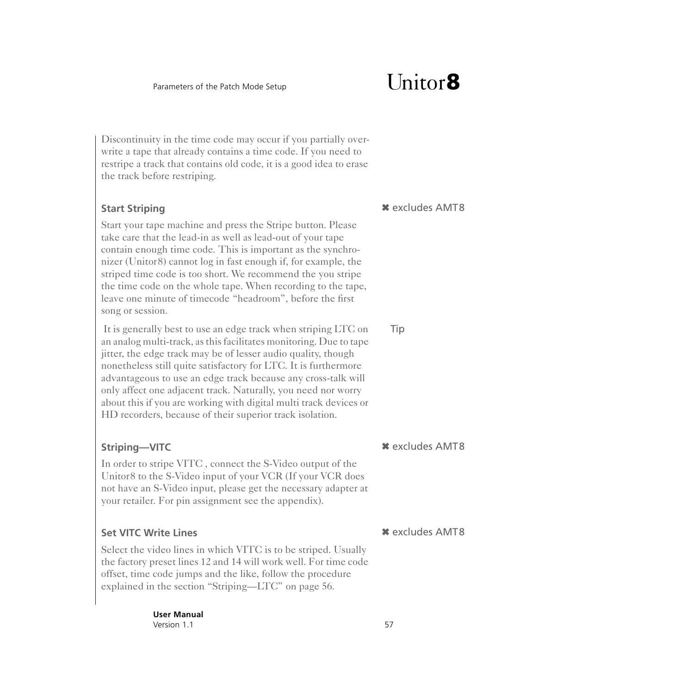Discontinuity in the time code may occur if you partially overwrite a tape that already contains a time code. If you need to restripe a track that contains old code, it is a good idea to erase the track before restriping.

### **Start Striping**

Start your tape machine and press the Stripe button. Please take care that the lead-in as well as lead-out of your tape contain enough time code. This is important as the synchronizer (Unitor8) cannot log in fast enough if, for example, the striped time code is too short. We recommend the you stripe the time code on the whole tape. When recording to the tape, leave one minute of timecode "headroom", before the first song or session.

 It is generally best to use an edge track when striping LTC on an analog multi-track, as this facilitates monitoring. Due to tape jitter, the edge track may be of lesser audio quality, though nonetheless still quite satisfactory for LTC. It is furthermore advantageous to use an edge track because any cross-talk will only affect one adjacent track. Naturally, you need nor worry about this if you are working with digital multi track devices or HD recorders, because of their superior track isolation.

### **Striping—VITC**

In order to stripe VITC , connect the S-Video output of the Unitor8 to the S-Video input of your VCR (If your VCR does not have an S-Video input, please get the necessary adapter at your retailer. For pin assignment see the appendix).

### **Set VITC Write Lines**

Select the video lines in which VITC is to be striped. Usually the factory preset lines 12 and 14 will work well. For time code offset, time code jumps and the like, follow the procedure explained in the [section "Striping—LTC" on page 56](#page-55-0).

> **User Manual** Version 1.1

✖ excludes AMT8

Tip

✖ excludes AMT8

✖ excludes AMT8

# $\overline{\mathrm{Uniform}}$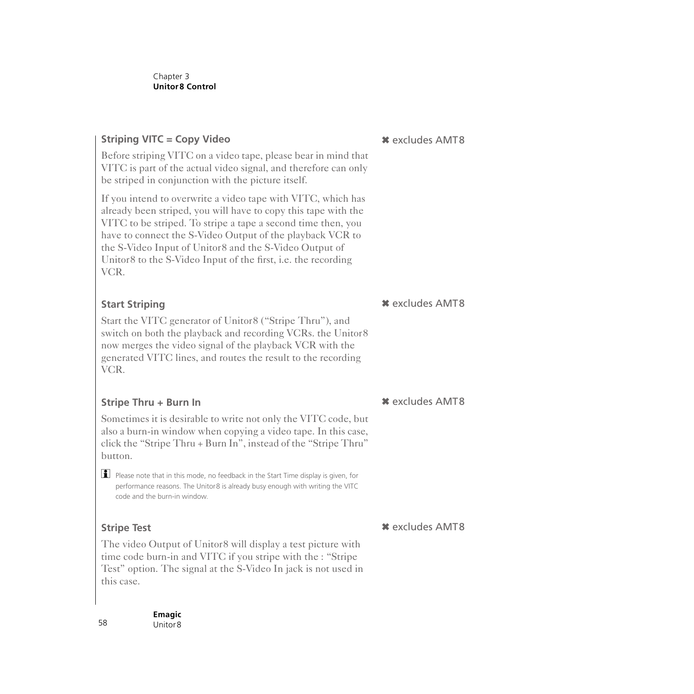### **Striping VITC = Copy Video**

Before striping VITC on a video tape, please bear in mind that VITC is part of the actual video signal, and therefore can only be striped in conjunction with the picture itself.

If you intend to overwrite a video tape with VITC, which has already been striped, you will have to copy this tape with the VITC to be striped. To stripe a tape a second time then, you have to connect the S-Video Output of the playback VCR to the S-Video Input of Unitor8 and the S-Video Output of Unitor8 to the S-Video Input of the first, i.e. the recording VCR.

### **Start Striping**

Start the VITC generator of Unitor8 ("Stripe Thru"), and switch on both the playback and recording VCRs. the Unitor8 now merges the video signal of the playback VCR with the generated VITC lines, and routes the result to the recording VCR.

### **Stripe Thru + Burn In**

Sometimes it is desirable to write not only the VITC code, but also a burn-in window when copying a video tape. In this case, click the "Stripe Thru + Burn In", instead of the "Stripe Thru" button.

**1** Please note that in this mode, no feedback in the Start Time display is given, for performance reasons. The Unitor8 is already busy enough with writing the VITC code and the burn-in window.

### **Stripe Test**

The video Output of Unitor8 will display a test picture with time code burn-in and VITC if you stripe with the : "Stripe Test" option. The signal at the S-Video In jack is not used in this case.

✖ excludes AMT8

### ✖ excludes AMT8

### ✖ excludes AMT8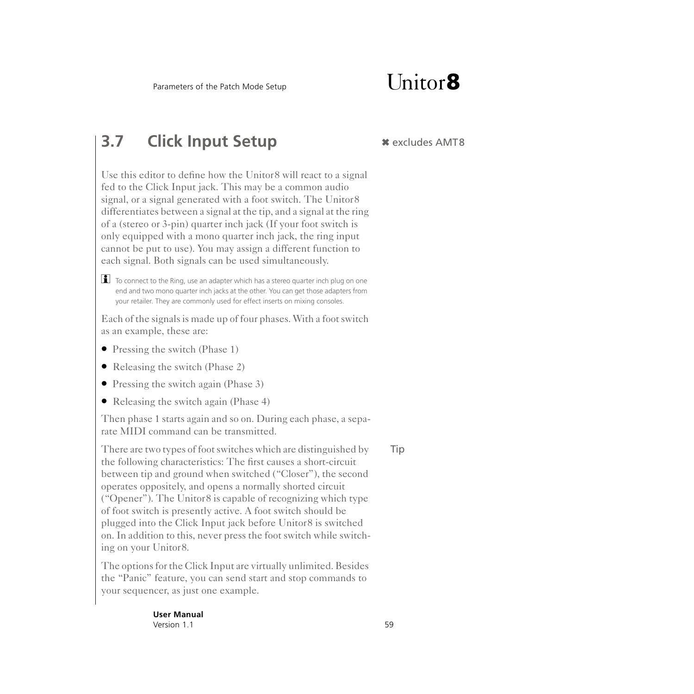$\overline{\mathrm{Uniform}}$ 

## **3.7 Click Input Setup**

Use this editor to define how the Unitor8 will react to a signal fed to the Click Input jack. This may be a common audio signal, or a signal generated with a foot switch. The Unitor 8 differentiates between a signal at the tip, and a signal at the ring of a (stereo or 3-pin) quarter inch jack (If your foot switch is only equipped with a mono quarter inch jack, the ring input cannot be put to use). You may assign a different function to each signal. Both signals can be used simultaneously.

 $\blacksquare$  To connect to the Ring, use an adapter which has a stereo quarter inch plug on one end and two mono quarter inch jacks at the other. You can get those adapters from your retailer. They are commonly used for effect inserts on mixing consoles.

Each of the signals is made up of four phases. With a foot switch as an example, these are:

- Pressing the switch (Phase 1)
- Releasing the switch (Phase 2)
- Pressing the switch again (Phase 3)
- Releasing the switch again (Phase 4)

Then phase 1 starts again and so on. During each phase, a separate MIDI command can be transmitted.

There are two types of foot switches which are distinguished by the following characteristics: The first causes a short-circuit between tip and ground when switched ("Closer"), the second operates oppositely, and opens a normally shorted circuit ("Opener"). The Unitor8 is capable of recognizing which type of foot switch is presently active. A foot switch should be plugged into the Click Input jack before Unitor8 is switched on. In addition to this, never press the foot switch while switching on your Unitor8.

The options for the Click Input are virtually unlimited. Besides the "Panic" feature, you can send start and stop commands to your sequencer, as just one example.

> **User Manual** Version 1.1

### ✖ excludes AMT8

Tip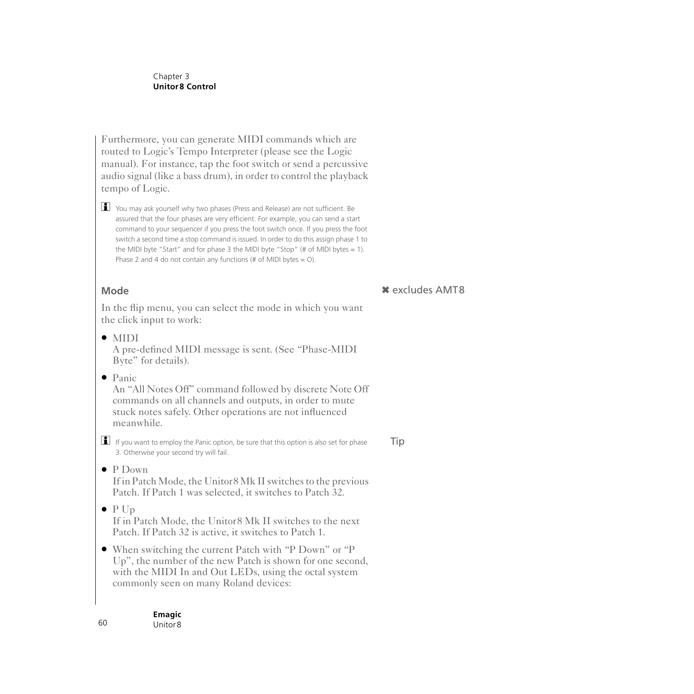#### Chapter 3 **Unitor8 Control**

Furthermore, you can generate MIDI commands which are routed to Logic's Tempo Interpreter (please see the Logic manual). For instance, tap the foot switch or send a percussive audio signal (like a bass drum), in order to control the playback tempo of Logic.

**1** You may ask yourself why two phases (Press and Release) are not sufficient. Be assured that the four phases are very efficient. For example, you can send a start command to your sequencer if you press the foot switch once. If you press the foot switch a second time a stop command is issued. In order to do this assign phase 1 to the MIDI byte "Start" and for phase 3 the MIDI byte "Stop" (# of MIDI bytes  $= 1$ ). Phase 2 and 4 do not contain any functions (# of MIDI bytes  $=$  O).

### **Mode**

In the flip menu, you can select the mode in which you want the click input to work:

• MIDI

A pre-defined MIDI message is sent. (See "Phase-MIDI Byte" for details).

• Panic

An "All Notes Off" command followed by discrete Note Off commands on all channels and outputs, in order to mute stuck notes safely. Other operations are not influenced meanwhile.

**1** If you want to employ the Panic option, be sure that this option is also set for phase 3. Otherwise your second try will fail.

Tip

 $\bullet$  P Down

If in Patch Mode, the Unitor8 Mk II switches to the previous Patch. If Patch 1 was selected, it switches to Patch 32.

 $\bullet$  P Up

If in Patch Mode, the Unitor8 Mk II switches to the next Patch. If Patch 32 is active, it switches to Patch 1.

• When switching the current Patch with "P Down" or "P Up", the number of the new Patch is shown for one second, with the MIDI In and Out LEDs, using the octal system commonly seen on many Roland devices: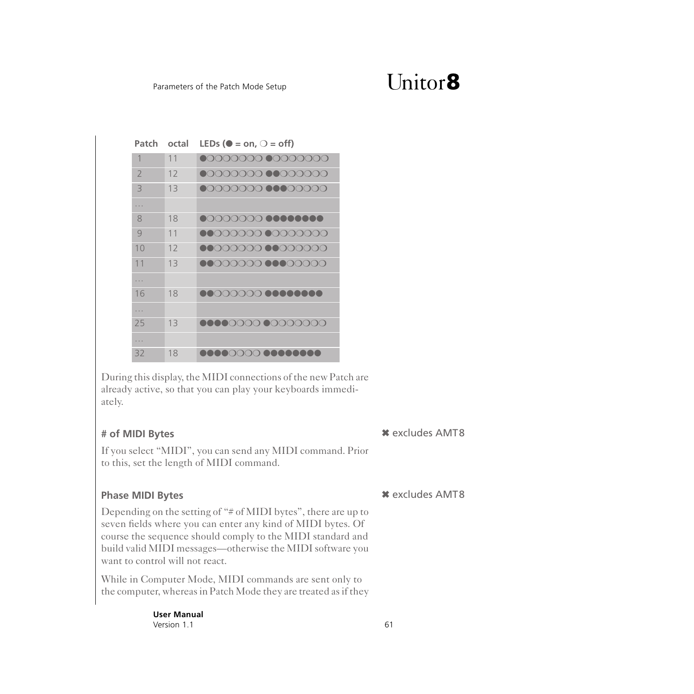During this display, the MIDI connections of the new Patch are already active, so that you can play your keyboards immediately.

32 **18 ●●●●◯◯◯◯◯ ●●●●●●●**●

### **# of MIDI Bytes**

If you select "MIDI", you can send any MIDI command. Prior to this, set the length of MIDI command.

### **Phase MIDI Bytes**

Depending on the setting of "# of MIDI bytes", there are up to seven fields where you can enter any kind of MIDI bytes. Of course the sequence should comply to the MIDI standard and build valid MIDI messages—otherwise the MIDI software you want to control will not react.

While in Computer Mode, MIDI commands are sent only to the computer, whereas in Patch Mode they are treated as if they

> **User Manual** Version 1.1

✖ excludes AMT8

## $Unitor8$

✖ excludes AMT8

61

| Patch                    | octal | LEDs ( $\bullet$ = on, $\bigcirc$ = off) |
|--------------------------|-------|------------------------------------------|
|                          | 11    | <b>00000000 0000000</b>                  |
| $\overline{\phantom{0}}$ | 12    | <b>00000000 0000000</b>                  |
| 3                        | 13    | 00000000 0000000                         |
|                          |       |                                          |
| 8                        | 18    | <b>OOOOOOO OOOOOOOO</b>                  |
| 9                        | 11    | <b>00000000 0000000</b>                  |
| 10                       | 12    | <b>00000000 0000000</b>                  |
| 11                       | 13    | <b>00000000 00000000</b>                 |
|                          |       |                                          |
| 16                       | 18    | <b>OOOOOOOO OOOOOOOOO</b>                |
|                          |       |                                          |
| 25                       | 13    |                                          |
|                          |       |                                          |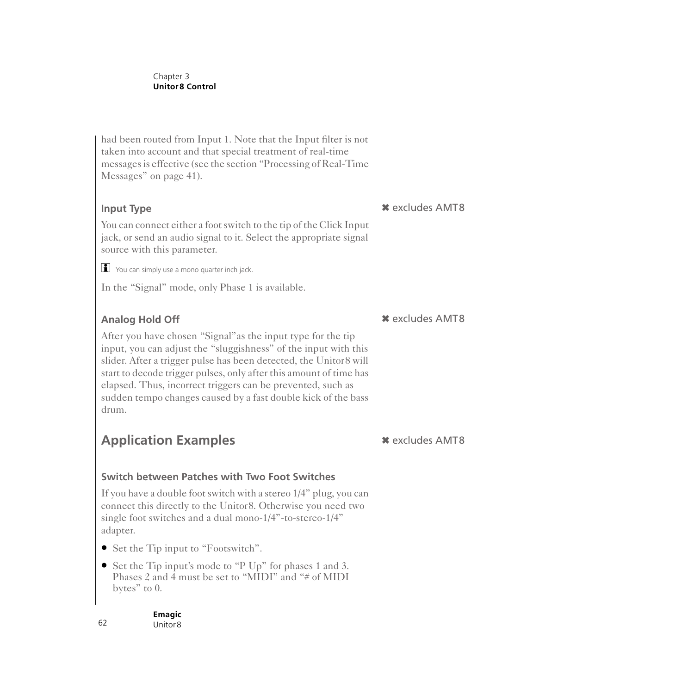#### Chapter 3 **Unitor8 Control**

had been routed from Input 1. Note that the Input filter is not taken into account and that special treatment of real-time messages is effective (see the [section "Processing of Real-Time](#page-40-0)  [Messages" on page 41\)](#page-40-0).

### **Input Type**

You can connect either a foot switch to the tip of the Click Input jack, or send an audio signal to it. Select the appropriate signal source with this parameter.

**1** You can simply use a mono quarter inch jack.

In the "Signal" mode, only Phase 1 is available.

### **Analog Hold Off**

After you have chosen "Signal"as the input type for the tip input, you can adjust the "sluggishness" of the input with this slider. After a trigger pulse has been detected, the Unitor8 will start to decode trigger pulses, only after this amount of time has elapsed. Thus, incorrect triggers can be prevented, such as sudden tempo changes caused by a fast double kick of the bass drum.

### **Application Examples**

✖ excludes AMT8

### **Switch between Patches with Two Foot Switches**

If you have a double foot switch with a stereo 1/4" plug, you can connect this directly to the Unitor8. Otherwise you need two single foot switches and a dual mono-1/4"-to-stereo-1/4" adapter.

- Set the Tip input to "Footswitch".
- Set the Tip input's mode to "P Up" for phases 1 and 3. Phases 2 and 4 must be set to "MIDI" and "# of MIDI bytes" to 0.

**Emagic** 62 Unitor8

### ✖ excludes AMT8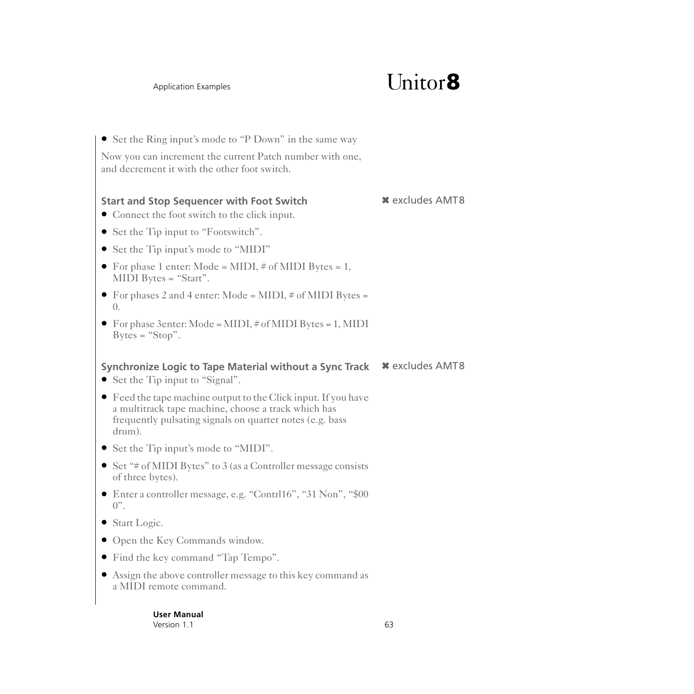# Unitor<sup>8</sup>

| • Set the Ring input's mode to "P Down" in the same way                                                                                                                                      |                        |
|----------------------------------------------------------------------------------------------------------------------------------------------------------------------------------------------|------------------------|
| Now you can increment the current Patch number with one,<br>and decrement it with the other foot switch.                                                                                     |                        |
| <b>Start and Stop Sequencer with Foot Switch</b><br>• Connect the foot switch to the click input.                                                                                            | <b>*</b> excludes AMT8 |
| • Set the Tip input to "Footswitch".                                                                                                                                                         |                        |
| • Set the Tip input's mode to "MIDI"                                                                                                                                                         |                        |
| • For phase 1 enter: Mode = MIDI, # of MIDI Bytes = 1,<br>$MIDI$ Bytes = "Start".                                                                                                            |                        |
| • For phases 2 and 4 enter: Mode = MIDI, # of MIDI Bytes =<br>$\Omega$ .                                                                                                                     |                        |
| • For phase 3enter: Mode = MIDI, $\#$ of MIDI Bytes = 1, MIDI<br>$Bytes = "Stop".$                                                                                                           |                        |
| <b>Synchronize Logic to Tape Material without a Sync Track</b><br>• Set the Tip input to "Signal".                                                                                           | <b>*</b> excludes AMT8 |
| • Feed the tape machine output to the Click input. If you have<br>a multitrack tape machine, choose a track which has<br>frequently pulsating signals on quarter notes (e.g. bass)<br>drum). |                        |
| • Set the Tip input's mode to "MIDI".                                                                                                                                                        |                        |
| • Set "# of MIDI Bytes" to 3 (as a Controller message consists<br>of three bytes).                                                                                                           |                        |
| • Enter a controller message, e.g. "Contrl16", "31 Non", "\$00<br>$0$ ".                                                                                                                     |                        |
| • Start Logic.                                                                                                                                                                               |                        |
| • Open the Key Commands window.                                                                                                                                                              |                        |
|                                                                                                                                                                                              |                        |
| • Find the key command "Tap Tempo".                                                                                                                                                          |                        |

**User Manual** Version 1.1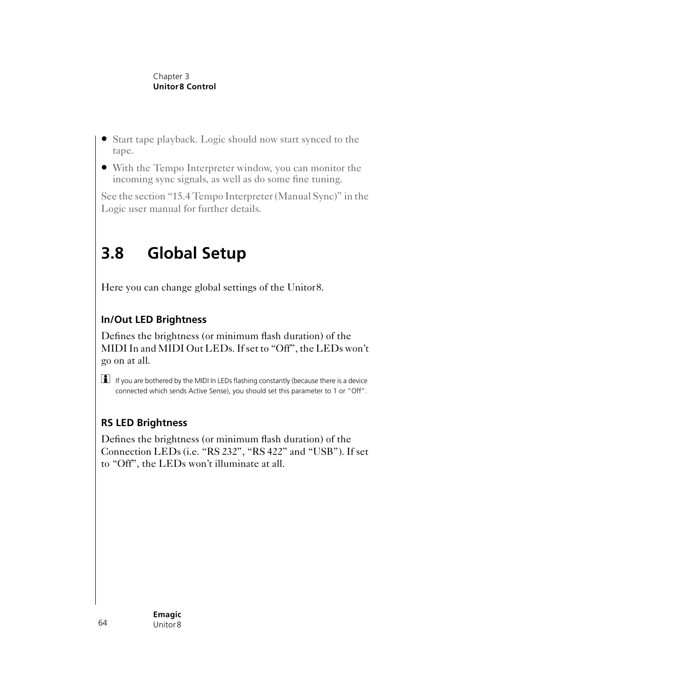- Start tape playback. Logic should now start synced to the tape.
- With the Tempo Interpreter window, you can monitor the incoming sync signals, as well as do some fine tuning.

See the section "15.4 Tempo Interpreter (Manual Sync)" in the Logic user manual for further details.

## **3.8 Global Setup**

Here you can change global settings of the Unitor8.

### <span id="page-63-0"></span>**In/Out LED Brightness**

Defines the brightness (or minimum flash duration) of the MIDI In and MIDI Out LEDs. If set to "Off", the LEDs won't go on at all.

**1** If you are bothered by the MIDI In LEDs flashing constantly (because there is a device connected which sends Active Sense), you should set this parameter to 1 or "Off".

### <span id="page-63-1"></span>**RS LED Brightness**

Defines the brightness (or minimum flash duration) of the Connection LEDs (i.e. "RS 232", "RS 422" and "USB"). If set to "Off", the LEDs won't illuminate at all.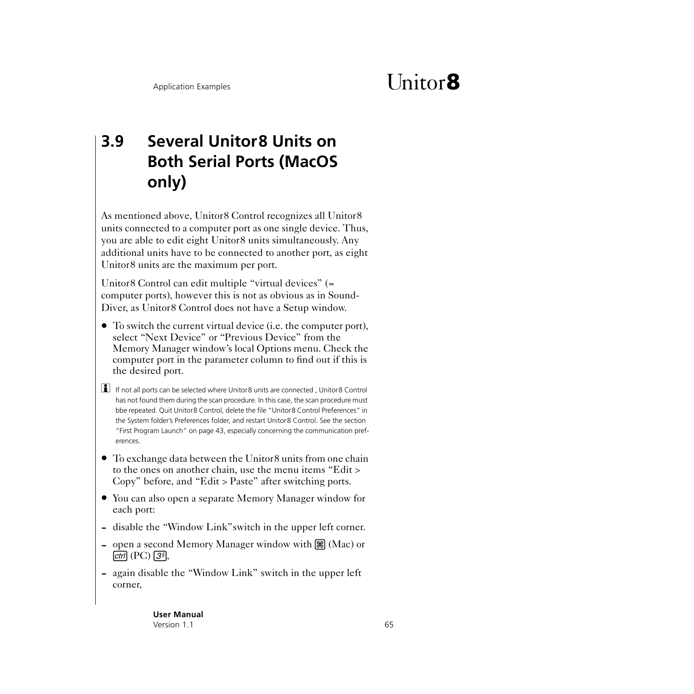## **3.9 Several Unitor8 Units on Both Serial Ports (MacOS only)**

As mentioned above, Unitor8 Control recognizes all Unitor8 units connected to a computer port as one single device. Thus, you are able to edit eight Unitor8 units simultaneously. Any additional units have to be connected to another port, as eight Unitor8 units are the maximum per port.

Unitor8 Control can edit multiple "virtual devices" (= computer ports), however this is not as obvious as in Sound-Diver, as Unitor8 Control does not have a Setup window.

- To switch the current virtual device (i.e. the computer port), select "Next Device" or "Previous Device" from the Memory Manager window's local Options menu. Check the computer port in the parameter column to find out if this is the desired port.
- **1** If not all ports can be selected where Unitor8 units are connected, Unitor8 Control has not found them during the scan procedure. In this case, the scan procedure must bbe repeated. Quit Unitor8 Control, delete the file "Unitor8 Control Preferences" in the System folder's Preferences folder, and restart Unitor8 Control. See the [section](#page-42-1)  ["First Program Launch" on page 43,](#page-42-1) especially concerning the communication preferences.
- To exchange data between the Unitor8 units from one chain to the ones on another chain, use the menu items "Edit > Copy" before, and "Edit > Paste" after switching ports.
- You can also open a separate Memory Manager window for each port:
- disable the "Window Link"switch in the upper left corner.
- open a second Memory Manager window with  $\mathbb{R}$  (Mac) or  $[ctr]$  (PC)  $[3<sup>s</sup>]$ ,
- again disable the "Window Link" switch in the upper left corner,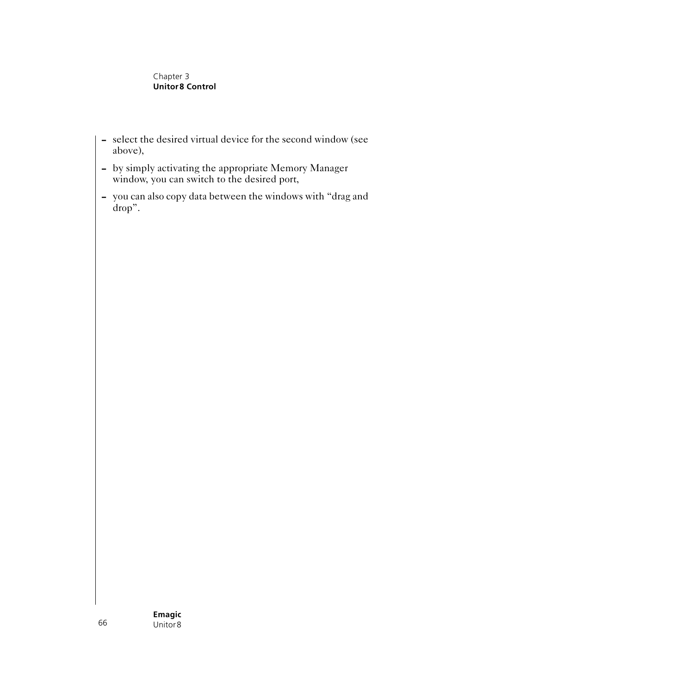- select the desired virtual device for the second window (see above),
- by simply activating the appropriate Memory Manager window, you can switch to the desired port,
- you can also copy data between the windows with "drag and drop".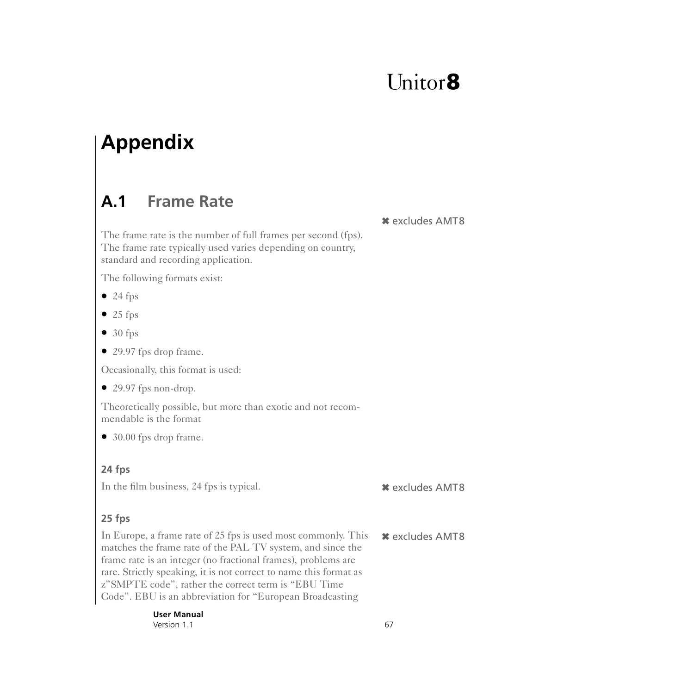# Unitor<sup>8</sup>

## **Appendix**

## <span id="page-66-0"></span>**A.1 Frame Rate**

The frame rate is the number of full frames per second (fps). The frame rate typically used varies depending on country, standard and recording application.

The following formats exist:

- 24 fps
- $25$  fps
- 30 fps
- 29.97 fps drop frame.

Occasionally, this format is used:

• 29.97 fps non-drop.

Theoretically possible, but more than exotic and not recommendable is the format

• 30.00 fps drop frame.

### **24 fps**

In the film business, 24 fps is typical.

### ✖ excludes AMT8

### **25 fps**

In Europe, a frame rate of 25 fps is used most commonly. This matches the frame rate of the PAL TV system, and since the frame rate is an integer (no fractional frames), problems are rare. Strictly speaking, it is not correct to name this format as z"SMPTE code", rather the correct term is "EBU Time Code". EBU is an abbreviation for "European Broadcasting ✖ excludes AMT8

> **User Manual** Version 1.1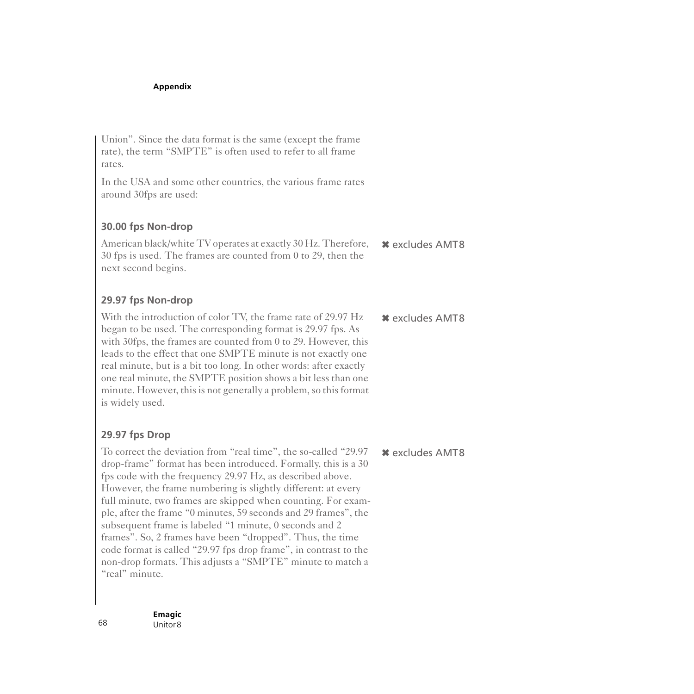Union". Since the data format is the same (except the frame rate), the term "SMPTE" is often used to refer to all frame rates.

In the USA and some other countries, the various frame rates around 30fps are used:

### **30.00 fps Non-drop**

American black/white TV operates at exactly 30 Hz. Therefore, 30 fps is used. The frames are counted from 0 to 29, then the next second begins. ✖ excludes AMT8

### **29.97 fps Non-drop**

With the introduction of color TV, the frame rate of 29.97 Hz began to be used. The corresponding format is 29.97 fps. As with 30fps, the frames are counted from 0 to 29. However, this leads to the effect that one SMPTE minute is not exactly one real minute, but is a bit too long. In other words: after exactly one real minute, the SMPTE position shows a bit less than one minute. However, this is not generally a problem, so this format is widely used. ✖ excludes AMT8

### **29.97 fps Drop**

To correct the deviation from "real time", the so-called "29.97 drop-frame" format has been introduced. Formally, this is a 30 fps code with the frequency 29.97 Hz, as described above. However, the frame numbering is slightly different: at every full minute, two frames are skipped when counting. For example, after the frame "0 minutes, 59 seconds and 29 frames", the subsequent frame is labeled "1 minute, 0 seconds and 2 frames". So, 2 frames have been "dropped". Thus, the time code format is called "29.97 fps drop frame", in contrast to the non-drop formats. This adjusts a "SMPTE" minute to match a "real" minute. ✖ excludes AMT8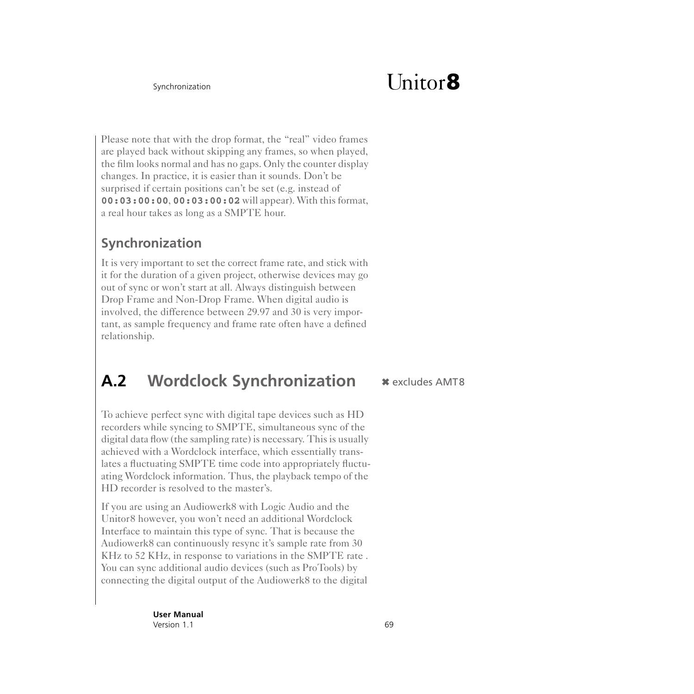Please note that with the drop format, the "real" video frames are played back without skipping any frames, so when played, the film looks normal and has no gaps. Only the counter display changes. In practice, it is easier than it sounds. Don't be surprised if certain positions can't be set (e.g. instead of **00:03:00:00**, **00:03:00:02** will appear). With this format, a real hour takes as long as a SMPTE hour.

## **Synchronization**

It is very important to set the correct frame rate, and stick with it for the duration of a given project, otherwise devices may go out of sync or won't start at all. Always distinguish between Drop Frame and Non-Drop Frame. When digital audio is involved, the difference between 29.97 and 30 is very important, as sample frequency and frame rate often have a defined relationship.

## **A.2 Wordclock Synchronization**

To achieve perfect sync with digital tape devices such as HD recorders while syncing to SMPTE, simultaneous sync of the digital data flow (the sampling rate) is necessary. This is usually achieved with a Wordclock interface, which essentially translates a fluctuating SMPTE time code into appropriately fluctuating Wordclock information. Thus, the playback tempo of the HD recorder is resolved to the master's.

If you are using an Audiowerk8 with Logic Audio and the Unitor8 however, you won't need an additional Wordclock Interface to maintain this type of sync. That is because the Audiowerk8 can continuously resync it's sample rate from 30 KHz to 52 KHz, in response to variations in the SMPTE rate . You can sync additional audio devices (such as ProTools) by connecting the digital output of the Audiowerk8 to the digital

> **User Manual** Version 1.1

### ✖ excludes AMT8

## $\overline{\mathrm{Uniform}}$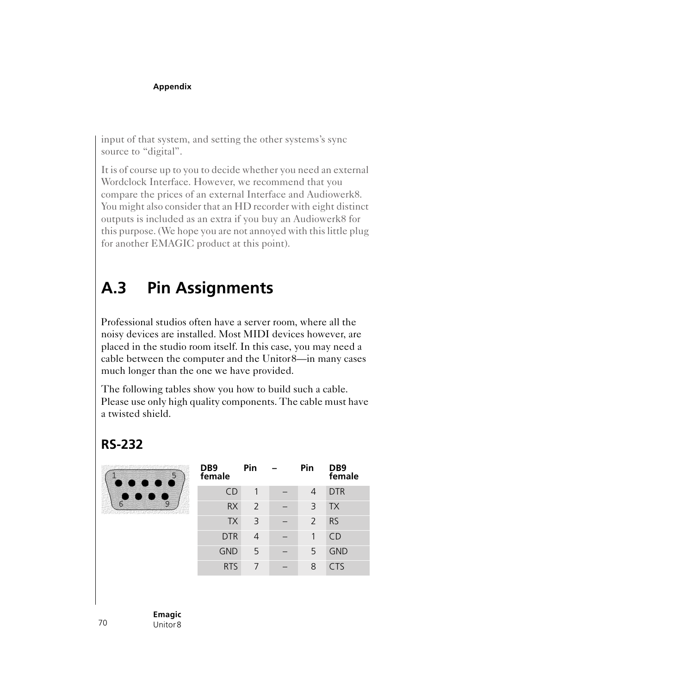input of that system, and setting the other systems's sync source to "digital".

It is of course up to you to decide whether you need an external Wordclock Interface. However, we recommend that you compare the prices of an external Interface and Audiowerk8. You might also consider that an HD recorder with eight distinct outputs is included as an extra if you buy an Audiowerk8 for this purpose. (We hope you are not annoyed with this little plug for another EMAGIC product at this point).

## **A.3 Pin Assignments**

Professional studios often have a server room, where all the noisy devices are installed. Most MIDI devices however, are placed in the studio room itself. In this case, you may need a cable between the computer and the Unitor8—in many cases much longer than the one we have provided.

The following tables show you how to build such a cable. Please use only high quality components. The cable must have a twisted shield.

## **RS-232**



| DB <sub>9</sub><br>female | Pin | Pin            | DB <sub>9</sub><br>female |
|---------------------------|-----|----------------|---------------------------|
| CD                        | 1   |                | <b>DTR</b>                |
| <b>RX</b>                 | 2   | $\overline{3}$ | <b>TX</b>                 |
| <b>TX</b>                 | 3   | $\mathcal{P}$  | <b>RS</b>                 |
| <b>DTR</b>                | 4   | 1              | CD                        |
| <b>GND</b>                | 5   | 5              | <b>GND</b>                |
| <b>RTS</b>                | 7   | 8              | <b>CTS</b>                |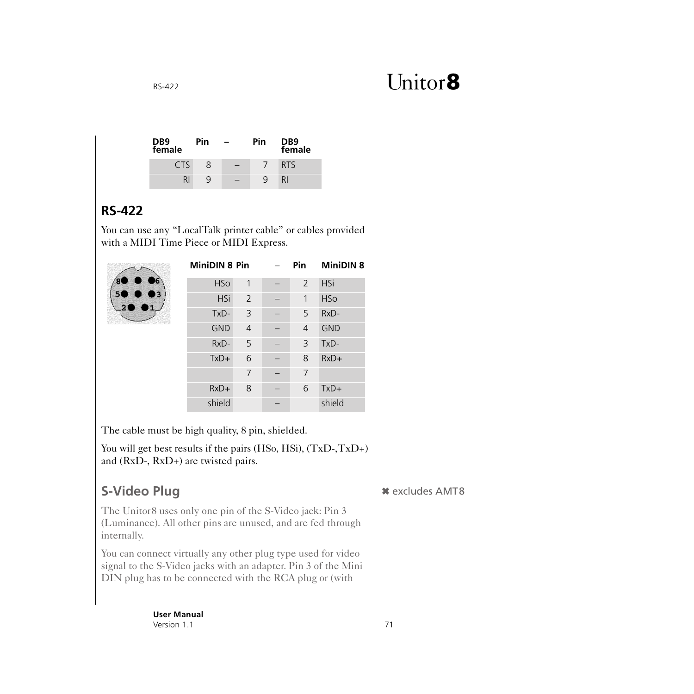| DB9<br>female | Pin | $\overline{\phantom{0}}$ | Pin | DB <sub>9</sub><br>female |
|---------------|-----|--------------------------|-----|---------------------------|
| <b>CTS</b>    | 8   |                          |     | <b>RTS</b>                |
| RI            | a   |                          |     | RI                        |

## **RS-422**

You can use any "LocalTalk printer cable" or cables provided with a MIDI Time Piece or MIDI Express.

|   | <b>MiniDIN 8 Pin</b> |                | Pin            | <b>MiniDIN 8</b> |
|---|----------------------|----------------|----------------|------------------|
|   | <b>HSo</b>           | $\mathbf{1}$   | $\overline{2}$ | <b>HSi</b>       |
| 屈 | <b>HSi</b>           | $\overline{2}$ | $\mathbf{1}$   | <b>HSo</b>       |
|   | TxD-                 | $\overline{3}$ | 5              | RxD-             |
|   | <b>GND</b>           | $\overline{4}$ | $\overline{4}$ | <b>GND</b>       |
|   | RxD-                 | 5              | 3              | TxD-             |
|   | $TxD+$               | 6              | 8              | $RxD+$           |
|   |                      | 7              | 7              |                  |
|   | $RxD+$               | 8              | 6              | $TxD+$           |
|   | shield               |                |                | shield           |

The cable must be high quality, 8 pin, shielded.

You will get best results if the pairs (HSo, HSi), (TxD-,TxD+) and (RxD-, RxD+) are twisted pairs.

## **S-Video Plug**

The Unitor8 uses only one pin of the S-Video jack: Pin 3 (Luminance). All other pins are unused, and are fed through internally.

You can connect virtually any other plug type used for video signal to the S-Video jacks with an adapter. Pin 3 of the Mini DIN plug has to be connected with the RCA plug or (with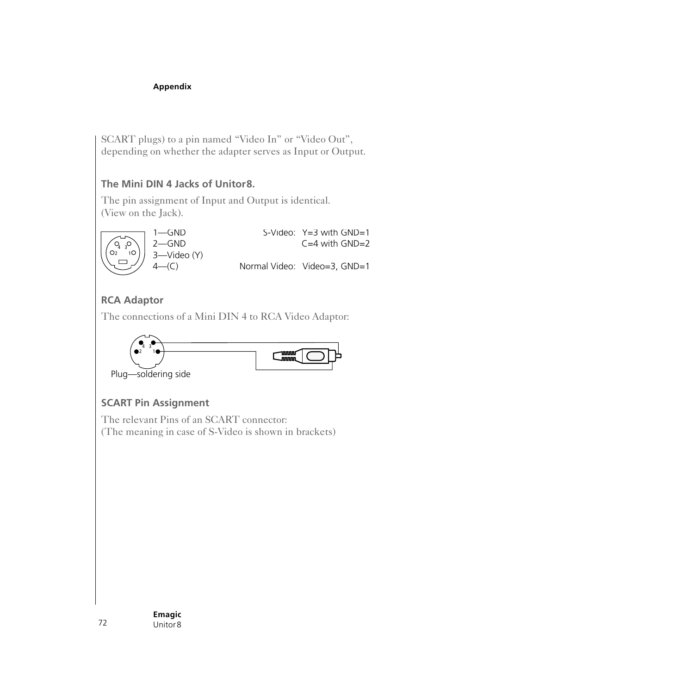### **Appendix**

SCART plugs) to a pin named "Video In" or "Video Out", depending on whether the adapter serves as Input or Output.

### **The Mini DIN 4 Jacks of Unitor8.**

The pin assignment of Input and Output is identical. (View on the Jack).



S-Video: Y=3 with GND=1 Normal Video: Video=3, GND=1  $C=4$  with  $GND=2$ 

### **RCA Adaptor**

The connections of a Mini DIN 4 to RCA Video Adaptor:



### **SCART Pin Assignment**

The relevant Pins of an SCART connector: (The meaning in case of S-Video is shown in brackets)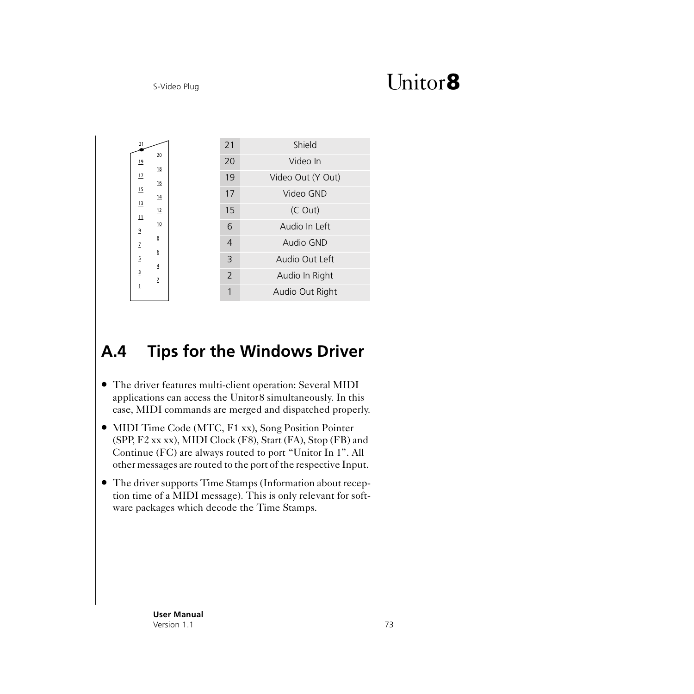# Unitor<sub>8</sub>



## **A.4 Tips for the Windows Driver**

- The driver features multi-client operation: Several MIDI applications can access the Unitor8 simultaneously. In this case, MIDI commands are merged and dispatched properly.
- MIDI Time Code (MTC, F1 xx), Song Position Pointer (SPP, F2 xx xx), MIDI Clock (F8), Start (FA), Stop (FB) and Continue (FC) are always routed to port "Unitor In 1". All other messages are routed to the port of the respective Input.
- The driver supports Time Stamps (Information about reception time of a MIDI message). This is only relevant for software packages which decode the Time Stamps.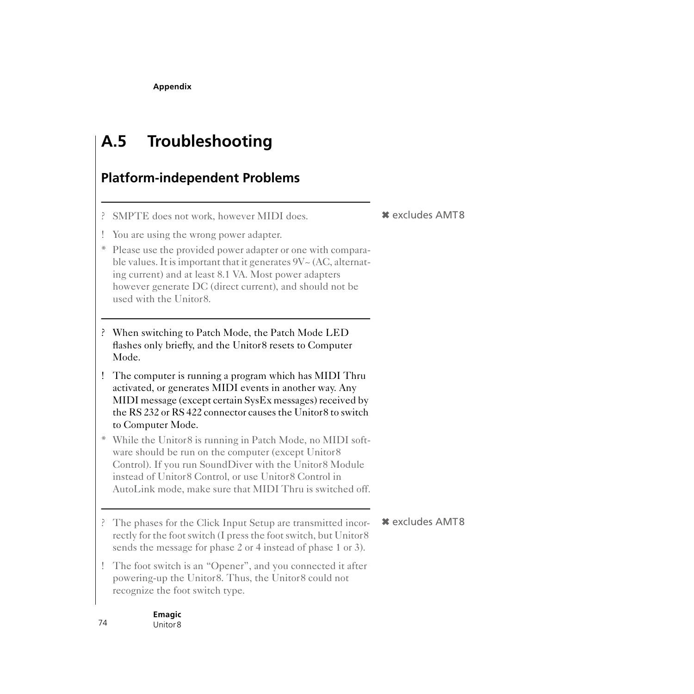## **A.5 Troubleshooting**

## **Platform-independent Problems**

- <span id="page-73-1"></span>? SMPTE does not work, however MIDI does.
- ! You are using the wrong power adapter.

\* Please use the provided power adapter or one with comparable values. It is important that it generates  $9V \sim (AC, alternat$ ing current) and at least 8.1 VA. Most power adapters however generate DC (direct current), and should not be used with the Unitor8.

- ? When switching to Patch Mode, the Patch Mode LED flashes only briefly, and the Unitor8 resets to Computer Mode.
- ! The computer is running a program which has MIDI Thru activated, or generates MIDI events in another way. Any MIDI message (except certain SysEx messages) received by the RS 232 or RS 422 connector causes the Unitor8 to switch to Computer Mode.
- \* While the Unitor8 is running in Patch Mode, no MIDI software should be run on the computer (except Unitor8) Control). If you run SoundDiver with the Unitor8 Module instead of Unitor8 Control, or use Unitor8 Control in AutoLink mode, make sure that MIDI Thru is switched off.
- <span id="page-73-0"></span>? The phases for the Click Input Setup are transmitted incorrectly for the foot switch (I press the foot switch, but Unitor8 sends the message for phase 2 or 4 instead of phase 1 or 3).
- ✖ excludes AMT8

✖ excludes AMT8

! The foot switch is an "Opener", and you connected it after powering-up the Unitor8. Thus, the Unitor8 could not recognize the foot switch type.

**Emagic** 74 Unitor8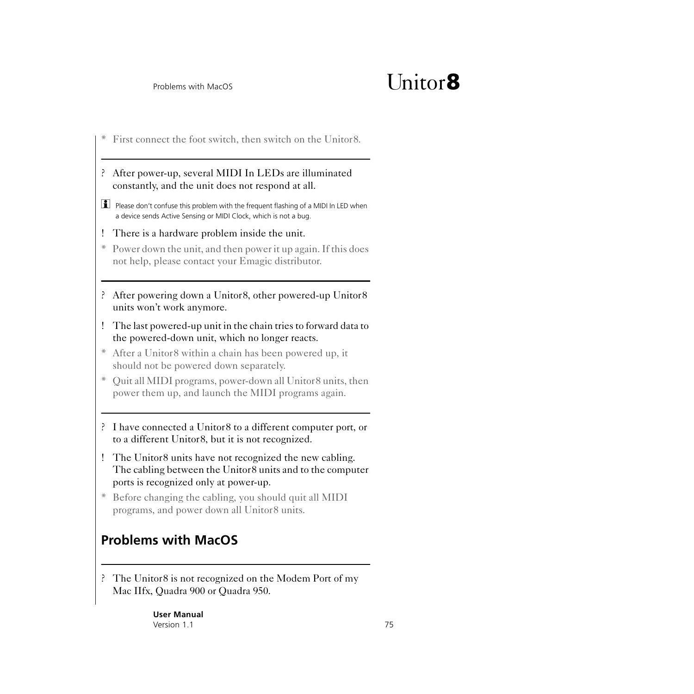# $Unitor8$

- First connect the foot switch, then switch on the Unitor8.
- ? After power-up, several MIDI In LEDs are illuminated constantly, and the unit does not respond at all.
- <span id="page-74-0"></span>**1** Please don't confuse this problem with the frequent flashing of a MIDI In LED when a device sends Active Sensing or MIDI Clock, which is not a bug.
- <span id="page-74-2"></span>! There is a hardware problem inside the unit.
- \* Power down the unit, and then power it up again. If this does not help, please contact your Emagic distributor.
- ? After powering down a Unitor8, other powered-up Unitor8 units won't work anymore.
- ! The last powered-up unit in the chain tries to forward data to the powered-down unit, which no longer reacts.
- \* After a Unitor8 within a chain has been powered up, it should not be powered down separately.
- \* Quit all MIDI programs, power-down all Unitor8 units, then power them up, and launch the MIDI programs again.
- ? I have connected a Unitor8 to a different computer port, or to a different Unitor8, but it is not recognized.
- ! The Unitor8 units have not recognized the new cabling. The cabling between the Unitor8 units and to the computer ports is recognized only at power-up.
- \* Before changing the cabling, you should quit all MIDI programs, and power down all Unitor8 units.

## **Problems with MacOS**

<span id="page-74-3"></span><span id="page-74-1"></span>? The Unitor8 is not recognized on the Modem Port of my Mac IIfx, Quadra 900 or Quadra 950.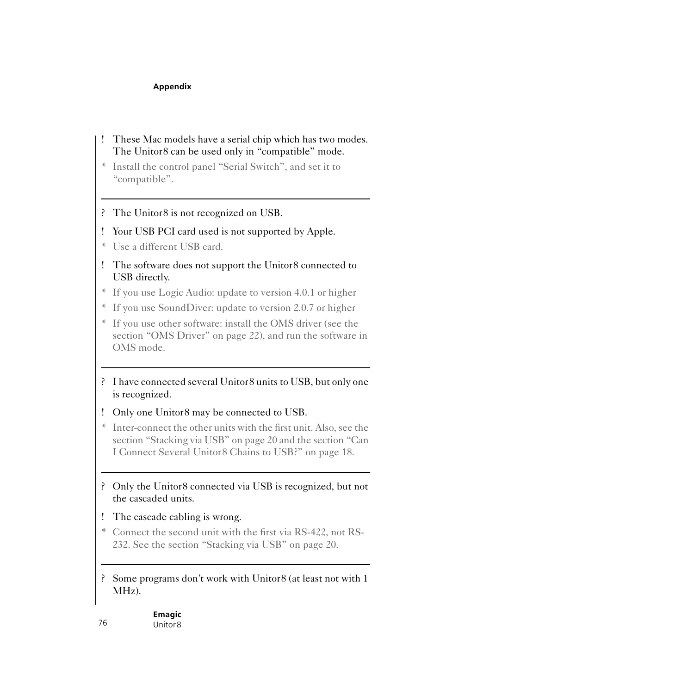- ! These Mac models have a serial chip which has two modes. The Unitor<sup>8</sup> can be used only in "compatible" mode.
- <span id="page-75-2"></span>\* Install the control panel "Serial Switch", and set it to "compatible".
- <span id="page-75-4"></span>? The Unitor8 is not recognized on USB.
- ! Your USB PCI card used is not supported by Apple.
- \* Use a different USB card.
- ! The software does not support the Unitor8 connected to USB directly.
- <span id="page-75-3"></span><span id="page-75-0"></span>\* If you use Logic Audio: update to version 4.0.1 or higher
- <span id="page-75-1"></span>\* If you use SoundDiver: update to version 2.0.7 or higher
- \* If you use other software: install the OMS driver (see the [section "OMS Driver" on page 22](#page-21-0)), and run the software in OMS mode.
- ? I have connected several Unitor8 units to USB, but only one is recognized.
- ! Only one Unitor8 may be connected to USB.
- \* Inter-connect the other units with the first unit. Also, see the [section "Stacking via USB" on page 20](#page-19-0) and the [section "Can](#page-17-0)  [I Connect Several Unitor8 Chains to USB?" on page 18](#page-17-0).
- ? Only the Unitor8 connected via USB is recognized, but not the cascaded units.
- The cascade cabling is wrong.
- \* Connect the second unit with the first via RS-422, not RS-232. See the [section "Stacking via USB" on page 20](#page-19-0).
- ? Some programs don't work with Unitor8 (at least not with 1 MHz).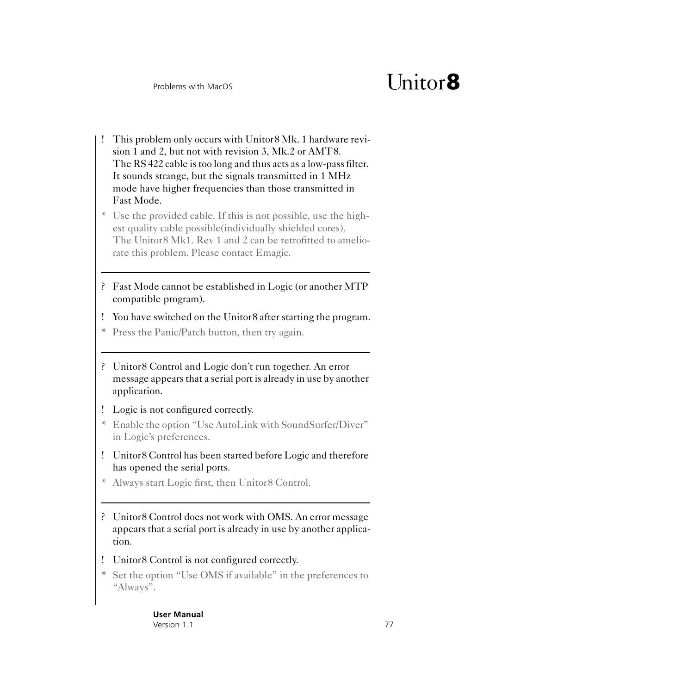# $\overline{\mathrm{Uniform}}$

- ! This problem only occurs with Unitor8 Mk. 1 hardware revision 1 and 2, but not with revision 3, Mk.2 or AMT8. The RS 422 cable is too long and thus acts as a low-pass filter. It sounds strange, but the signals transmitted in 1 MHz mode have higher frequencies than those transmitted in Fast Mode.
- <span id="page-76-0"></span>\* Use the provided cable. If this is not possible, use the highest quality cable possible(individually shielded cores). The Unitor8 Mk1. Rev 1 and 2 can be retrofitted to ameliorate this problem. Please contact Emagic.
- ? Fast Mode cannot be established in Logic (or another MTP compatible program).
- You have switched on the Unitor 8 after starting the program.
- Press the Panic/Patch button, then try again.
- ? Unitor8 Control and Logic don't run together. An error message appears that a serial port is already in use by another application.
- ! Logic is not configured correctly.
- \* Enable the option "Use AutoLink with SoundSurfer/Diver" in Logic's preferences.
- ! Unitor8 Control has been started before Logic and therefore has opened the serial ports.
- Always start Logic first, then Unitor8 Control.
- <span id="page-76-1"></span>? Unitor8 Control does not work with OMS. An error message appears that a serial port is already in use by another application.
- ! Unitor8 Control is not configured correctly.
- Set the option "Use OMS if available" in the preferences to "Always".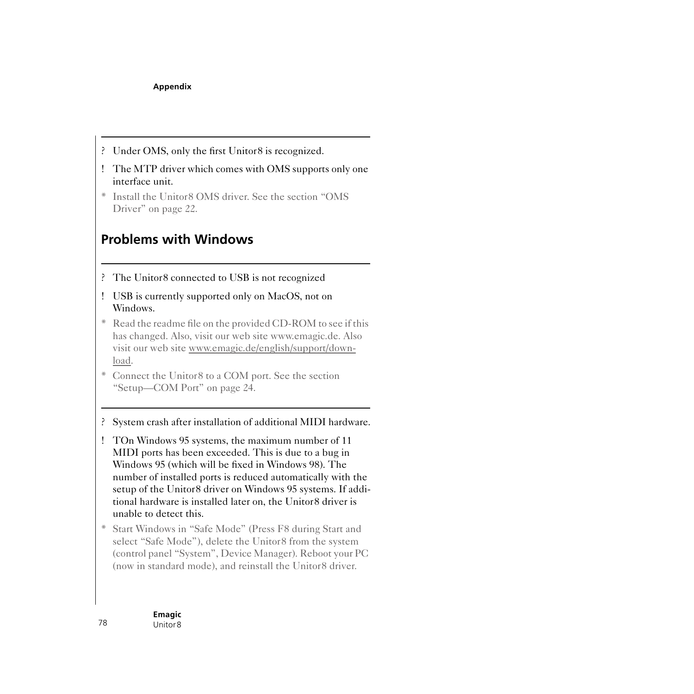- <span id="page-77-0"></span>? Under OMS, only the first Unitor8 is recognized.
- ! The MTP driver which comes with OMS supports only one interface unit.
- \* Install the Unitor8 OMS driver. See the [section "OMS](#page-21-0)  [Driver" on page 22](#page-21-0).

### **Problems with Windows**

- <span id="page-77-1"></span>? The Unitor8 connected to USB is not recognized
- ! USB is currently supported only on MacOS, not on Windows.
- \* Read the readme file on the provided CD-ROM to see if this has changed. Also, visit our web site www.emagic.de. Also visit our web site www.emagic.de/english/support/download.
- \* Connect the Unitor8 to a COM port. See the [section](#page-23-0)  ["Setup—COM Port" on page 24](#page-23-0).

? System crash after installation of additional MIDI hardware.

- ! TOn Windows 95 systems, the maximum number of 11 MIDI ports has been exceeded. This is due to a bug in Windows 95 (which will be fixed in Windows 98). The number of installed ports is reduced automatically with the setup of the Unitor8 driver on Windows 95 systems. If additional hardware is installed later on, the Unitor8 driver is unable to detect this.
- \* Start Windows in "Safe Mode" (Press F8 during Start and select "Safe Mode"), delete the Unitor8 from the system (control panel "System", Device Manager). Reboot your PC (now in standard mode), and reinstall the Unitor8 driver.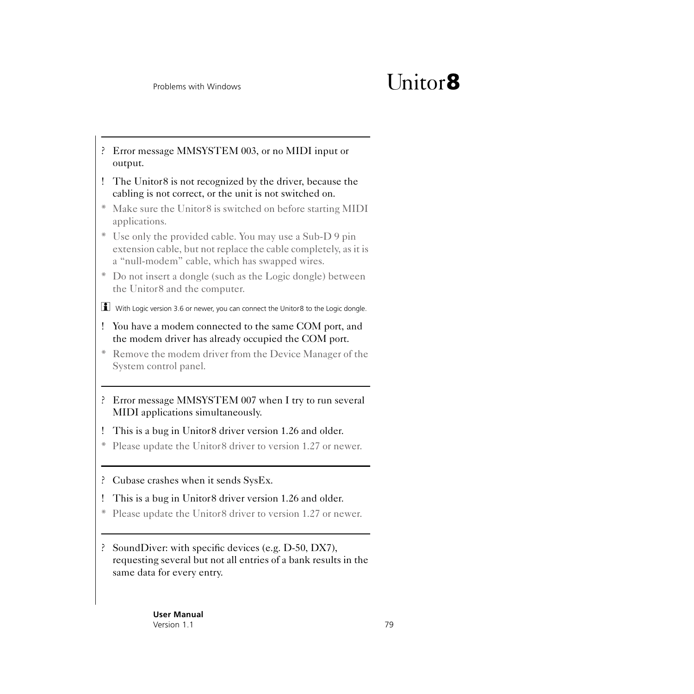# $\overline{\mathrm{Uniform}}$

- <span id="page-78-1"></span>? Error message MMSYSTEM 003, or no MIDI input or output.
- ! The Unitor8 is not recognized by the driver, because the cabling is not correct, or the unit is not switched on.
- \* Make sure the Unitor8 is switched on before starting MIDI applications.
- \* Use only the provided cable. You may use a Sub-D 9 pin extension cable, but not replace the cable completely, as it is a "null-modem" cable, which has swapped wires.
- \* Do not insert a dongle (such as the Logic dongle) between the Unitor8 and the computer.

**1** With Logic version 3.6 or newer, you can connect the Unitor8 to the Logic dongle.

- ! You have a modem connected to the same COM port, and the modem driver has already occupied the COM port.
- \* Remove the modem driver from the Device Manager of the System control panel.
- <span id="page-78-2"></span>? Error message MMSYSTEM 007 when I try to run several MIDI applications simultaneously.

! This is a bug in Unitor8 driver version 1.26 and older.

- Please update the Unitor8 driver to version 1.27 or newer.
- <span id="page-78-4"></span><span id="page-78-0"></span>? Cubase crashes when it sends SysEx.
- ! This is a bug in Unitor8 driver version 1.26 and older.
- Please update the Unitor8 driver to version 1.27 or newer.
- <span id="page-78-3"></span>? SoundDiver: with specific devices (e.g. D-50, DX7), requesting several but not all entries of a bank results in the same data for every entry.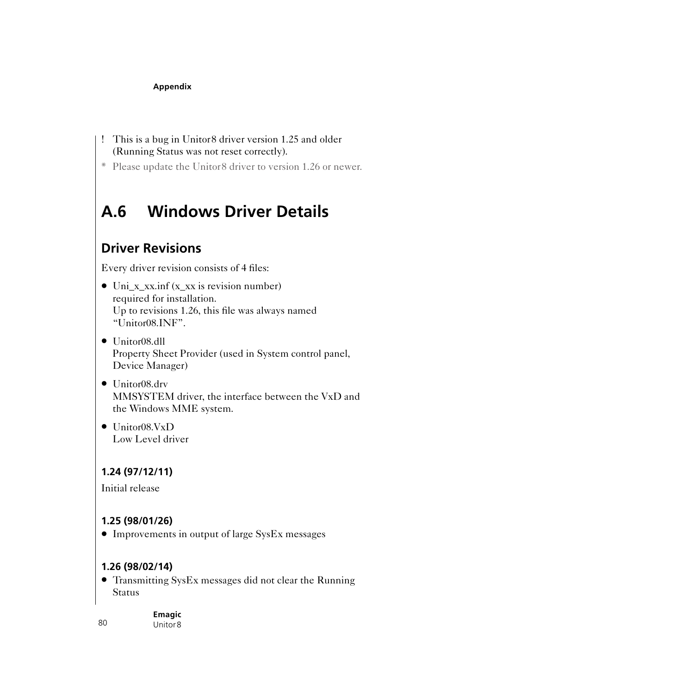- ! This is a bug in Unitor8 driver version 1.25 and older (Running Status was not reset correctly).
- \* Please update the Unitor8 driver to version 1.26 or newer.

## **A.6 Windows Driver Details**

## **Driver Revisions**

Every driver revision consists of 4 files:

- Uni<sub>x</sub> xx.inf (x xx is revision number) required for installation. Up to revisions 1.26, this file was always named "Unitor08.INF".
- Unitor08 dll Property Sheet Provider (used in System control panel, Device Manager)
- Unitor08.drv MMSYSTEM driver, the interface between the VxD and the Windows MME system.
- Unitor08.VxD Low Level driver

### **1.24 (97/12/11)**

Initial release

#### **1.25 (98/01/26)**

• Improvements in output of large SysEx messages

#### **1.26 (98/02/14)**

• Transmitting SysEx messages did not clear the Running Status

**Emagic** 80 Unitor8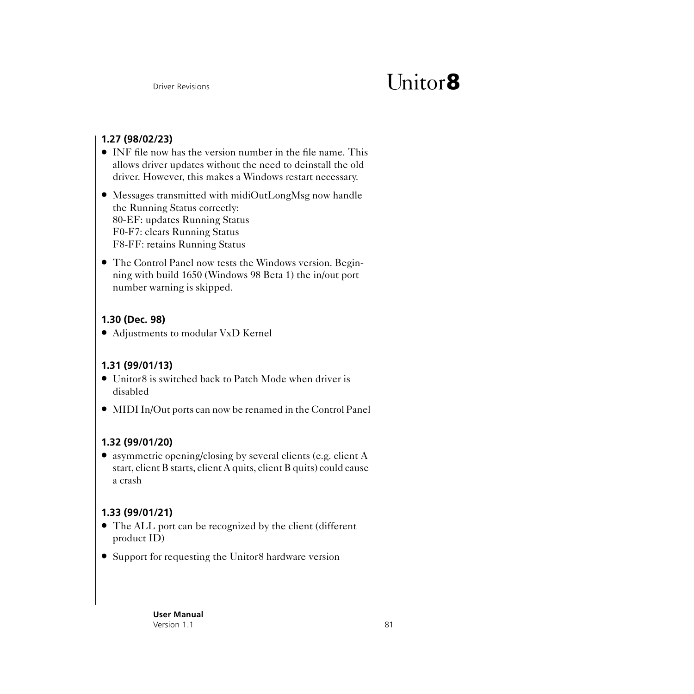# I Initor<sup>8</sup>

### **1.27 (98/02/23)**

- INF file now has the version number in the file name. This allows driver updates without the need to deinstall the old driver. However, this makes a Windows restart necessary.
- Messages transmitted with midiOutLongMsg now handle the Running Status correctly: 80-EF: updates Running Status F0-F7: clears Running Status F8-FF: retains Running Status
- The Control Panel now tests the Windows version. Beginning with build 1650 (Windows 98 Beta 1) the in/out port number warning is skipped.

### **1.30 (Dec. 98)**

• Adjustments to modular VxD Kernel

#### **1.31 (99/01/13)**

- Unitor8 is switched back to Patch Mode when driver is disabled
- MIDI In/Out ports can now be renamed in the Control Panel

#### **1.32 (99/01/20)**

• asymmetric opening/closing by several clients (e.g. client A start, client B starts, client A quits, client B quits) could cause a crash

#### **1.33 (99/01/21)**

- The ALL port can be recognized by the client (different) product ID)
- Support for requesting the Unitor<sup>8</sup> hardware version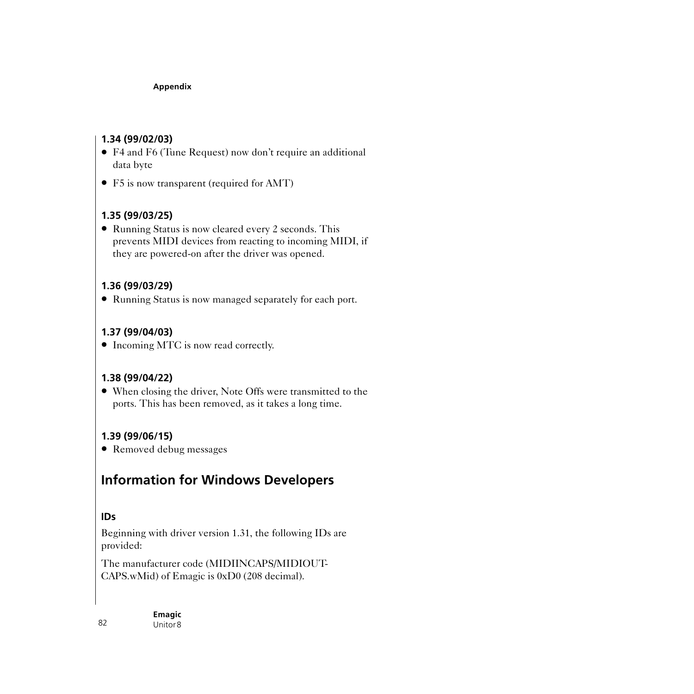### **1.34 (99/02/03)**

- F4 and F6 (Tune Request) now don't require an additional data byte
- <span id="page-81-0"></span>• F5 is now transparent (required for AMT)

### **1.35 (99/03/25)**

• Running Status is now cleared every 2 seconds. This prevents MIDI devices from reacting to incoming MIDI, if they are powered-on after the driver was opened.

### **1.36 (99/03/29)**

• Running Status is now managed separately for each port.

#### **1.37 (99/04/03)**

• Incoming MTC is now read correctly.

#### **1.38 (99/04/22)**

• When closing the driver, Note Offs were transmitted to the ports. This has been removed, as it takes a long time.

#### **1.39 (99/06/15)**

• Removed debug messages

## **Information for Windows Developers**

#### **IDs**

Beginning with driver version 1.31, the following IDs are provided:

The manufacturer code (MIDIINCAPS/MIDIOUT-CAPS.wMid) of Emagic is 0xD0 (208 decimal).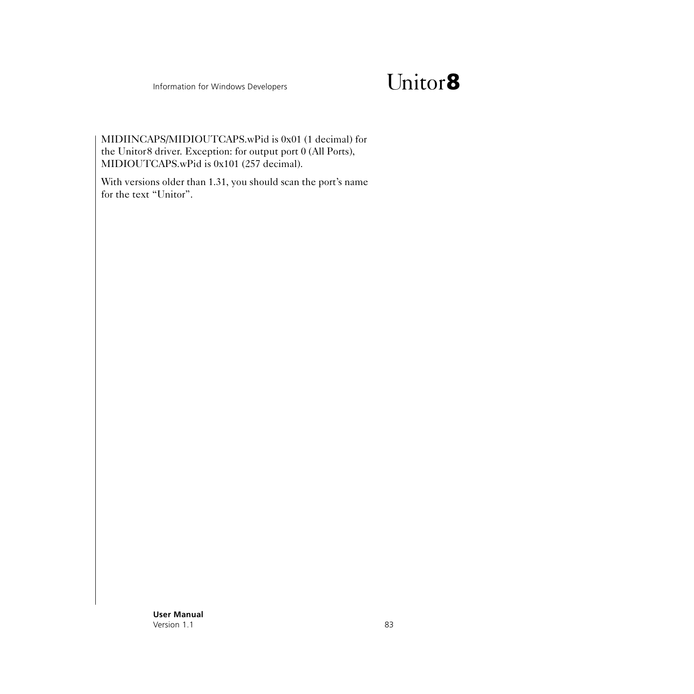## Unitor<sup>8</sup>

MIDIINCAPS/MIDIOUTCAPS.wPid is 0x01 (1 decimal) for the Unitor8 driver. Exception: for output port 0 (All Ports), MIDIOUTCAPS.wPid is 0x101 (257 decimal).

With versions older than 1.31, you should scan the port's name for the text "Unitor".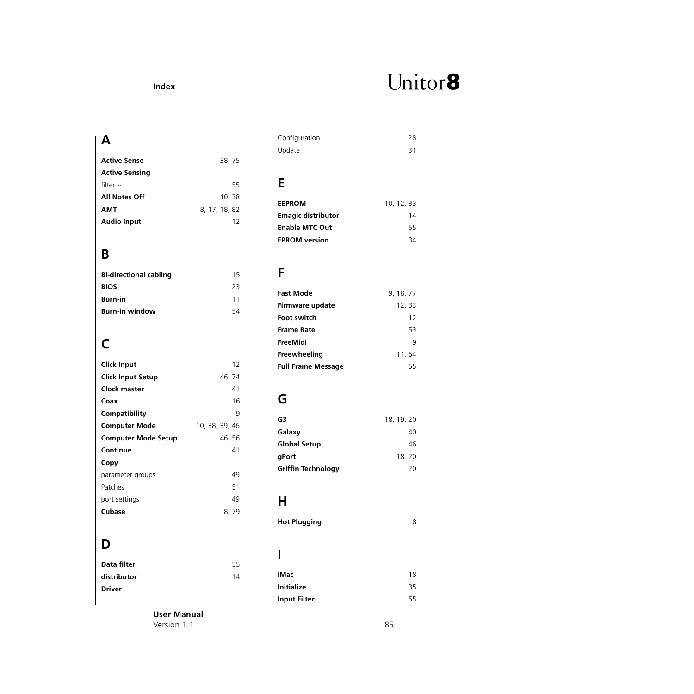# Unitor<sup>8</sup>

## **A**

| <b>Active Sense</b>   | 38, 75        |
|-----------------------|---------------|
| <b>Active Sensing</b> |               |
| filter $\sim$         | 55            |
| All Notes Off         | 10,38         |
| AMT                   | 8, 17, 18, 82 |
| <b>Audio Input</b>    | 12            |

## **B**

| <b>Bi-directional cabling</b> | 15 |
|-------------------------------|----|
| <b>BIOS</b>                   | 23 |
| <b>Burn-in</b>                | 11 |
| <b>Burn-in window</b>         | 54 |

## **C**

| Click Input                | 12             |
|----------------------------|----------------|
| Click Input Setup          | 46, 74         |
| Clock master               | 41             |
| Coax                       | 16             |
| Compatibility              | 9              |
| <b>Computer Mode</b>       | 10, 38, 39, 46 |
| <b>Computer Mode Setup</b> | 46, 56         |
| Continue                   | 41             |
| Copy                       |                |
| parameter groups           | 49             |
| Patches                    | 51             |
| port settings              | 49             |
| Cubase                     | 8, 79          |

## **D**

| Data filter   | 55 |
|---------------|----|
| distributor   | 14 |
| <b>Driver</b> |    |

| Configuration | 28 |
|---------------|----|
| Update        | 31 |

## **E**

| <b>EEPROM</b>             | 10.12.33 |
|---------------------------|----------|
| <b>Emagic distributor</b> | 14       |
| <b>Enable MTC Out</b>     | 55       |
| <b>EPROM</b> version      | 34       |
|                           |          |

## **F**

| Fast Mode                 | 9, 18, 77 |
|---------------------------|-----------|
| <b>Firmware update</b>    | 12, 33    |
| Foot switch               | 12        |
| <b>Frame Rate</b>         | 53        |
| FreeMidi                  | q         |
| Freewheeling              | 11, 54    |
| <b>Full Frame Message</b> | 55        |
|                           |           |

## **G**

| G3                        | 18, 19, 20 |
|---------------------------|------------|
| Galaxy                    | 40         |
| Global Setup              | 46         |
| qPort                     | 18, 20     |
| <b>Griffin Technology</b> | 20         |

## **H**

## **I**

| iMac                | 18 |
|---------------------|----|
| Initialize          | 35 |
| <b>Input Filter</b> | 55 |

**User Manual** Version 1.1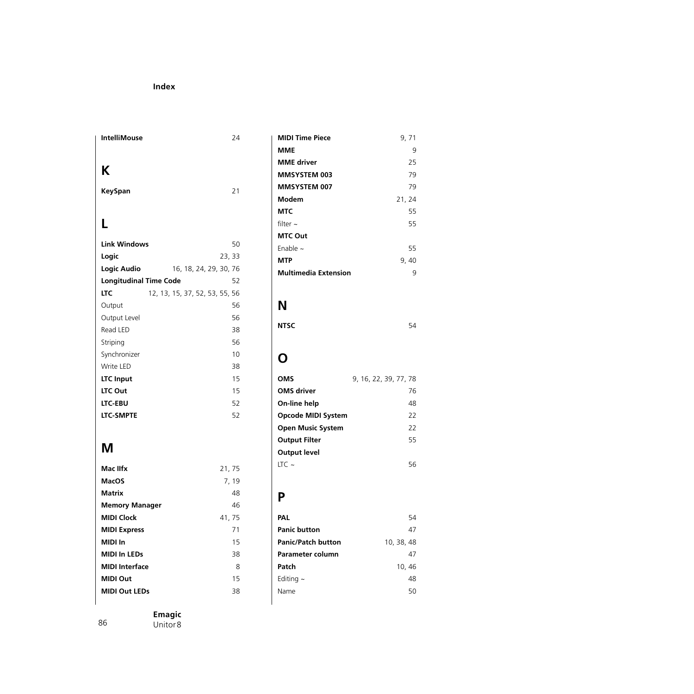**IntelliMouse** [24](#page-23-1)

| Κ                                     |        |
|---------------------------------------|--------|
| <b>KeySpan</b>                        | 21     |
|                                       |        |
| L                                     |        |
| <b>Link Windows</b>                   | 50     |
| Logic                                 | 23, 33 |
| Logic Audio<br>16, 18, 24, 29, 30, 76 |        |
| <b>Longitudinal Time Code</b>         | 52     |
| LTC<br>12, 13, 15, 37, 52, 53, 55, 56 |        |
| Output                                | 56     |
| Output Level                          | 56     |
| Read LED                              | 38     |
| Striping                              | 56     |
| Synchronizer                          | 10     |
| Write LED                             | 38     |
| <b>LTC</b> Input                      | 15     |
| LTC Out                               | 15     |
| <b>LTC-EBU</b>                        | 52     |
| <b>LTC-SMPTE</b>                      | 52     |
|                                       |        |
| Μ                                     |        |
| <b>Mac Ilfx</b>                       | 21,75  |
| <b>MacOS</b>                          | 7, 19  |
| <b>Matrix</b>                         | 48     |
| <b>Memory Manager</b>                 | 46     |
| <b>MIDI Clock</b>                     | 41,75  |
| <b>MIDI Express</b>                   | 71     |
| MIDI In                               | 15     |
| <b>MIDI In LEDs</b>                   | 38     |
| <b>MIDI Interface</b>                 | 8      |
| <b>MIDI Out</b>                       | 15     |

| <b>MIDI Time Piece</b>      | 9, 71  |
|-----------------------------|--------|
|                             |        |
| MMF                         | 9      |
| <b>MME</b> driver           | 25     |
| MMSYSTEM 003                | 79     |
| MMSYSTEM 007                | 79     |
| Modem                       | 21, 24 |
| MTC                         | 55     |
| filter $\sim$               | 55     |
| <b>MTC Out</b>              |        |
| Enable $\sim$               | 55     |
| MTP                         | 9, 40  |
| <b>Multimedia Extension</b> | 9      |

**N**

| NTSC<br>$\sim$<br>$\sim$ | 54 |
|--------------------------|----|
|                          |    |

## **O**

| OMS                      | 9, 16, 22, 39, 77, 78 |
|--------------------------|-----------------------|
| <b>OMS</b> driver        | 76                    |
| On-line help             | 48                    |
| Opcode MIDI System       | 22                    |
| <b>Open Music System</b> | 22                    |
| <b>Output Filter</b>     | 55                    |
| Output level             |                       |
| $ITC \sim$               |                       |

**P**

| PAL                       | 54         |
|---------------------------|------------|
| <b>Panic button</b>       | 47         |
| <b>Panic/Patch button</b> | 10, 38, 48 |
| Parameter column          | 47         |
| Patch                     | 10, 46     |
| Editing $\sim$            | 48         |
| Name                      | 50         |
|                           |            |

**MIDI Out LEDs** [38](#page-37-5)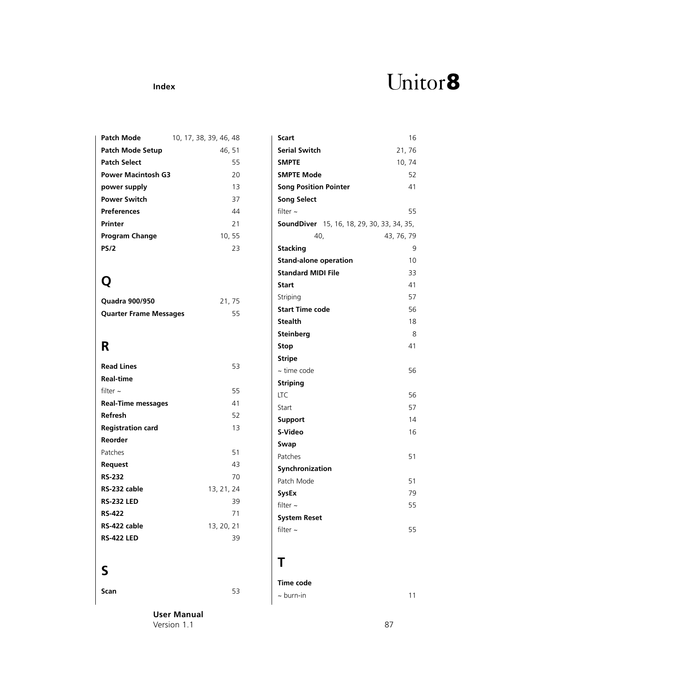## Unitor8

| Patch Mode                | 10, 17, 38, 39, 46, 48 |
|---------------------------|------------------------|
| Patch Mode Setup          | 46, 51                 |
| Patch Select              | 55                     |
| <b>Power Macintosh G3</b> | 20                     |
| power supply              | 13                     |
| <b>Power Switch</b>       | 37                     |
| Preferences               | 44                     |
| Printer                   | 21                     |
| Program Change            | 10, 55                 |
| PS/2                      | 23                     |

## **Q**

| <b>Quadra 900/950</b>         | 21, 75 |
|-------------------------------|--------|
| <b>Quarter Frame Messages</b> | 55     |

## **R**

| <b>Read Lines</b>         | 53         |
|---------------------------|------------|
| <b>Real-time</b>          |            |
| filter $\sim$             | 55         |
| <b>Real-Time messages</b> | 41         |
| Refresh                   | 52         |
| <b>Registration card</b>  | 13         |
| Reorder                   |            |
| Patches                   | 51         |
| Request                   | 43         |
| <b>RS-232</b>             | 70         |
| RS-232 cable              | 13, 21, 24 |
| RS-232 LED                | 39         |
| <b>RS-422</b>             | 71         |
| RS-422 cable              | 13, 20, 21 |
| <b>RS-422 LED</b>         | 39         |

### **S**

**Scan** [53](#page-52-3)

| Scart                                      | 16         |
|--------------------------------------------|------------|
| <b>Serial Switch</b>                       | 21,76      |
| <b>SMPTE</b>                               | 10,74      |
| <b>SMPTE Mode</b>                          | 52         |
| <b>Song Position Pointer</b>               | 41         |
| <b>Song Select</b>                         |            |
| filter $\sim$                              | 55         |
| SoundDiver 15, 16, 18, 29, 30, 33, 34, 35, |            |
| 40,                                        | 43, 76, 79 |
| <b>Stacking</b>                            | 9          |
| <b>Stand-alone operation</b>               | 10         |
| <b>Standard MIDI File</b>                  | 33         |
| <b>Start</b>                               | 41         |
| Striping                                   | 57         |
| <b>Start Time code</b>                     | 56         |
| <b>Stealth</b>                             | 18         |
| <b>Steinberg</b>                           | 8          |
| Stop                                       | 41         |
| <b>Stripe</b>                              |            |
| $\sim$ time code                           | 56         |
| <b>Striping</b>                            |            |
| LTC                                        | 56         |
| Start                                      | 57         |
| <b>Support</b>                             | 14         |
| S-Video                                    | 16         |
| Swap                                       |            |
| Patches                                    | 51         |
| Synchronization                            |            |
| Patch Mode                                 | 51         |
| <b>SysEx</b>                               | 79         |
| filter $\sim$                              | 55         |
| <b>System Reset</b>                        |            |
| filter $\sim$                              | 55         |
|                                            |            |

## **T**

| Time code      |    |
|----------------|----|
| $\sim$ burn-in | 11 |